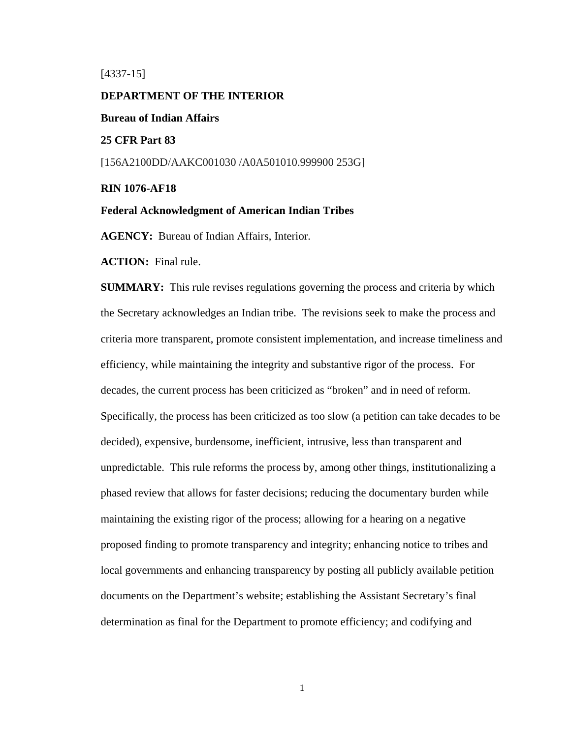[4337-15]

#### **DEPARTMENT OF THE INTERIOR**

**Bureau of Indian Affairs** 

**25 CFR Part 83** 

[156A2100DD/AAKC001030 /A0A501010.999900 253G]

#### **RIN 1076-AF18**

#### **Federal Acknowledgment of American Indian Tribes**

**AGENCY:** Bureau of Indian Affairs, Interior.

**ACTION:** Final rule.

**SUMMARY:** This rule revises regulations governing the process and criteria by which the Secretary acknowledges an Indian tribe. The revisions seek to make the process and criteria more transparent, promote consistent implementation, and increase timeliness and efficiency, while maintaining the integrity and substantive rigor of the process. For decades, the current process has been criticized as "broken" and in need of reform. Specifically, the process has been criticized as too slow (a petition can take decades to be decided), expensive, burdensome, inefficient, intrusive, less than transparent and unpredictable. This rule reforms the process by, among other things, institutionalizing a phased review that allows for faster decisions; reducing the documentary burden while maintaining the existing rigor of the process; allowing for a hearing on a negative proposed finding to promote transparency and integrity; enhancing notice to tribes and local governments and enhancing transparency by posting all publicly available petition documents on the Department's website; establishing the Assistant Secretary's final determination as final for the Department to promote efficiency; and codifying and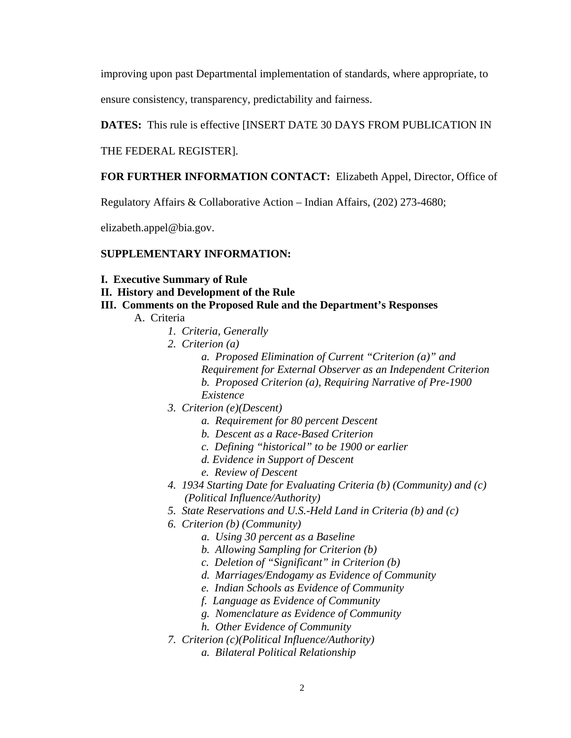improving upon past Departmental implementation of standards, where appropriate, to

ensure consistency, transparency, predictability and fairness.

# **DATES:** This rule is effective [INSERT DATE 30 DAYS FROM PUBLICATION IN

THE FEDERAL REGISTER].

# **FOR FURTHER INFORMATION CONTACT:** Elizabeth Appel, Director, Office of

Regulatory Affairs & Collaborative Action – Indian Affairs, (202) 273-4680;

elizabeth.appel@bia.gov.

# **SUPPLEMENTARY INFORMATION:**

- **I. Executive Summary of Rule**
- **II. History and Development of the Rule**
- **III. Comments on the Proposed Rule and the Department's Responses** 
	- A. Criteria
		- *1. Criteria, Generally*
		- *2. Criterion (a)* 
			- *a. Proposed Elimination of Current "Criterion (a)" and Requirement for External Observer as an Independent Criterion b. Proposed Criterion (a), Requiring Narrative of Pre-1900 Existence*
		- *3. Criterion (e)(Descent)* 
			- *a. Requirement for 80 percent Descent*
			- *b. Descent as a Race-Based Criterion*
			- *c. Defining "historical" to be 1900 or earlier*
			- *d. Evidence in Support of Descent*
			- *e. Review of Descent*
		- *4. 1934 Starting Date for Evaluating Criteria (b) (Community) and (c) (Political Influence/Authority)*
		- *5. State Reservations and U.S.-Held Land in Criteria (b) and (c)*
		- *6. Criterion (b) (Community)* 
			- *a. Using 30 percent as a Baseline*
			- *b. Allowing Sampling for Criterion (b)*
			- *c. Deletion of "Significant" in Criterion (b)*
			- *d. Marriages/Endogamy as Evidence of Community*
			- *e. Indian Schools as Evidence of Community*
			- *f. Language as Evidence of Community*
			- *g. Nomenclature as Evidence of Community*
			- *h. Other Evidence of Community*
		- *7. Criterion (c)(Political Influence/Authority)* 
			- *a. Bilateral Political Relationship*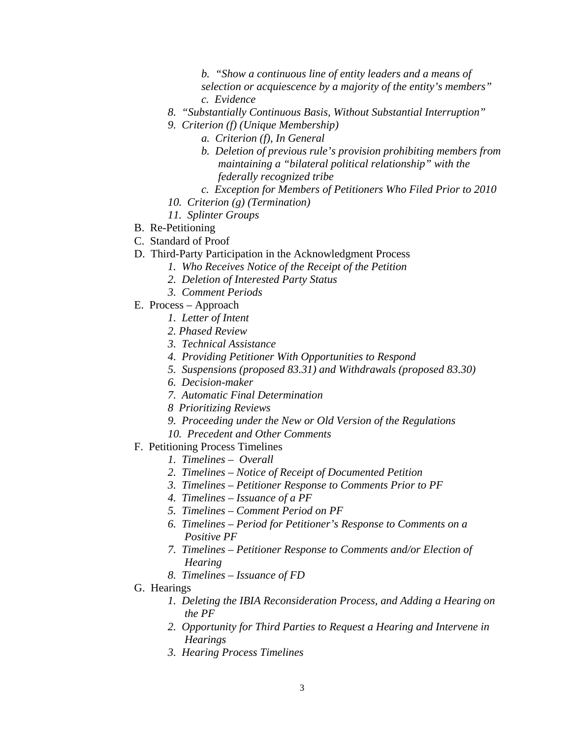*b. "Show a continuous line of entity leaders and a means of selection or acquiescence by a majority of the entity's members" c. Evidence* 

- *8. "Substantially Continuous Basis, Without Substantial Interruption"*
- *9. Criterion (f) (Unique Membership)* 
	- *a. Criterion (f), In General*
	- *b. Deletion of previous rule's provision prohibiting members from maintaining a "bilateral political relationship" with the federally recognized tribe*
	- *c. Exception for Members of Petitioners Who Filed Prior to 2010*
- *10. Criterion (g) (Termination)*
- *11. Splinter Groups*
- B. Re-Petitioning
- C. Standard of Proof
- D. Third-Party Participation in the Acknowledgment Process
	- *1. Who Receives Notice of the Receipt of the Petition* 
		- *2. Deletion of Interested Party Status*
		- *3. Comment Periods*
- E. Process Approach
	- *1. Letter of Intent*
	- *2. Phased Review*
	- *3. Technical Assistance*
	- *4. Providing Petitioner With Opportunities to Respond*
	- *5. Suspensions (proposed 83.31) and Withdrawals (proposed 83.30)*
	- *6. Decision-maker*
	- *7. Automatic Final Determination*
	- *8 Prioritizing Reviews*
	- *9. Proceeding under the New or Old Version of the Regulations*
	- *10. Precedent and Other Comments*
- F. Petitioning Process Timelines
	- *1. Timelines Overall*
	- *2. Timelines Notice of Receipt of Documented Petition*
	- *3. Timelines Petitioner Response to Comments Prior to PF*
	- *4. Timelines Issuance of a PF*
	- *5. Timelines Comment Period on PF*
	- *6. Timelines Period for Petitioner's Response to Comments on a Positive PF*
	- *7. Timelines Petitioner Response to Comments and/or Election of Hearing*
	- *8. Timelines Issuance of FD*
- G. Hearings
	- *1. Deleting the IBIA Reconsideration Process, and Adding a Hearing on the PF*
	- *2. Opportunity for Third Parties to Request a Hearing and Intervene in Hearings*
	- *3. Hearing Process Timelines*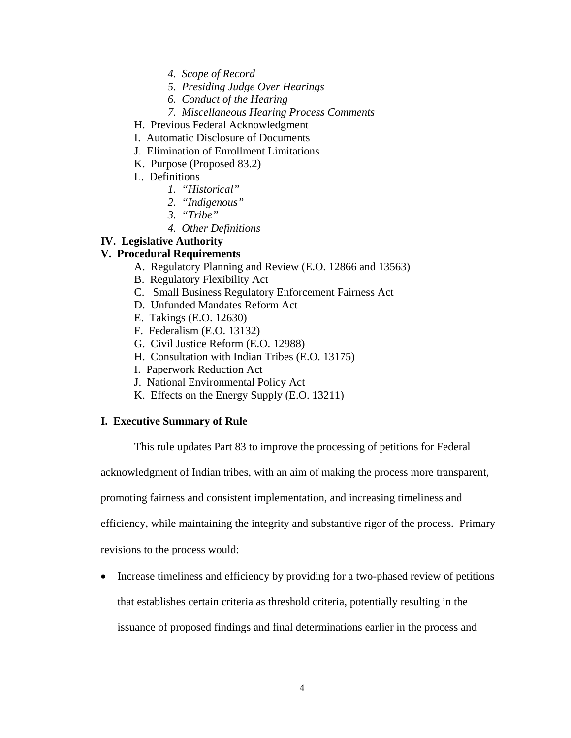- *4. Scope of Record*
- *5. Presiding Judge Over Hearings*
- *6. Conduct of the Hearing*
- *7. Miscellaneous Hearing Process Comments*
- H. Previous Federal Acknowledgment
- I. Automatic Disclosure of Documents
- J. Elimination of Enrollment Limitations
- K. Purpose (Proposed 83.2)
- L. Definitions
	- *1. "Historical"*
	- *2. "Indigenous"*
	- *3. "Tribe"*
	- *4. Other Definitions*

# **IV. Legislative Authority**

# **V. Procedural Requirements**

- A. Regulatory Planning and Review (E.O. 12866 and 13563)
- B. Regulatory Flexibility Act
- C. Small Business Regulatory Enforcement Fairness Act
- D. Unfunded Mandates Reform Act
- E. Takings (E.O. 12630)
- F. Federalism (E.O. 13132)
- G. Civil Justice Reform (E.O. 12988)
- H. Consultation with Indian Tribes (E.O. 13175)
- I. Paperwork Reduction Act
- J. National Environmental Policy Act
- K. Effects on the Energy Supply (E.O. 13211)

# **I. Executive Summary of Rule**

This rule updates Part 83 to improve the processing of petitions for Federal

acknowledgment of Indian tribes, with an aim of making the process more transparent,

promoting fairness and consistent implementation, and increasing timeliness and

efficiency, while maintaining the integrity and substantive rigor of the process. Primary

revisions to the process would:

• Increase timeliness and efficiency by providing for a two-phased review of petitions

that establishes certain criteria as threshold criteria, potentially resulting in the

issuance of proposed findings and final determinations earlier in the process and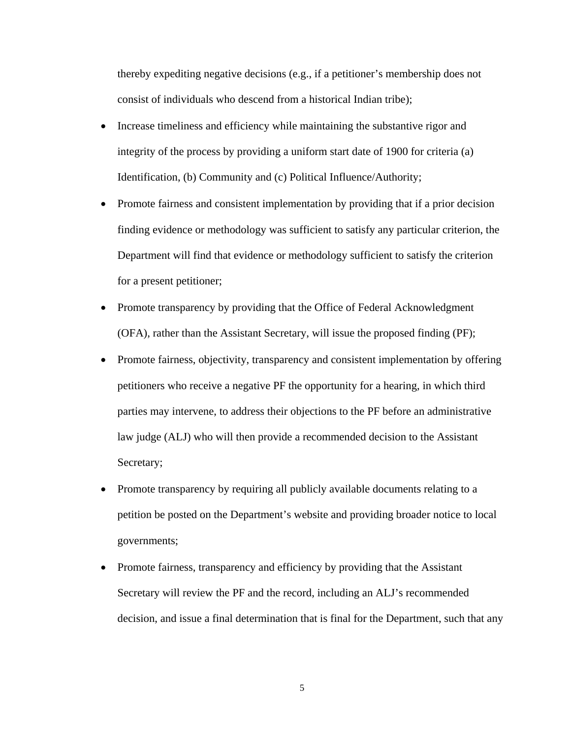thereby expediting negative decisions (e.g., if a petitioner's membership does not consist of individuals who descend from a historical Indian tribe);

- Increase timeliness and efficiency while maintaining the substantive rigor and integrity of the process by providing a uniform start date of 1900 for criteria (a) Identification, (b) Community and (c) Political Influence/Authority;
- Promote fairness and consistent implementation by providing that if a prior decision finding evidence or methodology was sufficient to satisfy any particular criterion, the Department will find that evidence or methodology sufficient to satisfy the criterion for a present petitioner;
- Promote transparency by providing that the Office of Federal Acknowledgment (OFA), rather than the Assistant Secretary, will issue the proposed finding (PF);
- Promote fairness, objectivity, transparency and consistent implementation by offering petitioners who receive a negative PF the opportunity for a hearing, in which third parties may intervene, to address their objections to the PF before an administrative law judge (ALJ) who will then provide a recommended decision to the Assistant Secretary;
- Promote transparency by requiring all publicly available documents relating to a petition be posted on the Department's website and providing broader notice to local governments;
- Promote fairness, transparency and efficiency by providing that the Assistant Secretary will review the PF and the record, including an ALJ's recommended decision, and issue a final determination that is final for the Department, such that any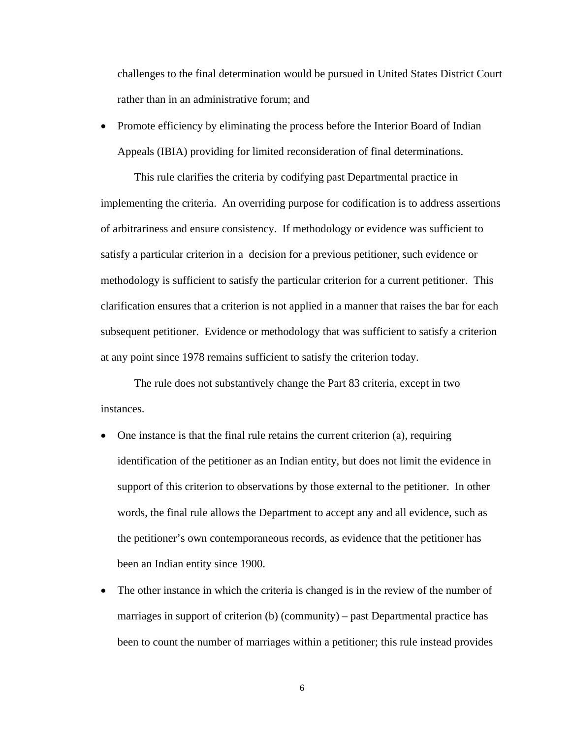challenges to the final determination would be pursued in United States District Court rather than in an administrative forum; and

• Promote efficiency by eliminating the process before the Interior Board of Indian Appeals (IBIA) providing for limited reconsideration of final determinations.

This rule clarifies the criteria by codifying past Departmental practice in implementing the criteria. An overriding purpose for codification is to address assertions of arbitrariness and ensure consistency. If methodology or evidence was sufficient to satisfy a particular criterion in a decision for a previous petitioner, such evidence or methodology is sufficient to satisfy the particular criterion for a current petitioner. This clarification ensures that a criterion is not applied in a manner that raises the bar for each subsequent petitioner. Evidence or methodology that was sufficient to satisfy a criterion at any point since 1978 remains sufficient to satisfy the criterion today.

The rule does not substantively change the Part 83 criteria, except in two instances.

- One instance is that the final rule retains the current criterion (a), requiring identification of the petitioner as an Indian entity, but does not limit the evidence in support of this criterion to observations by those external to the petitioner. In other words, the final rule allows the Department to accept any and all evidence, such as the petitioner's own contemporaneous records, as evidence that the petitioner has been an Indian entity since 1900.
- The other instance in which the criteria is changed is in the review of the number of marriages in support of criterion (b) (community) – past Departmental practice has been to count the number of marriages within a petitioner; this rule instead provides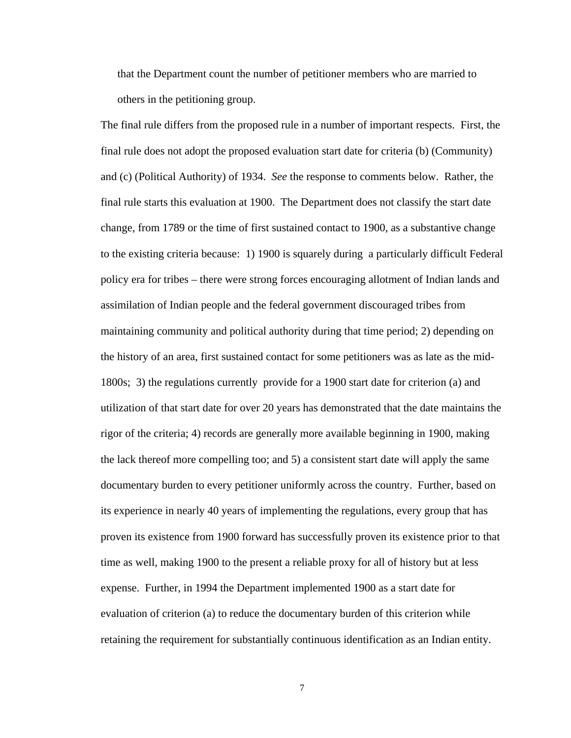that the Department count the number of petitioner members who are married to others in the petitioning group.

The final rule differs from the proposed rule in a number of important respects. First, the final rule does not adopt the proposed evaluation start date for criteria (b) (Community) and (c) (Political Authority) of 1934. *See* the response to comments below. Rather, the final rule starts this evaluation at 1900. The Department does not classify the start date change, from 1789 or the time of first sustained contact to 1900, as a substantive change to the existing criteria because: 1) 1900 is squarely during a particularly difficult Federal policy era for tribes – there were strong forces encouraging allotment of Indian lands and assimilation of Indian people and the federal government discouraged tribes from maintaining community and political authority during that time period; 2) depending on the history of an area, first sustained contact for some petitioners was as late as the mid-1800s; 3) the regulations currently provide for a 1900 start date for criterion (a) and utilization of that start date for over 20 years has demonstrated that the date maintains the rigor of the criteria; 4) records are generally more available beginning in 1900, making the lack thereof more compelling too; and 5) a consistent start date will apply the same documentary burden to every petitioner uniformly across the country. Further, based on its experience in nearly 40 years of implementing the regulations, every group that has proven its existence from 1900 forward has successfully proven its existence prior to that time as well, making 1900 to the present a reliable proxy for all of history but at less expense. Further, in 1994 the Department implemented 1900 as a start date for evaluation of criterion (a) to reduce the documentary burden of this criterion while retaining the requirement for substantially continuous identification as an Indian entity.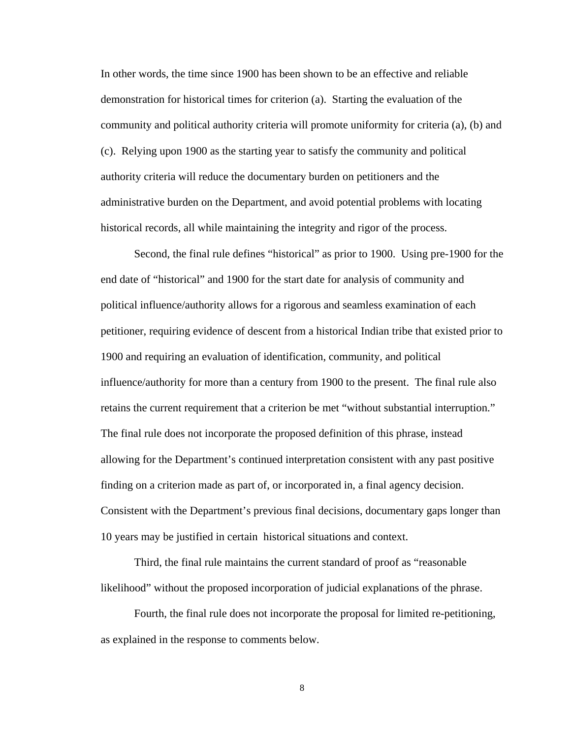In other words, the time since 1900 has been shown to be an effective and reliable demonstration for historical times for criterion (a). Starting the evaluation of the community and political authority criteria will promote uniformity for criteria (a), (b) and (c). Relying upon 1900 as the starting year to satisfy the community and political authority criteria will reduce the documentary burden on petitioners and the administrative burden on the Department, and avoid potential problems with locating historical records, all while maintaining the integrity and rigor of the process.

Second, the final rule defines "historical" as prior to 1900. Using pre-1900 for the end date of "historical" and 1900 for the start date for analysis of community and political influence/authority allows for a rigorous and seamless examination of each petitioner, requiring evidence of descent from a historical Indian tribe that existed prior to 1900 and requiring an evaluation of identification, community, and political influence/authority for more than a century from 1900 to the present. The final rule also retains the current requirement that a criterion be met "without substantial interruption." The final rule does not incorporate the proposed definition of this phrase, instead allowing for the Department's continued interpretation consistent with any past positive finding on a criterion made as part of, or incorporated in, a final agency decision. Consistent with the Department's previous final decisions, documentary gaps longer than 10 years may be justified in certain historical situations and context.

Third, the final rule maintains the current standard of proof as "reasonable likelihood" without the proposed incorporation of judicial explanations of the phrase.

Fourth, the final rule does not incorporate the proposal for limited re-petitioning, as explained in the response to comments below.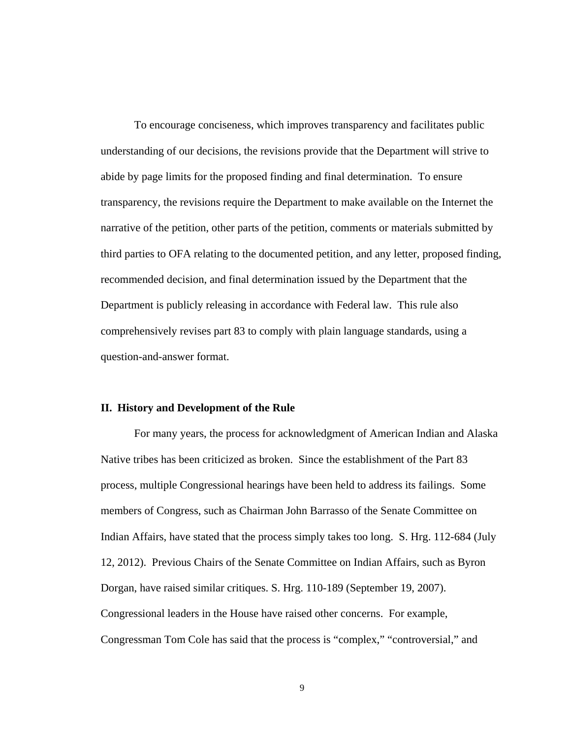To encourage conciseness, which improves transparency and facilitates public understanding of our decisions, the revisions provide that the Department will strive to abide by page limits for the proposed finding and final determination. To ensure transparency, the revisions require the Department to make available on the Internet the narrative of the petition, other parts of the petition, comments or materials submitted by third parties to OFA relating to the documented petition, and any letter, proposed finding, recommended decision, and final determination issued by the Department that the Department is publicly releasing in accordance with Federal law. This rule also comprehensively revises part 83 to comply with plain language standards, using a question-and-answer format.

#### **II. History and Development of the Rule**

For many years, the process for acknowledgment of American Indian and Alaska Native tribes has been criticized as broken. Since the establishment of the Part 83 process, multiple Congressional hearings have been held to address its failings. Some members of Congress, such as Chairman John Barrasso of the Senate Committee on Indian Affairs, have stated that the process simply takes too long. S. Hrg. 112-684 (July 12, 2012). Previous Chairs of the Senate Committee on Indian Affairs, such as Byron Dorgan, have raised similar critiques. S. Hrg. 110-189 (September 19, 2007). Congressional leaders in the House have raised other concerns. For example, Congressman Tom Cole has said that the process is "complex," "controversial," and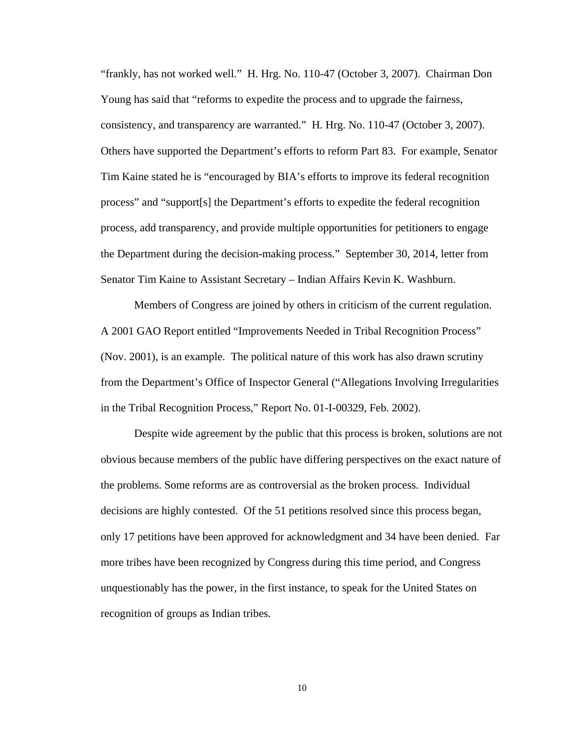"frankly, has not worked well." H. Hrg. No. 110-47 (October 3, 2007). Chairman Don Young has said that "reforms to expedite the process and to upgrade the fairness, consistency, and transparency are warranted." H. Hrg. No. 110-47 (October 3, 2007). Others have supported the Department's efforts to reform Part 83. For example, Senator Tim Kaine stated he is "encouraged by BIA's efforts to improve its federal recognition process" and "support[s] the Department's efforts to expedite the federal recognition process, add transparency, and provide multiple opportunities for petitioners to engage the Department during the decision-making process." September 30, 2014, letter from Senator Tim Kaine to Assistant Secretary – Indian Affairs Kevin K. Washburn.

 Members of Congress are joined by others in criticism of the current regulation. A 2001 GAO Report entitled "Improvements Needed in Tribal Recognition Process" (Nov. 2001), is an example. The political nature of this work has also drawn scrutiny from the Department's Office of Inspector General ("Allegations Involving Irregularities in the Tribal Recognition Process," Report No. 01-I-00329, Feb. 2002).

 Despite wide agreement by the public that this process is broken, solutions are not obvious because members of the public have differing perspectives on the exact nature of the problems. Some reforms are as controversial as the broken process. Individual decisions are highly contested. Of the 51 petitions resolved since this process began, only 17 petitions have been approved for acknowledgment and 34 have been denied. Far more tribes have been recognized by Congress during this time period, and Congress unquestionably has the power, in the first instance, to speak for the United States on recognition of groups as Indian tribes.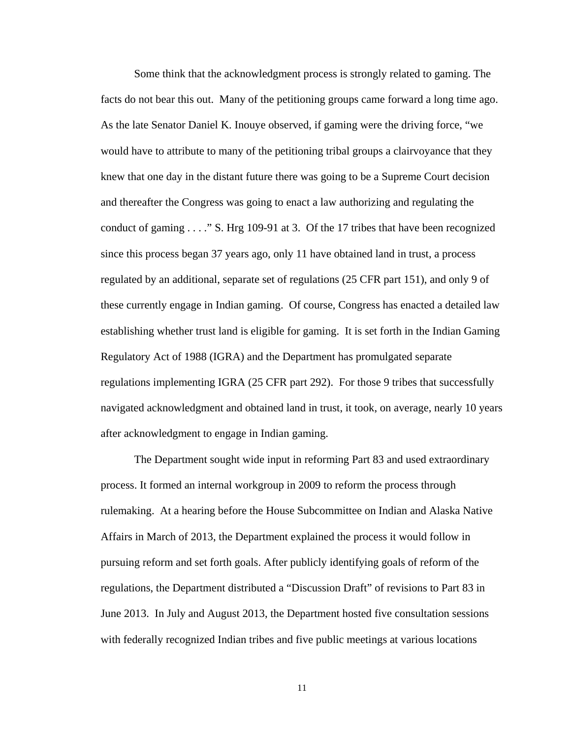Some think that the acknowledgment process is strongly related to gaming. The facts do not bear this out. Many of the petitioning groups came forward a long time ago. As the late Senator Daniel K. Inouye observed, if gaming were the driving force, "we would have to attribute to many of the petitioning tribal groups a clairvoyance that they knew that one day in the distant future there was going to be a Supreme Court decision and thereafter the Congress was going to enact a law authorizing and regulating the conduct of gaming . . . ." S. Hrg 109-91 at 3. Of the 17 tribes that have been recognized since this process began 37 years ago, only 11 have obtained land in trust, a process regulated by an additional, separate set of regulations (25 CFR part 151), and only 9 of these currently engage in Indian gaming. Of course, Congress has enacted a detailed law establishing whether trust land is eligible for gaming. It is set forth in the Indian Gaming Regulatory Act of 1988 (IGRA) and the Department has promulgated separate regulations implementing IGRA (25 CFR part 292). For those 9 tribes that successfully navigated acknowledgment and obtained land in trust, it took, on average, nearly 10 years after acknowledgment to engage in Indian gaming.

 The Department sought wide input in reforming Part 83 and used extraordinary process. It formed an internal workgroup in 2009 to reform the process through rulemaking. At a hearing before the House Subcommittee on Indian and Alaska Native Affairs in March of 2013, the Department explained the process it would follow in pursuing reform and set forth goals. After publicly identifying goals of reform of the regulations, the Department distributed a "Discussion Draft" of revisions to Part 83 in June 2013. In July and August 2013, the Department hosted five consultation sessions with federally recognized Indian tribes and five public meetings at various locations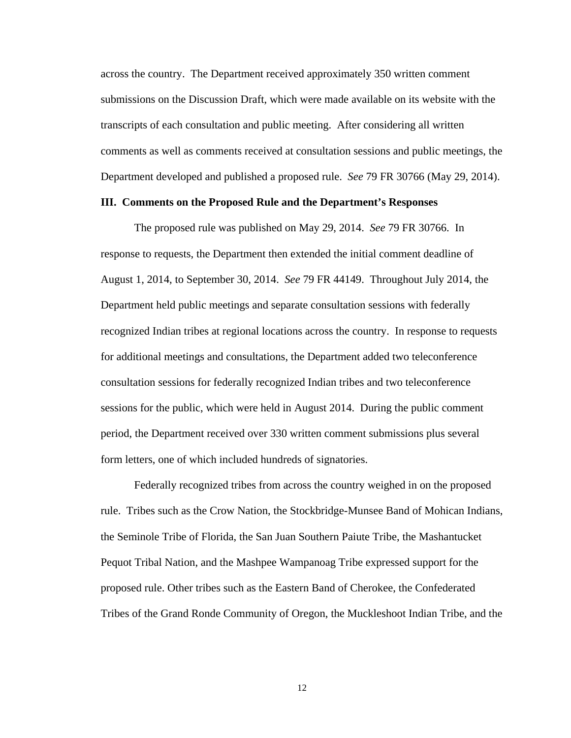across the country. The Department received approximately 350 written comment submissions on the Discussion Draft, which were made available on its website with the transcripts of each consultation and public meeting. After considering all written comments as well as comments received at consultation sessions and public meetings, the Department developed and published a proposed rule. *See* 79 FR 30766 (May 29, 2014).

# **III. Comments on the Proposed Rule and the Department's Responses**

The proposed rule was published on May 29, 2014. *See* 79 FR 30766. In response to requests, the Department then extended the initial comment deadline of August 1, 2014, to September 30, 2014. *See* 79 FR 44149. Throughout July 2014, the Department held public meetings and separate consultation sessions with federally recognized Indian tribes at regional locations across the country. In response to requests for additional meetings and consultations, the Department added two teleconference consultation sessions for federally recognized Indian tribes and two teleconference sessions for the public, which were held in August 2014. During the public comment period, the Department received over 330 written comment submissions plus several form letters, one of which included hundreds of signatories.

Federally recognized tribes from across the country weighed in on the proposed rule. Tribes such as the Crow Nation, the Stockbridge-Munsee Band of Mohican Indians, the Seminole Tribe of Florida, the San Juan Southern Paiute Tribe, the Mashantucket Pequot Tribal Nation, and the Mashpee Wampanoag Tribe expressed support for the proposed rule. Other tribes such as the Eastern Band of Cherokee, the Confederated Tribes of the Grand Ronde Community of Oregon, the Muckleshoot Indian Tribe, and the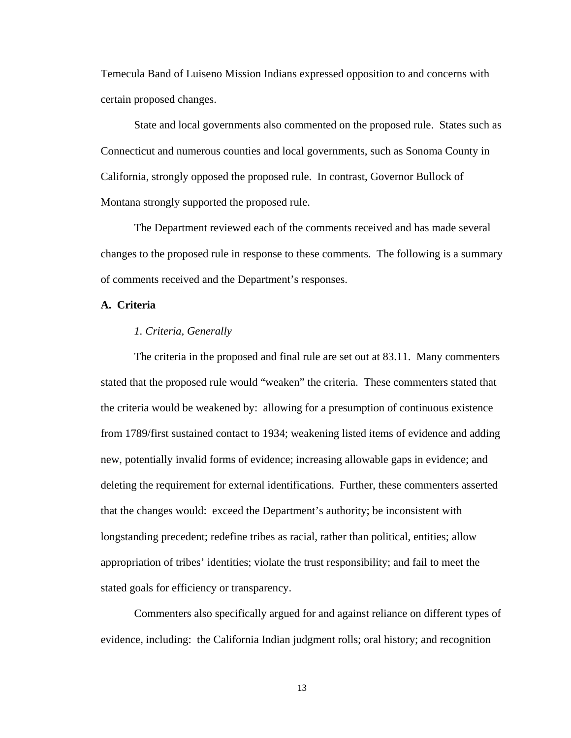Temecula Band of Luiseno Mission Indians expressed opposition to and concerns with certain proposed changes.

State and local governments also commented on the proposed rule. States such as Connecticut and numerous counties and local governments, such as Sonoma County in California, strongly opposed the proposed rule. In contrast, Governor Bullock of Montana strongly supported the proposed rule.

The Department reviewed each of the comments received and has made several changes to the proposed rule in response to these comments. The following is a summary of comments received and the Department's responses.

# **A. Criteria**

### *1. Criteria, Generally*

The criteria in the proposed and final rule are set out at 83.11. Many commenters stated that the proposed rule would "weaken" the criteria. These commenters stated that the criteria would be weakened by: allowing for a presumption of continuous existence from 1789/first sustained contact to 1934; weakening listed items of evidence and adding new, potentially invalid forms of evidence; increasing allowable gaps in evidence; and deleting the requirement for external identifications. Further, these commenters asserted that the changes would: exceed the Department's authority; be inconsistent with longstanding precedent; redefine tribes as racial, rather than political, entities; allow appropriation of tribes' identities; violate the trust responsibility; and fail to meet the stated goals for efficiency or transparency.

Commenters also specifically argued for and against reliance on different types of evidence, including: the California Indian judgment rolls; oral history; and recognition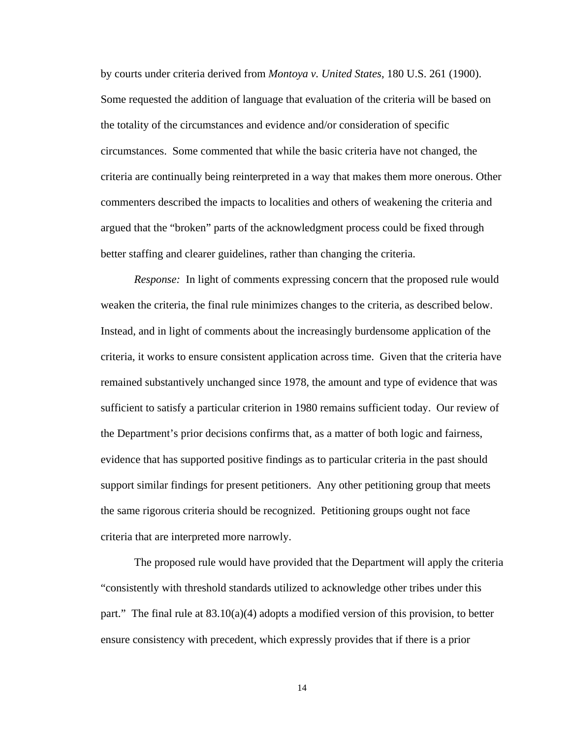by courts under criteria derived from *Montoya v. United States*, 180 U.S. 261 (1900). Some requested the addition of language that evaluation of the criteria will be based on the totality of the circumstances and evidence and/or consideration of specific circumstances. Some commented that while the basic criteria have not changed, the criteria are continually being reinterpreted in a way that makes them more onerous. Other commenters described the impacts to localities and others of weakening the criteria and argued that the "broken" parts of the acknowledgment process could be fixed through better staffing and clearer guidelines, rather than changing the criteria.

*Response:* In light of comments expressing concern that the proposed rule would weaken the criteria, the final rule minimizes changes to the criteria, as described below. Instead, and in light of comments about the increasingly burdensome application of the criteria, it works to ensure consistent application across time. Given that the criteria have remained substantively unchanged since 1978, the amount and type of evidence that was sufficient to satisfy a particular criterion in 1980 remains sufficient today. Our review of the Department's prior decisions confirms that, as a matter of both logic and fairness, evidence that has supported positive findings as to particular criteria in the past should support similar findings for present petitioners. Any other petitioning group that meets the same rigorous criteria should be recognized. Petitioning groups ought not face criteria that are interpreted more narrowly.

The proposed rule would have provided that the Department will apply the criteria "consistently with threshold standards utilized to acknowledge other tribes under this part." The final rule at  $83.10(a)(4)$  adopts a modified version of this provision, to better ensure consistency with precedent, which expressly provides that if there is a prior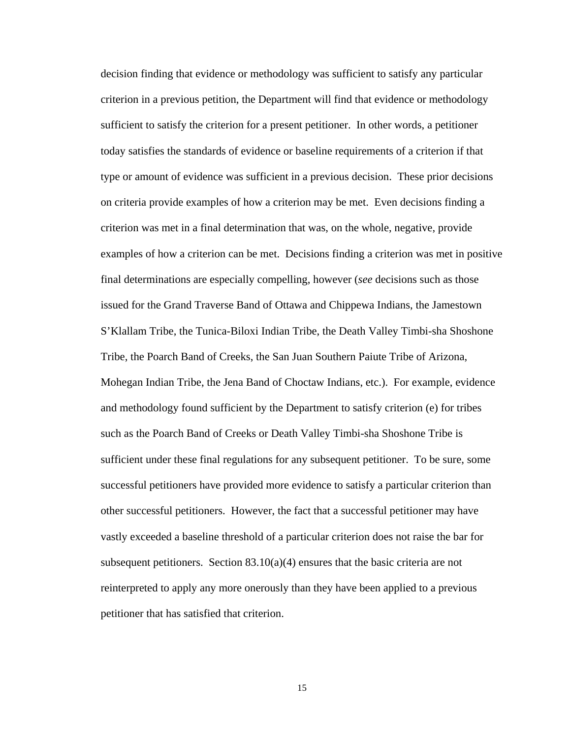decision finding that evidence or methodology was sufficient to satisfy any particular criterion in a previous petition, the Department will find that evidence or methodology sufficient to satisfy the criterion for a present petitioner. In other words, a petitioner today satisfies the standards of evidence or baseline requirements of a criterion if that type or amount of evidence was sufficient in a previous decision. These prior decisions on criteria provide examples of how a criterion may be met. Even decisions finding a criterion was met in a final determination that was, on the whole, negative, provide examples of how a criterion can be met. Decisions finding a criterion was met in positive final determinations are especially compelling, however (*see* decisions such as those issued for the Grand Traverse Band of Ottawa and Chippewa Indians, the Jamestown S'Klallam Tribe, the Tunica-Biloxi Indian Tribe, the Death Valley Timbi-sha Shoshone Tribe, the Poarch Band of Creeks, the San Juan Southern Paiute Tribe of Arizona, Mohegan Indian Tribe, the Jena Band of Choctaw Indians, etc.). For example, evidence and methodology found sufficient by the Department to satisfy criterion (e) for tribes such as the Poarch Band of Creeks or Death Valley Timbi-sha Shoshone Tribe is sufficient under these final regulations for any subsequent petitioner. To be sure, some successful petitioners have provided more evidence to satisfy a particular criterion than other successful petitioners. However, the fact that a successful petitioner may have vastly exceeded a baseline threshold of a particular criterion does not raise the bar for subsequent petitioners. Section  $83.10(a)(4)$  ensures that the basic criteria are not reinterpreted to apply any more onerously than they have been applied to a previous petitioner that has satisfied that criterion.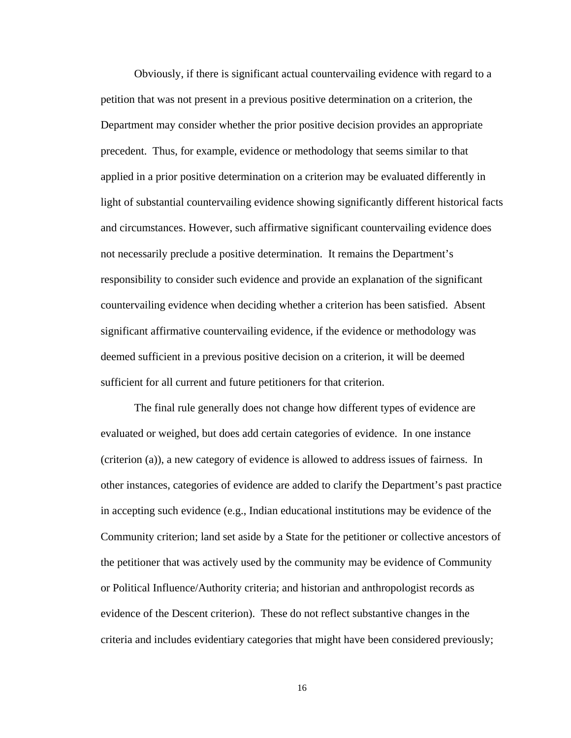Obviously, if there is significant actual countervailing evidence with regard to a petition that was not present in a previous positive determination on a criterion, the Department may consider whether the prior positive decision provides an appropriate precedent. Thus, for example, evidence or methodology that seems similar to that applied in a prior positive determination on a criterion may be evaluated differently in light of substantial countervailing evidence showing significantly different historical facts and circumstances. However, such affirmative significant countervailing evidence does not necessarily preclude a positive determination. It remains the Department's responsibility to consider such evidence and provide an explanation of the significant countervailing evidence when deciding whether a criterion has been satisfied. Absent significant affirmative countervailing evidence, if the evidence or methodology was deemed sufficient in a previous positive decision on a criterion, it will be deemed sufficient for all current and future petitioners for that criterion.

The final rule generally does not change how different types of evidence are evaluated or weighed, but does add certain categories of evidence. In one instance (criterion (a)), a new category of evidence is allowed to address issues of fairness. In other instances, categories of evidence are added to clarify the Department's past practice in accepting such evidence (e.g., Indian educational institutions may be evidence of the Community criterion; land set aside by a State for the petitioner or collective ancestors of the petitioner that was actively used by the community may be evidence of Community or Political Influence/Authority criteria; and historian and anthropologist records as evidence of the Descent criterion). These do not reflect substantive changes in the criteria and includes evidentiary categories that might have been considered previously;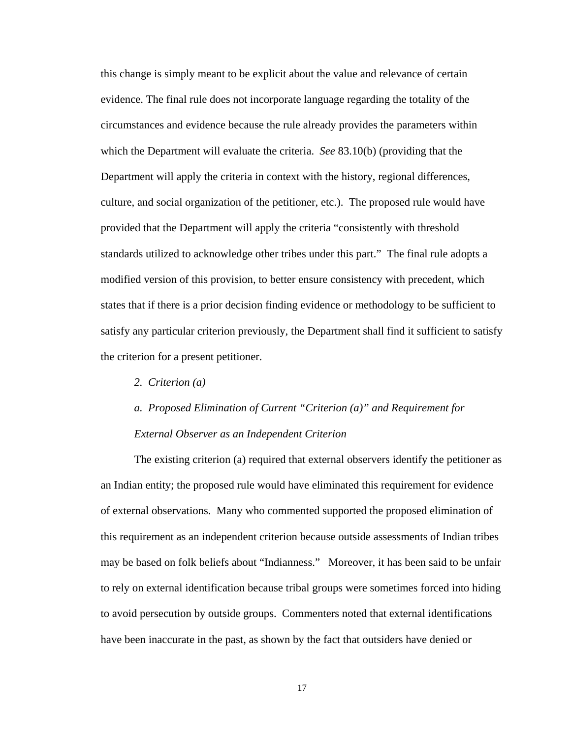this change is simply meant to be explicit about the value and relevance of certain evidence. The final rule does not incorporate language regarding the totality of the circumstances and evidence because the rule already provides the parameters within which the Department will evaluate the criteria. *See* 83.10(b) (providing that the Department will apply the criteria in context with the history, regional differences, culture, and social organization of the petitioner, etc.). The proposed rule would have provided that the Department will apply the criteria "consistently with threshold standards utilized to acknowledge other tribes under this part." The final rule adopts a modified version of this provision, to better ensure consistency with precedent, which states that if there is a prior decision finding evidence or methodology to be sufficient to satisfy any particular criterion previously, the Department shall find it sufficient to satisfy the criterion for a present petitioner.

*2. Criterion (a)* 

# *a. Proposed Elimination of Current "Criterion (a)" and Requirement for External Observer as an Independent Criterion*

The existing criterion (a) required that external observers identify the petitioner as an Indian entity; the proposed rule would have eliminated this requirement for evidence of external observations. Many who commented supported the proposed elimination of this requirement as an independent criterion because outside assessments of Indian tribes may be based on folk beliefs about "Indianness." Moreover, it has been said to be unfair to rely on external identification because tribal groups were sometimes forced into hiding to avoid persecution by outside groups. Commenters noted that external identifications have been inaccurate in the past, as shown by the fact that outsiders have denied or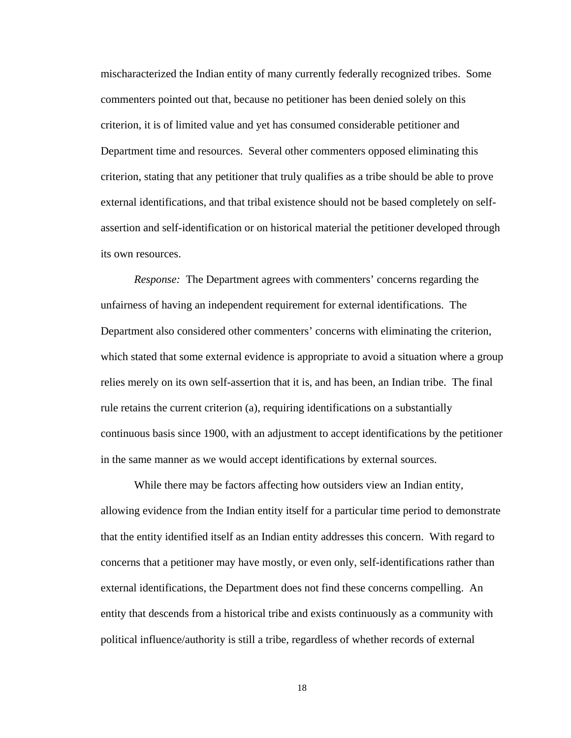mischaracterized the Indian entity of many currently federally recognized tribes. Some commenters pointed out that, because no petitioner has been denied solely on this criterion, it is of limited value and yet has consumed considerable petitioner and Department time and resources. Several other commenters opposed eliminating this criterion, stating that any petitioner that truly qualifies as a tribe should be able to prove external identifications, and that tribal existence should not be based completely on selfassertion and self-identification or on historical material the petitioner developed through its own resources.

*Response:* The Department agrees with commenters' concerns regarding the unfairness of having an independent requirement for external identifications. The Department also considered other commenters' concerns with eliminating the criterion, which stated that some external evidence is appropriate to avoid a situation where a group relies merely on its own self-assertion that it is, and has been, an Indian tribe. The final rule retains the current criterion (a), requiring identifications on a substantially continuous basis since 1900, with an adjustment to accept identifications by the petitioner in the same manner as we would accept identifications by external sources.

While there may be factors affecting how outsiders view an Indian entity, allowing evidence from the Indian entity itself for a particular time period to demonstrate that the entity identified itself as an Indian entity addresses this concern. With regard to concerns that a petitioner may have mostly, or even only, self-identifications rather than external identifications, the Department does not find these concerns compelling. An entity that descends from a historical tribe and exists continuously as a community with political influence/authority is still a tribe, regardless of whether records of external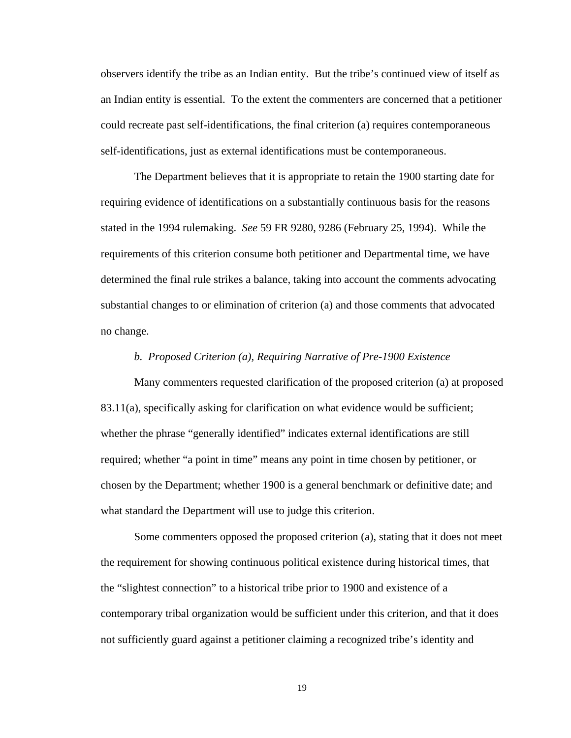observers identify the tribe as an Indian entity. But the tribe's continued view of itself as an Indian entity is essential. To the extent the commenters are concerned that a petitioner could recreate past self-identifications, the final criterion (a) requires contemporaneous self-identifications, just as external identifications must be contemporaneous.

The Department believes that it is appropriate to retain the 1900 starting date for requiring evidence of identifications on a substantially continuous basis for the reasons stated in the 1994 rulemaking. *See* 59 FR 9280, 9286 (February 25, 1994). While the requirements of this criterion consume both petitioner and Departmental time, we have determined the final rule strikes a balance, taking into account the comments advocating substantial changes to or elimination of criterion (a) and those comments that advocated no change.

## *b. Proposed Criterion (a), Requiring Narrative of Pre-1900 Existence*

Many commenters requested clarification of the proposed criterion (a) at proposed 83.11(a), specifically asking for clarification on what evidence would be sufficient; whether the phrase "generally identified" indicates external identifications are still required; whether "a point in time" means any point in time chosen by petitioner, or chosen by the Department; whether 1900 is a general benchmark or definitive date; and what standard the Department will use to judge this criterion.

Some commenters opposed the proposed criterion (a), stating that it does not meet the requirement for showing continuous political existence during historical times, that the "slightest connection" to a historical tribe prior to 1900 and existence of a contemporary tribal organization would be sufficient under this criterion, and that it does not sufficiently guard against a petitioner claiming a recognized tribe's identity and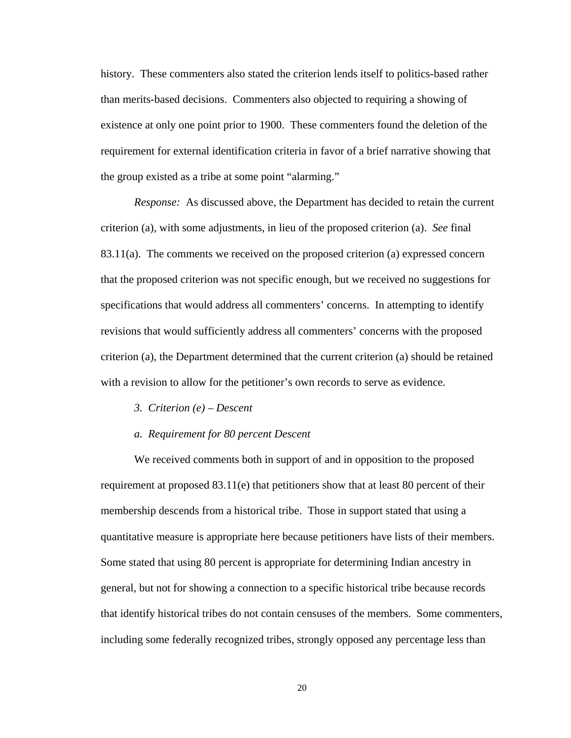history. These commenters also stated the criterion lends itself to politics-based rather than merits-based decisions. Commenters also objected to requiring a showing of existence at only one point prior to 1900. These commenters found the deletion of the requirement for external identification criteria in favor of a brief narrative showing that the group existed as a tribe at some point "alarming."

*Response:* As discussed above, the Department has decided to retain the current criterion (a), with some adjustments, in lieu of the proposed criterion (a). *See* final 83.11(a). The comments we received on the proposed criterion (a) expressed concern that the proposed criterion was not specific enough, but we received no suggestions for specifications that would address all commenters' concerns. In attempting to identify revisions that would sufficiently address all commenters' concerns with the proposed criterion (a), the Department determined that the current criterion (a) should be retained with a revision to allow for the petitioner's own records to serve as evidence.

- *3. Criterion (e) Descent*
- *a. Requirement for 80 percent Descent*

We received comments both in support of and in opposition to the proposed requirement at proposed  $83.11(e)$  that petitioners show that at least 80 percent of their membership descends from a historical tribe. Those in support stated that using a quantitative measure is appropriate here because petitioners have lists of their members. Some stated that using 80 percent is appropriate for determining Indian ancestry in general, but not for showing a connection to a specific historical tribe because records that identify historical tribes do not contain censuses of the members. Some commenters, including some federally recognized tribes, strongly opposed any percentage less than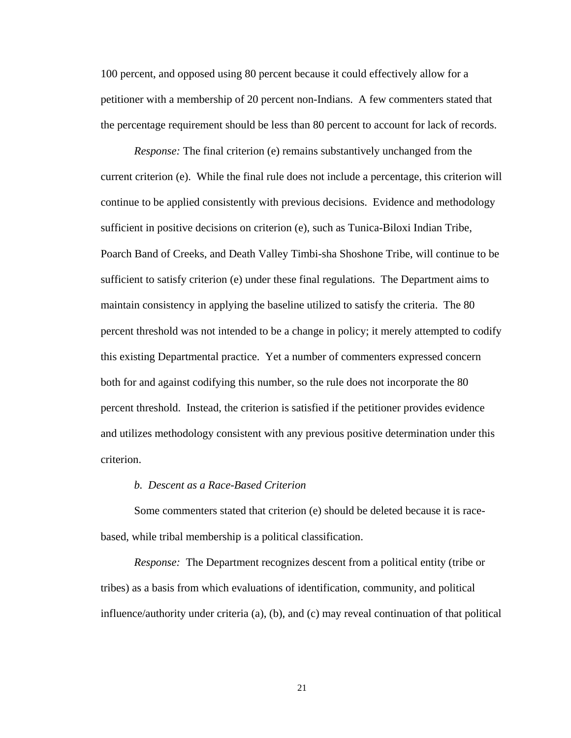100 percent, and opposed using 80 percent because it could effectively allow for a petitioner with a membership of 20 percent non-Indians. A few commenters stated that the percentage requirement should be less than 80 percent to account for lack of records.

*Response:* The final criterion (e) remains substantively unchanged from the current criterion (e). While the final rule does not include a percentage, this criterion will continue to be applied consistently with previous decisions. Evidence and methodology sufficient in positive decisions on criterion (e), such as Tunica-Biloxi Indian Tribe, Poarch Band of Creeks, and Death Valley Timbi-sha Shoshone Tribe, will continue to be sufficient to satisfy criterion (e) under these final regulations. The Department aims to maintain consistency in applying the baseline utilized to satisfy the criteria. The 80 percent threshold was not intended to be a change in policy; it merely attempted to codify this existing Departmental practice. Yet a number of commenters expressed concern both for and against codifying this number, so the rule does not incorporate the 80 percent threshold. Instead, the criterion is satisfied if the petitioner provides evidence and utilizes methodology consistent with any previous positive determination under this criterion.

## *b. Descent as a Race-Based Criterion*

Some commenters stated that criterion (e) should be deleted because it is racebased, while tribal membership is a political classification.

*Response:* The Department recognizes descent from a political entity (tribe or tribes) as a basis from which evaluations of identification, community, and political influence/authority under criteria (a), (b), and (c) may reveal continuation of that political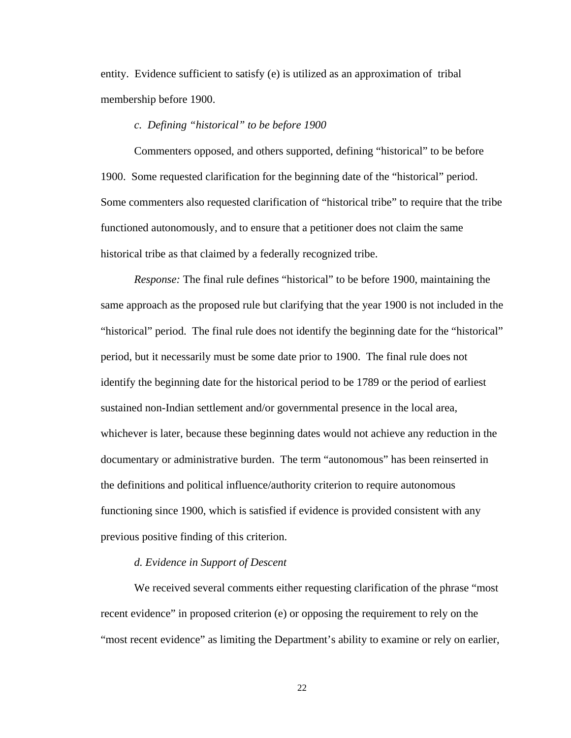entity. Evidence sufficient to satisfy (e) is utilized as an approximation of tribal membership before 1900.

#### *c. Defining "historical" to be before 1900*

Commenters opposed, and others supported, defining "historical" to be before 1900. Some requested clarification for the beginning date of the "historical" period. Some commenters also requested clarification of "historical tribe" to require that the tribe functioned autonomously, and to ensure that a petitioner does not claim the same historical tribe as that claimed by a federally recognized tribe.

*Response:* The final rule defines "historical" to be before 1900, maintaining the same approach as the proposed rule but clarifying that the year 1900 is not included in the "historical" period. The final rule does not identify the beginning date for the "historical" period, but it necessarily must be some date prior to 1900. The final rule does not identify the beginning date for the historical period to be 1789 or the period of earliest sustained non-Indian settlement and/or governmental presence in the local area, whichever is later, because these beginning dates would not achieve any reduction in the documentary or administrative burden. The term "autonomous" has been reinserted in the definitions and political influence/authority criterion to require autonomous functioning since 1900, which is satisfied if evidence is provided consistent with any previous positive finding of this criterion.

#### *d. Evidence in Support of Descent*

We received several comments either requesting clarification of the phrase "most recent evidence" in proposed criterion (e) or opposing the requirement to rely on the "most recent evidence" as limiting the Department's ability to examine or rely on earlier,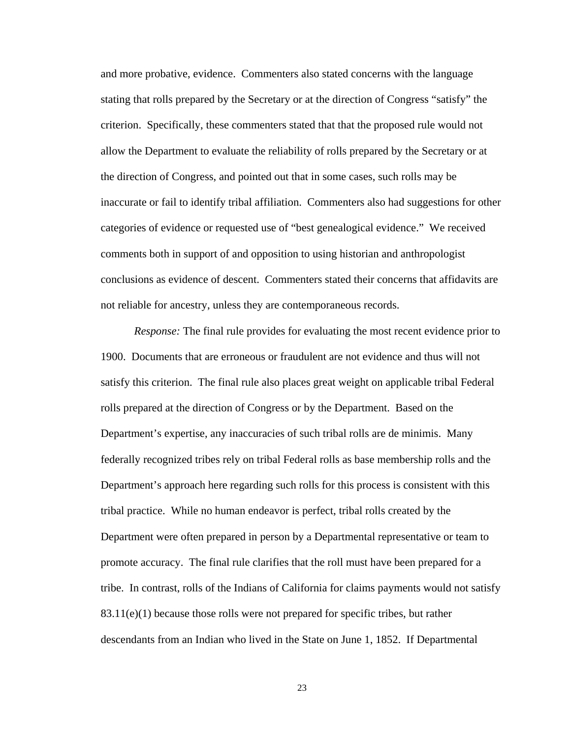and more probative, evidence. Commenters also stated concerns with the language stating that rolls prepared by the Secretary or at the direction of Congress "satisfy" the criterion. Specifically, these commenters stated that that the proposed rule would not allow the Department to evaluate the reliability of rolls prepared by the Secretary or at the direction of Congress, and pointed out that in some cases, such rolls may be inaccurate or fail to identify tribal affiliation. Commenters also had suggestions for other categories of evidence or requested use of "best genealogical evidence." We received comments both in support of and opposition to using historian and anthropologist conclusions as evidence of descent. Commenters stated their concerns that affidavits are not reliable for ancestry, unless they are contemporaneous records.

*Response:* The final rule provides for evaluating the most recent evidence prior to 1900. Documents that are erroneous or fraudulent are not evidence and thus will not satisfy this criterion. The final rule also places great weight on applicable tribal Federal rolls prepared at the direction of Congress or by the Department. Based on the Department's expertise, any inaccuracies of such tribal rolls are de minimis. Many federally recognized tribes rely on tribal Federal rolls as base membership rolls and the Department's approach here regarding such rolls for this process is consistent with this tribal practice. While no human endeavor is perfect, tribal rolls created by the Department were often prepared in person by a Departmental representative or team to promote accuracy. The final rule clarifies that the roll must have been prepared for a tribe. In contrast, rolls of the Indians of California for claims payments would not satisfy  $83.11(e)(1)$  because those rolls were not prepared for specific tribes, but rather descendants from an Indian who lived in the State on June 1, 1852. If Departmental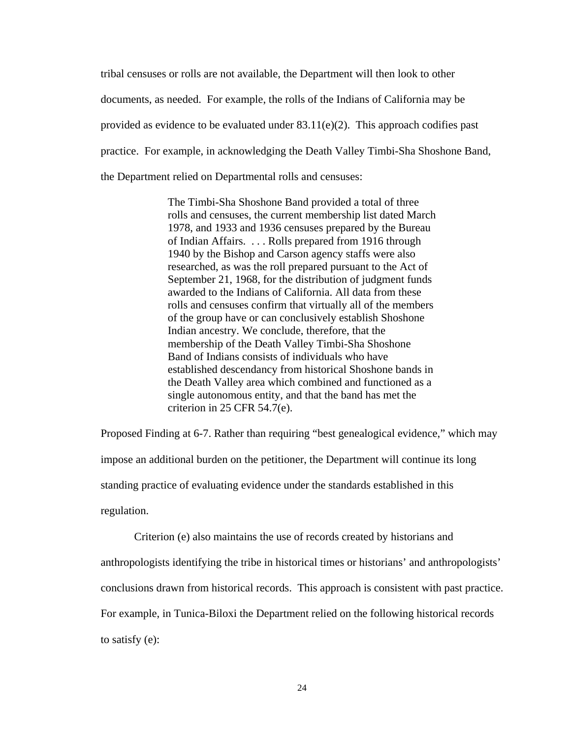tribal censuses or rolls are not available, the Department will then look to other documents, as needed. For example, the rolls of the Indians of California may be provided as evidence to be evaluated under  $83.11(e)(2)$ . This approach codifies past practice. For example, in acknowledging the Death Valley Timbi-Sha Shoshone Band, the Department relied on Departmental rolls and censuses:

> The Timbi-Sha Shoshone Band provided a total of three rolls and censuses, the current membership list dated March 1978, and 1933 and 1936 censuses prepared by the Bureau of Indian Affairs. . . . Rolls prepared from 1916 through 1940 by the Bishop and Carson agency staffs were also researched, as was the roll prepared pursuant to the Act of September 21, 1968, for the distribution of judgment funds awarded to the Indians of California. All data from these rolls and censuses confirm that virtually all of the members of the group have or can conclusively establish Shoshone Indian ancestry. We conclude, therefore, that the membership of the Death Valley Timbi-Sha Shoshone Band of Indians consists of individuals who have established descendancy from historical Shoshone bands in the Death Valley area which combined and functioned as a single autonomous entity, and that the band has met the criterion in 25 CFR 54.7(e).

Proposed Finding at 6-7. Rather than requiring "best genealogical evidence," which may impose an additional burden on the petitioner, the Department will continue its long standing practice of evaluating evidence under the standards established in this regulation.

 Criterion (e) also maintains the use of records created by historians and anthropologists identifying the tribe in historical times or historians' and anthropologists' conclusions drawn from historical records. This approach is consistent with past practice. For example, in Tunica-Biloxi the Department relied on the following historical records to satisfy (e):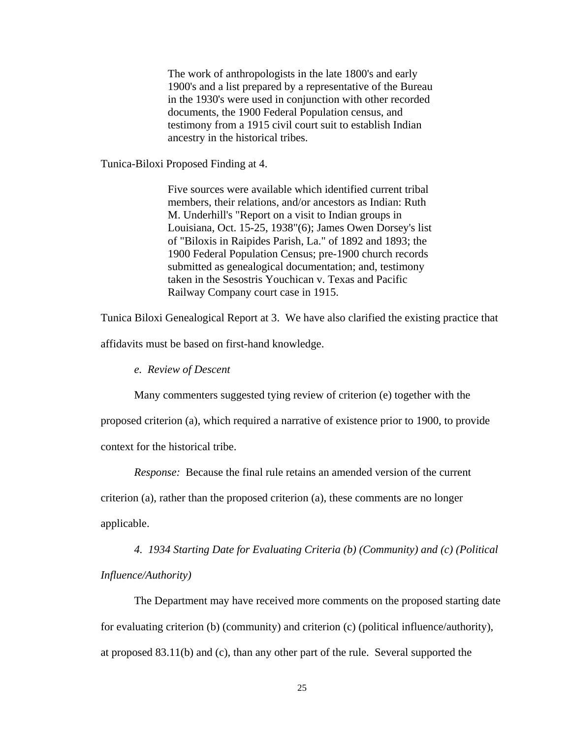The work of anthropologists in the late 1800's and early 1900's and a list prepared by a representative of the Bureau in the 1930's were used in conjunction with other recorded documents, the 1900 Federal Population census, and testimony from a 1915 civil court suit to establish Indian ancestry in the historical tribes.

Tunica-Biloxi Proposed Finding at 4.

Five sources were available which identified current tribal members, their relations, and/or ancestors as Indian: Ruth M. Underhill's "Report on a visit to Indian groups in Louisiana, Oct. 15-25, 1938"(6); James Owen Dorsey's list of "Biloxis in Raipides Parish, La." of 1892 and 1893; the 1900 Federal Population Census; pre-1900 church records submitted as genealogical documentation; and, testimony taken in the Sesostris Youchican v. Texas and Pacific Railway Company court case in 1915.

Tunica Biloxi Genealogical Report at 3. We have also clarified the existing practice that

affidavits must be based on first-hand knowledge.

 *e. Review of Descent* 

Many commenters suggested tying review of criterion (e) together with the

proposed criterion (a), which required a narrative of existence prior to 1900, to provide

context for the historical tribe.

*Response:* Because the final rule retains an amended version of the current

criterion (a), rather than the proposed criterion (a), these comments are no longer applicable.

*4. 1934 Starting Date for Evaluating Criteria (b) (Community) and (c) (Political Influence/Authority)* 

The Department may have received more comments on the proposed starting date for evaluating criterion (b) (community) and criterion (c) (political influence/authority), at proposed 83.11(b) and (c), than any other part of the rule. Several supported the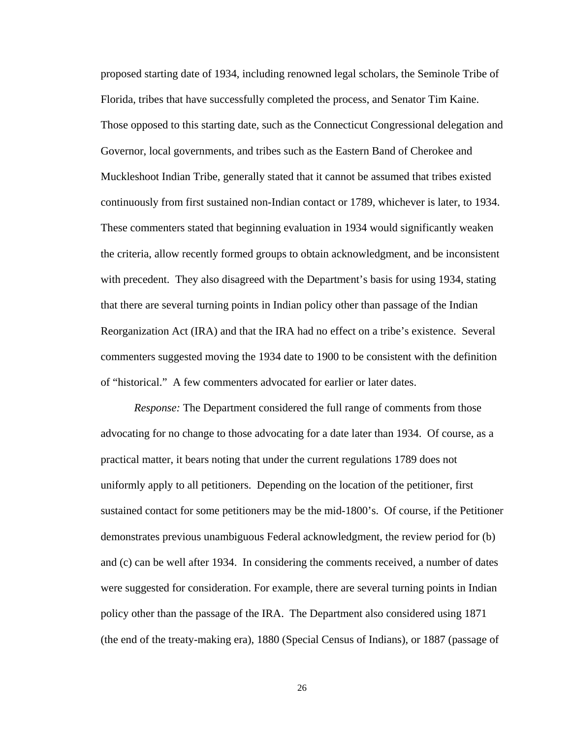proposed starting date of 1934, including renowned legal scholars, the Seminole Tribe of Florida, tribes that have successfully completed the process, and Senator Tim Kaine. Those opposed to this starting date, such as the Connecticut Congressional delegation and Governor, local governments, and tribes such as the Eastern Band of Cherokee and Muckleshoot Indian Tribe, generally stated that it cannot be assumed that tribes existed continuously from first sustained non-Indian contact or 1789, whichever is later, to 1934. These commenters stated that beginning evaluation in 1934 would significantly weaken the criteria, allow recently formed groups to obtain acknowledgment, and be inconsistent with precedent. They also disagreed with the Department's basis for using 1934, stating that there are several turning points in Indian policy other than passage of the Indian Reorganization Act (IRA) and that the IRA had no effect on a tribe's existence. Several commenters suggested moving the 1934 date to 1900 to be consistent with the definition of "historical." A few commenters advocated for earlier or later dates.

*Response:* The Department considered the full range of comments from those advocating for no change to those advocating for a date later than 1934. Of course, as a practical matter, it bears noting that under the current regulations 1789 does not uniformly apply to all petitioners. Depending on the location of the petitioner, first sustained contact for some petitioners may be the mid-1800's. Of course, if the Petitioner demonstrates previous unambiguous Federal acknowledgment, the review period for (b) and (c) can be well after 1934. In considering the comments received, a number of dates were suggested for consideration. For example, there are several turning points in Indian policy other than the passage of the IRA. The Department also considered using 1871 (the end of the treaty-making era), 1880 (Special Census of Indians), or 1887 (passage of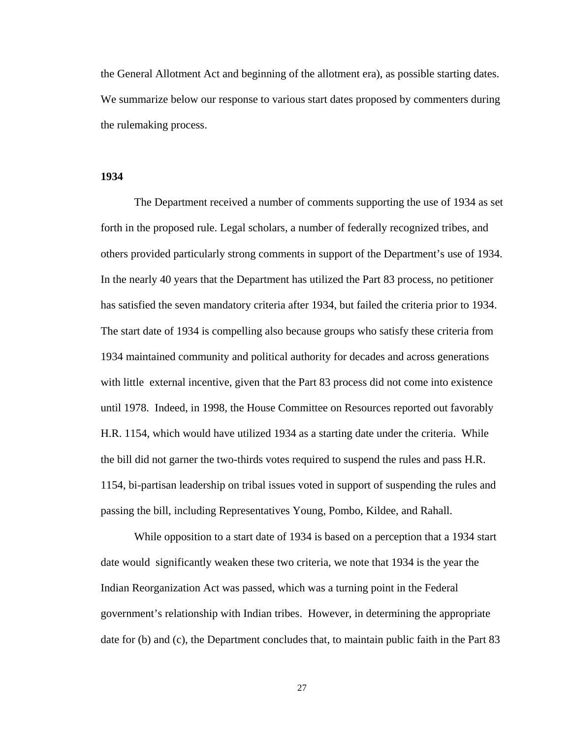the General Allotment Act and beginning of the allotment era), as possible starting dates. We summarize below our response to various start dates proposed by commenters during the rulemaking process.

### **1934**

The Department received a number of comments supporting the use of 1934 as set forth in the proposed rule. Legal scholars, a number of federally recognized tribes, and others provided particularly strong comments in support of the Department's use of 1934. In the nearly 40 years that the Department has utilized the Part 83 process, no petitioner has satisfied the seven mandatory criteria after 1934, but failed the criteria prior to 1934. The start date of 1934 is compelling also because groups who satisfy these criteria from 1934 maintained community and political authority for decades and across generations with little external incentive, given that the Part 83 process did not come into existence until 1978. Indeed, in 1998, the House Committee on Resources reported out favorably H.R. 1154, which would have utilized 1934 as a starting date under the criteria. While the bill did not garner the two-thirds votes required to suspend the rules and pass H.R. 1154, bi-partisan leadership on tribal issues voted in support of suspending the rules and passing the bill, including Representatives Young, Pombo, Kildee, and Rahall.

While opposition to a start date of 1934 is based on a perception that a 1934 start date would significantly weaken these two criteria, we note that 1934 is the year the Indian Reorganization Act was passed, which was a turning point in the Federal government's relationship with Indian tribes. However, in determining the appropriate date for (b) and (c), the Department concludes that, to maintain public faith in the Part 83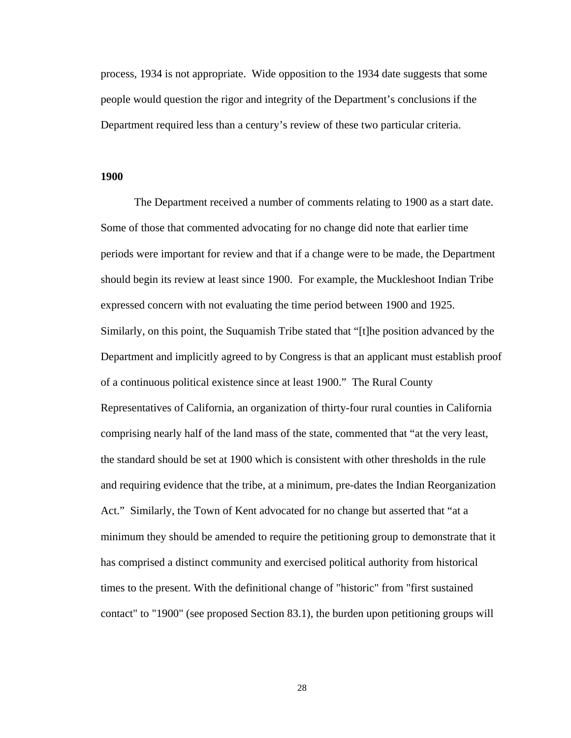process, 1934 is not appropriate. Wide opposition to the 1934 date suggests that some people would question the rigor and integrity of the Department's conclusions if the Department required less than a century's review of these two particular criteria.

#### **1900**

The Department received a number of comments relating to 1900 as a start date. Some of those that commented advocating for no change did note that earlier time periods were important for review and that if a change were to be made, the Department should begin its review at least since 1900. For example, the Muckleshoot Indian Tribe expressed concern with not evaluating the time period between 1900 and 1925. Similarly, on this point, the Suquamish Tribe stated that "[t]he position advanced by the Department and implicitly agreed to by Congress is that an applicant must establish proof of a continuous political existence since at least 1900." The Rural County Representatives of California, an organization of thirty-four rural counties in California comprising nearly half of the land mass of the state, commented that "at the very least, the standard should be set at 1900 which is consistent with other thresholds in the rule and requiring evidence that the tribe, at a minimum, pre-dates the Indian Reorganization Act." Similarly, the Town of Kent advocated for no change but asserted that "at a minimum they should be amended to require the petitioning group to demonstrate that it has comprised a distinct community and exercised political authority from historical times to the present. With the definitional change of "historic" from "first sustained contact" to "1900" (see proposed Section 83.1), the burden upon petitioning groups will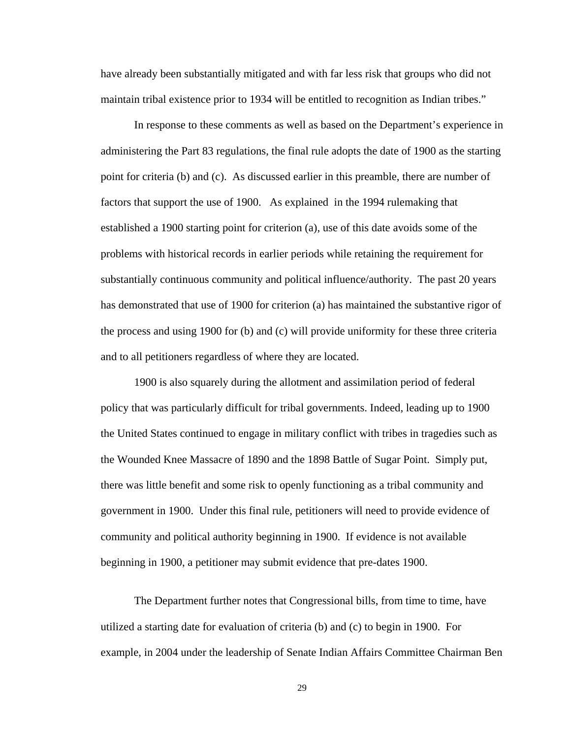have already been substantially mitigated and with far less risk that groups who did not maintain tribal existence prior to 1934 will be entitled to recognition as Indian tribes."

In response to these comments as well as based on the Department's experience in administering the Part 83 regulations, the final rule adopts the date of 1900 as the starting point for criteria (b) and (c). As discussed earlier in this preamble, there are number of factors that support the use of 1900. As explained in the 1994 rulemaking that established a 1900 starting point for criterion (a), use of this date avoids some of the problems with historical records in earlier periods while retaining the requirement for substantially continuous community and political influence/authority. The past 20 years has demonstrated that use of 1900 for criterion (a) has maintained the substantive rigor of the process and using 1900 for (b) and (c) will provide uniformity for these three criteria and to all petitioners regardless of where they are located.

1900 is also squarely during the allotment and assimilation period of federal policy that was particularly difficult for tribal governments. Indeed, leading up to 1900 the United States continued to engage in military conflict with tribes in tragedies such as the Wounded Knee Massacre of 1890 and the 1898 Battle of Sugar Point. Simply put, there was little benefit and some risk to openly functioning as a tribal community and government in 1900. Under this final rule, petitioners will need to provide evidence of community and political authority beginning in 1900. If evidence is not available beginning in 1900, a petitioner may submit evidence that pre-dates 1900.

The Department further notes that Congressional bills, from time to time, have utilized a starting date for evaluation of criteria (b) and (c) to begin in 1900. For example, in 2004 under the leadership of Senate Indian Affairs Committee Chairman Ben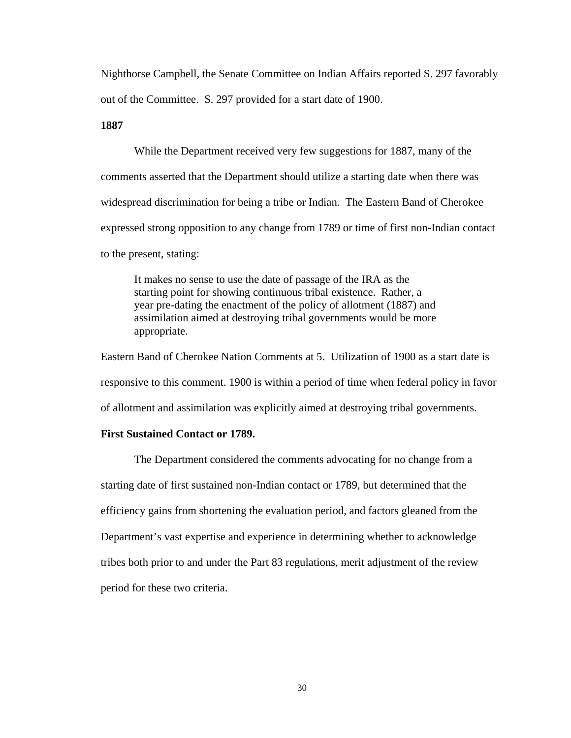Nighthorse Campbell, the Senate Committee on Indian Affairs reported S. 297 favorably out of the Committee. S. 297 provided for a start date of 1900.

# **1887**

While the Department received very few suggestions for 1887, many of the comments asserted that the Department should utilize a starting date when there was widespread discrimination for being a tribe or Indian. The Eastern Band of Cherokee expressed strong opposition to any change from 1789 or time of first non-Indian contact to the present, stating:

It makes no sense to use the date of passage of the IRA as the starting point for showing continuous tribal existence. Rather, a year pre-dating the enactment of the policy of allotment (1887) and assimilation aimed at destroying tribal governments would be more appropriate.

Eastern Band of Cherokee Nation Comments at 5. Utilization of 1900 as a start date is responsive to this comment. 1900 is within a period of time when federal policy in favor of allotment and assimilation was explicitly aimed at destroying tribal governments.

#### **First Sustained Contact or 1789.**

The Department considered the comments advocating for no change from a starting date of first sustained non-Indian contact or 1789, but determined that the efficiency gains from shortening the evaluation period, and factors gleaned from the Department's vast expertise and experience in determining whether to acknowledge tribes both prior to and under the Part 83 regulations, merit adjustment of the review period for these two criteria.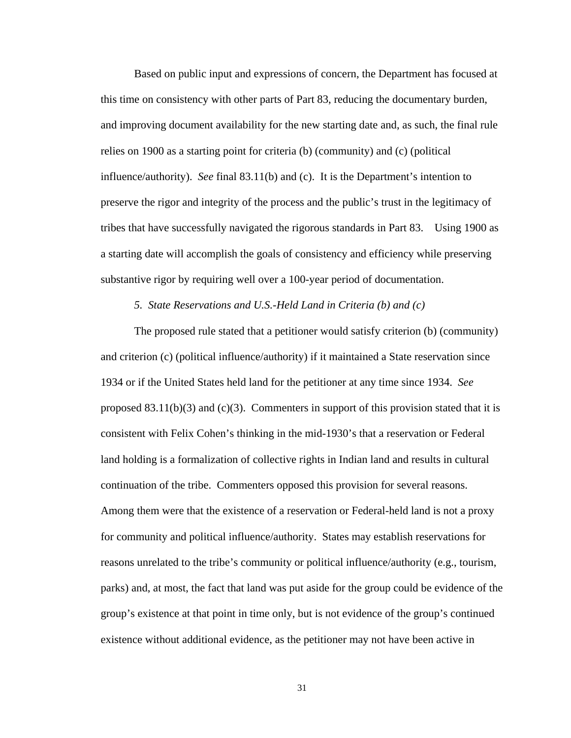Based on public input and expressions of concern, the Department has focused at this time on consistency with other parts of Part 83, reducing the documentary burden, and improving document availability for the new starting date and, as such, the final rule relies on 1900 as a starting point for criteria (b) (community) and (c) (political influence/authority). *See* final 83.11(b) and (c). It is the Department's intention to preserve the rigor and integrity of the process and the public's trust in the legitimacy of tribes that have successfully navigated the rigorous standards in Part 83. Using 1900 as a starting date will accomplish the goals of consistency and efficiency while preserving substantive rigor by requiring well over a 100-year period of documentation.

#### *5. State Reservations and U.S.-Held Land in Criteria (b) and (c)*

The proposed rule stated that a petitioner would satisfy criterion (b) (community) and criterion (c) (political influence/authority) if it maintained a State reservation since 1934 or if the United States held land for the petitioner at any time since 1934. *See*  proposed  $83.11(b)(3)$  and  $(c)(3)$ . Commenters in support of this provision stated that it is consistent with Felix Cohen's thinking in the mid-1930's that a reservation or Federal land holding is a formalization of collective rights in Indian land and results in cultural continuation of the tribe. Commenters opposed this provision for several reasons. Among them were that the existence of a reservation or Federal-held land is not a proxy for community and political influence/authority. States may establish reservations for reasons unrelated to the tribe's community or political influence/authority (e.g., tourism, parks) and, at most, the fact that land was put aside for the group could be evidence of the group's existence at that point in time only, but is not evidence of the group's continued existence without additional evidence, as the petitioner may not have been active in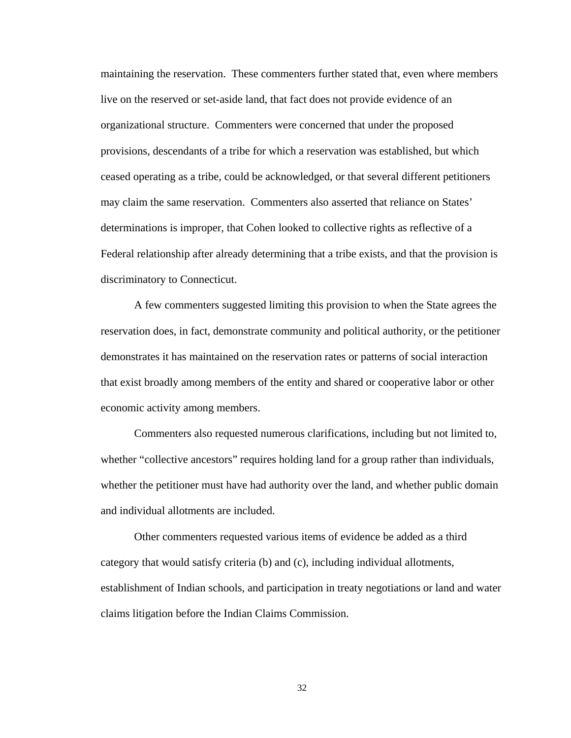maintaining the reservation. These commenters further stated that, even where members live on the reserved or set-aside land, that fact does not provide evidence of an organizational structure. Commenters were concerned that under the proposed provisions, descendants of a tribe for which a reservation was established, but which ceased operating as a tribe, could be acknowledged, or that several different petitioners may claim the same reservation. Commenters also asserted that reliance on States' determinations is improper, that Cohen looked to collective rights as reflective of a Federal relationship after already determining that a tribe exists, and that the provision is discriminatory to Connecticut.

A few commenters suggested limiting this provision to when the State agrees the reservation does, in fact, demonstrate community and political authority, or the petitioner demonstrates it has maintained on the reservation rates or patterns of social interaction that exist broadly among members of the entity and shared or cooperative labor or other economic activity among members.

Commenters also requested numerous clarifications, including but not limited to, whether "collective ancestors" requires holding land for a group rather than individuals, whether the petitioner must have had authority over the land, and whether public domain and individual allotments are included.

Other commenters requested various items of evidence be added as a third category that would satisfy criteria (b) and (c), including individual allotments, establishment of Indian schools, and participation in treaty negotiations or land and water claims litigation before the Indian Claims Commission.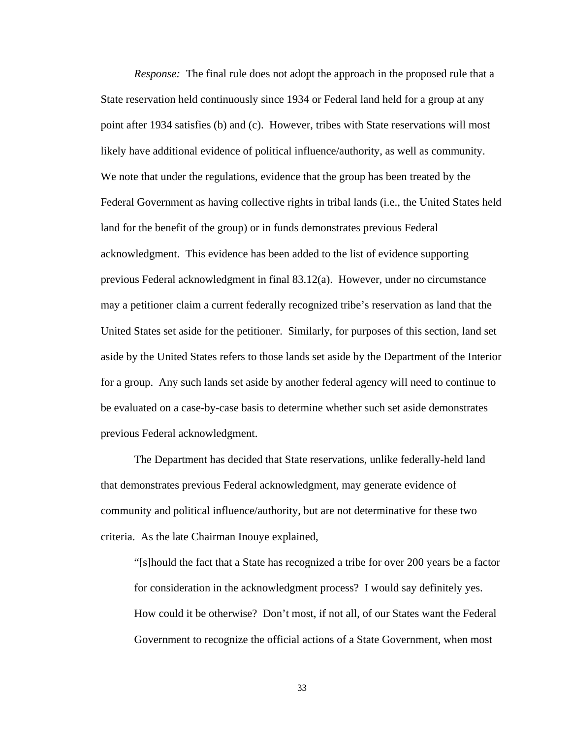*Response:* The final rule does not adopt the approach in the proposed rule that a State reservation held continuously since 1934 or Federal land held for a group at any point after 1934 satisfies (b) and (c). However, tribes with State reservations will most likely have additional evidence of political influence/authority, as well as community. We note that under the regulations, evidence that the group has been treated by the Federal Government as having collective rights in tribal lands (i.e., the United States held land for the benefit of the group) or in funds demonstrates previous Federal acknowledgment. This evidence has been added to the list of evidence supporting previous Federal acknowledgment in final 83.12(a). However, under no circumstance may a petitioner claim a current federally recognized tribe's reservation as land that the United States set aside for the petitioner. Similarly, for purposes of this section, land set aside by the United States refers to those lands set aside by the Department of the Interior for a group. Any such lands set aside by another federal agency will need to continue to be evaluated on a case-by-case basis to determine whether such set aside demonstrates previous Federal acknowledgment.

The Department has decided that State reservations, unlike federally-held land that demonstrates previous Federal acknowledgment, may generate evidence of community and political influence/authority, but are not determinative for these two criteria. As the late Chairman Inouye explained,

"[s]hould the fact that a State has recognized a tribe for over 200 years be a factor for consideration in the acknowledgment process? I would say definitely yes. How could it be otherwise? Don't most, if not all, of our States want the Federal Government to recognize the official actions of a State Government, when most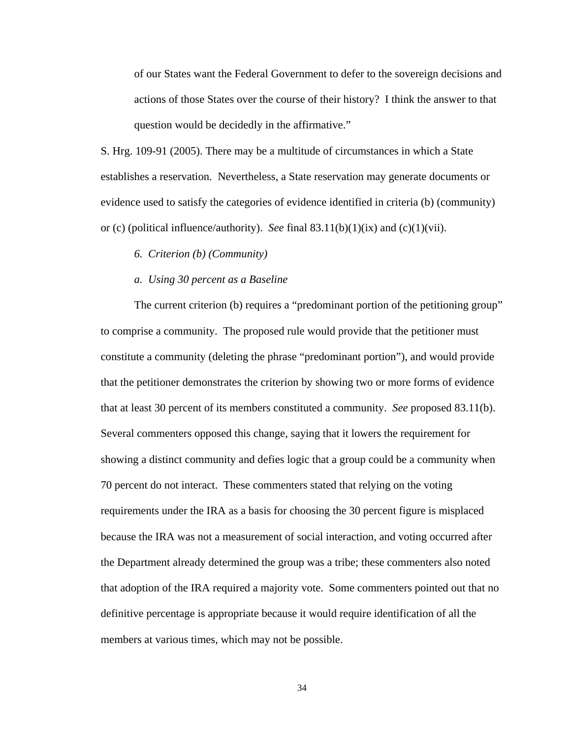of our States want the Federal Government to defer to the sovereign decisions and actions of those States over the course of their history? I think the answer to that question would be decidedly in the affirmative."

S. Hrg. 109-91 (2005). There may be a multitude of circumstances in which a State establishes a reservation. Nevertheless, a State reservation may generate documents or evidence used to satisfy the categories of evidence identified in criteria (b) (community) or (c) (political influence/authority). *See* final 83.11(b)(1)(ix) and (c)(1)(vii).

### *6. Criterion (b) (Community)*

#### *a. Using 30 percent as a Baseline*

The current criterion (b) requires a "predominant portion of the petitioning group" to comprise a community. The proposed rule would provide that the petitioner must constitute a community (deleting the phrase "predominant portion"), and would provide that the petitioner demonstrates the criterion by showing two or more forms of evidence that at least 30 percent of its members constituted a community. *See* proposed 83.11(b). Several commenters opposed this change, saying that it lowers the requirement for showing a distinct community and defies logic that a group could be a community when 70 percent do not interact. These commenters stated that relying on the voting requirements under the IRA as a basis for choosing the 30 percent figure is misplaced because the IRA was not a measurement of social interaction, and voting occurred after the Department already determined the group was a tribe; these commenters also noted that adoption of the IRA required a majority vote. Some commenters pointed out that no definitive percentage is appropriate because it would require identification of all the members at various times, which may not be possible.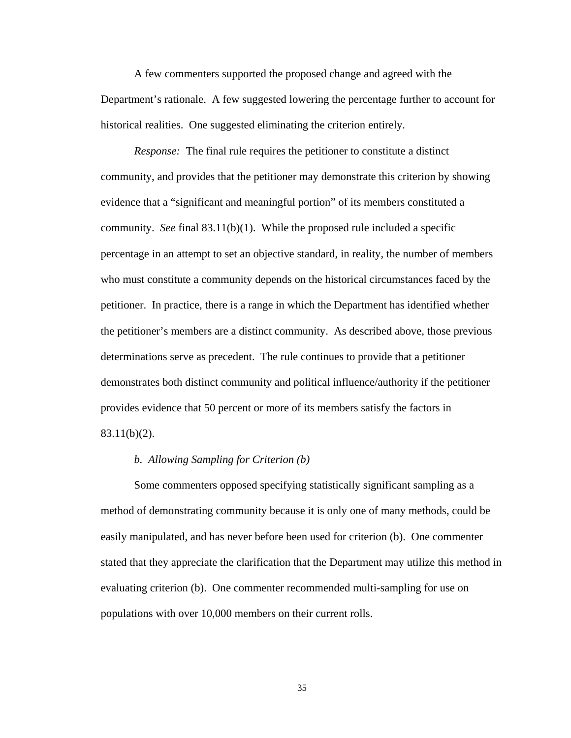A few commenters supported the proposed change and agreed with the Department's rationale. A few suggested lowering the percentage further to account for historical realities. One suggested eliminating the criterion entirely.

*Response:* The final rule requires the petitioner to constitute a distinct community, and provides that the petitioner may demonstrate this criterion by showing evidence that a "significant and meaningful portion" of its members constituted a community. *See* final 83.11(b)(1). While the proposed rule included a specific percentage in an attempt to set an objective standard, in reality, the number of members who must constitute a community depends on the historical circumstances faced by the petitioner. In practice, there is a range in which the Department has identified whether the petitioner's members are a distinct community. As described above, those previous determinations serve as precedent. The rule continues to provide that a petitioner demonstrates both distinct community and political influence/authority if the petitioner provides evidence that 50 percent or more of its members satisfy the factors in 83.11(b)(2).

# *b. Allowing Sampling for Criterion (b)*

Some commenters opposed specifying statistically significant sampling as a method of demonstrating community because it is only one of many methods, could be easily manipulated, and has never before been used for criterion (b). One commenter stated that they appreciate the clarification that the Department may utilize this method in evaluating criterion (b). One commenter recommended multi-sampling for use on populations with over 10,000 members on their current rolls.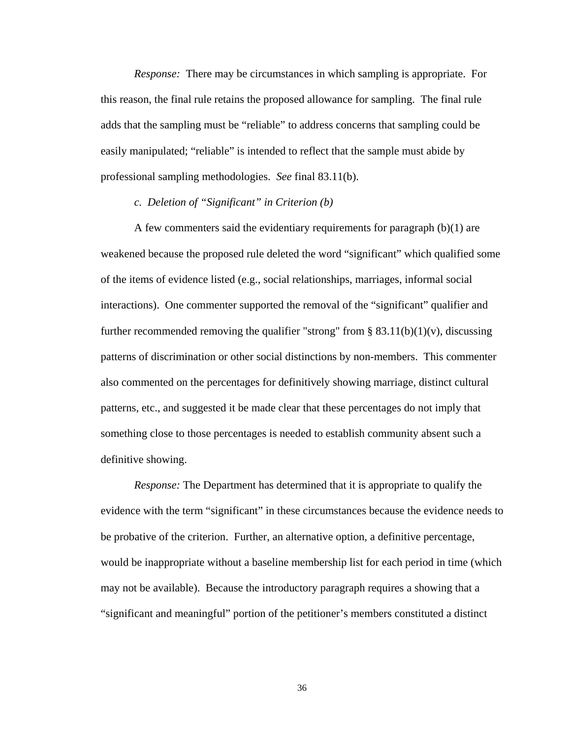*Response:* There may be circumstances in which sampling is appropriate. For this reason, the final rule retains the proposed allowance for sampling. The final rule adds that the sampling must be "reliable" to address concerns that sampling could be easily manipulated; "reliable" is intended to reflect that the sample must abide by professional sampling methodologies. *See* final 83.11(b).

# *c. Deletion of "Significant" in Criterion (b)*

A few commenters said the evidentiary requirements for paragraph (b)(1) are weakened because the proposed rule deleted the word "significant" which qualified some of the items of evidence listed (e.g., social relationships, marriages, informal social interactions). One commenter supported the removal of the "significant" qualifier and further recommended removing the qualifier "strong" from § 83.11(b)(1)(v), discussing patterns of discrimination or other social distinctions by non-members. This commenter also commented on the percentages for definitively showing marriage, distinct cultural patterns, etc., and suggested it be made clear that these percentages do not imply that something close to those percentages is needed to establish community absent such a definitive showing.

*Response:* The Department has determined that it is appropriate to qualify the evidence with the term "significant" in these circumstances because the evidence needs to be probative of the criterion. Further, an alternative option, a definitive percentage, would be inappropriate without a baseline membership list for each period in time (which may not be available). Because the introductory paragraph requires a showing that a "significant and meaningful" portion of the petitioner's members constituted a distinct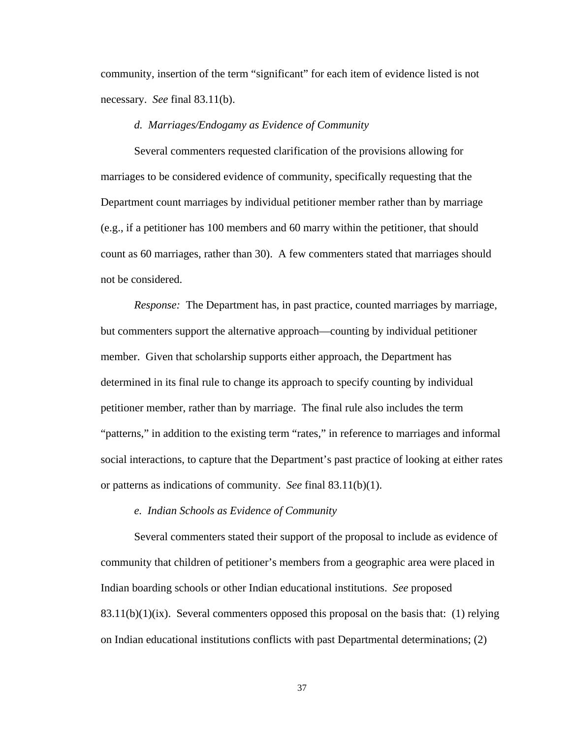community, insertion of the term "significant" for each item of evidence listed is not necessary. *See* final 83.11(b).

# *d. Marriages/Endogamy as Evidence of Community*

Several commenters requested clarification of the provisions allowing for marriages to be considered evidence of community, specifically requesting that the Department count marriages by individual petitioner member rather than by marriage (e.g., if a petitioner has 100 members and 60 marry within the petitioner, that should count as 60 marriages, rather than 30). A few commenters stated that marriages should not be considered.

*Response:* The Department has, in past practice, counted marriages by marriage, but commenters support the alternative approach—counting by individual petitioner member. Given that scholarship supports either approach, the Department has determined in its final rule to change its approach to specify counting by individual petitioner member, rather than by marriage. The final rule also includes the term "patterns," in addition to the existing term "rates," in reference to marriages and informal social interactions, to capture that the Department's past practice of looking at either rates or patterns as indications of community. *See* final 83.11(b)(1).

## *e. Indian Schools as Evidence of Community*

Several commenters stated their support of the proposal to include as evidence of community that children of petitioner's members from a geographic area were placed in Indian boarding schools or other Indian educational institutions. *See* proposed  $83.11(b)(1)(ix)$ . Several commenters opposed this proposal on the basis that: (1) relying on Indian educational institutions conflicts with past Departmental determinations; (2)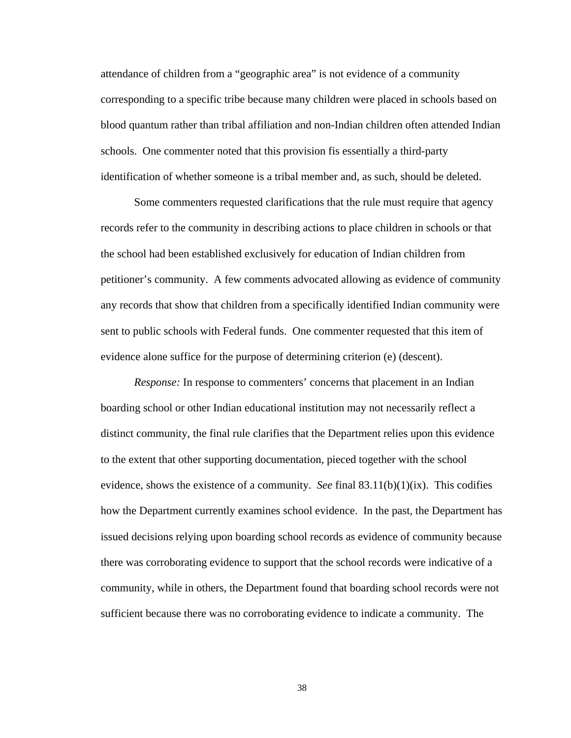attendance of children from a "geographic area" is not evidence of a community corresponding to a specific tribe because many children were placed in schools based on blood quantum rather than tribal affiliation and non-Indian children often attended Indian schools. One commenter noted that this provision fis essentially a third-party identification of whether someone is a tribal member and, as such, should be deleted.

Some commenters requested clarifications that the rule must require that agency records refer to the community in describing actions to place children in schools or that the school had been established exclusively for education of Indian children from petitioner's community. A few comments advocated allowing as evidence of community any records that show that children from a specifically identified Indian community were sent to public schools with Federal funds. One commenter requested that this item of evidence alone suffice for the purpose of determining criterion (e) (descent).

*Response:* In response to commenters' concerns that placement in an Indian boarding school or other Indian educational institution may not necessarily reflect a distinct community, the final rule clarifies that the Department relies upon this evidence to the extent that other supporting documentation, pieced together with the school evidence, shows the existence of a community. *See* final  $83.11(b)(1)(ix)$ . This codifies how the Department currently examines school evidence. In the past, the Department has issued decisions relying upon boarding school records as evidence of community because there was corroborating evidence to support that the school records were indicative of a community, while in others, the Department found that boarding school records were not sufficient because there was no corroborating evidence to indicate a community. The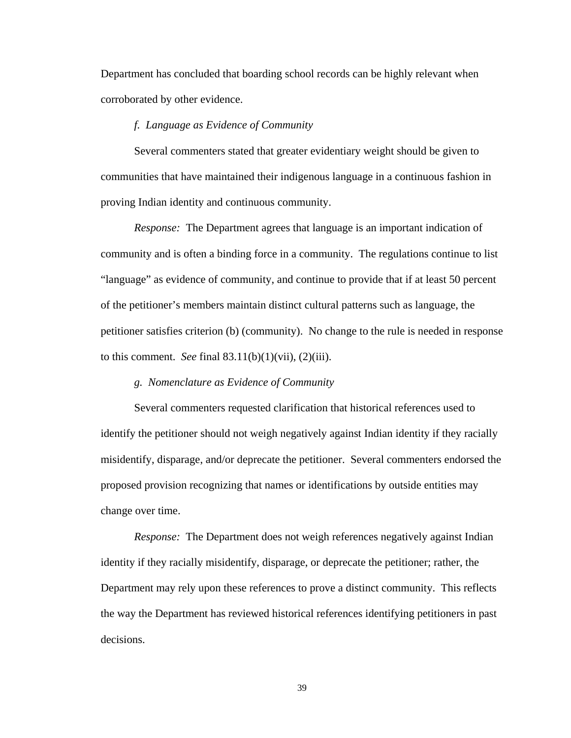Department has concluded that boarding school records can be highly relevant when corroborated by other evidence.

## *f. Language as Evidence of Community*

Several commenters stated that greater evidentiary weight should be given to communities that have maintained their indigenous language in a continuous fashion in proving Indian identity and continuous community.

*Response:* The Department agrees that language is an important indication of community and is often a binding force in a community. The regulations continue to list "language" as evidence of community, and continue to provide that if at least 50 percent of the petitioner's members maintain distinct cultural patterns such as language, the petitioner satisfies criterion (b) (community). No change to the rule is needed in response to this comment. *See* final 83.11(b)(1)(vii), (2)(iii).

# *g. Nomenclature as Evidence of Community*

Several commenters requested clarification that historical references used to identify the petitioner should not weigh negatively against Indian identity if they racially misidentify, disparage, and/or deprecate the petitioner. Several commenters endorsed the proposed provision recognizing that names or identifications by outside entities may change over time.

*Response:* The Department does not weigh references negatively against Indian identity if they racially misidentify, disparage, or deprecate the petitioner; rather, the Department may rely upon these references to prove a distinct community. This reflects the way the Department has reviewed historical references identifying petitioners in past decisions.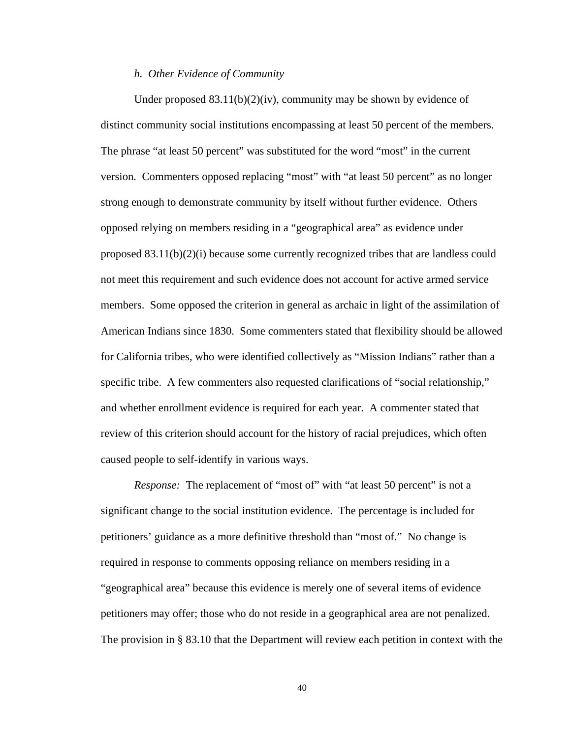## *h. Other Evidence of Community*

Under proposed  $83.11(b)(2)(iv)$ , community may be shown by evidence of distinct community social institutions encompassing at least 50 percent of the members. The phrase "at least 50 percent" was substituted for the word "most" in the current version. Commenters opposed replacing "most" with "at least 50 percent" as no longer strong enough to demonstrate community by itself without further evidence. Others opposed relying on members residing in a "geographical area" as evidence under proposed  $83.11(b)(2)(i)$  because some currently recognized tribes that are landless could not meet this requirement and such evidence does not account for active armed service members. Some opposed the criterion in general as archaic in light of the assimilation of American Indians since 1830. Some commenters stated that flexibility should be allowed for California tribes, who were identified collectively as "Mission Indians" rather than a specific tribe. A few commenters also requested clarifications of "social relationship," and whether enrollment evidence is required for each year. A commenter stated that review of this criterion should account for the history of racial prejudices, which often caused people to self-identify in various ways.

*Response:* The replacement of "most of" with "at least 50 percent" is not a significant change to the social institution evidence. The percentage is included for petitioners' guidance as a more definitive threshold than "most of." No change is required in response to comments opposing reliance on members residing in a "geographical area" because this evidence is merely one of several items of evidence petitioners may offer; those who do not reside in a geographical area are not penalized. The provision in § 83.10 that the Department will review each petition in context with the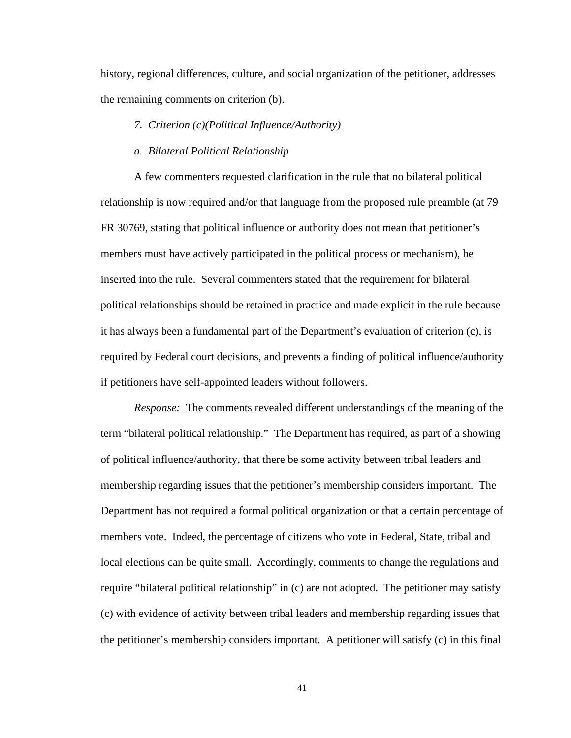history, regional differences, culture, and social organization of the petitioner, addresses the remaining comments on criterion (b).

# *7. Criterion (c)(Political Influence/Authority)*

#### *a. Bilateral Political Relationship*

A few commenters requested clarification in the rule that no bilateral political relationship is now required and/or that language from the proposed rule preamble (at 79 FR 30769, stating that political influence or authority does not mean that petitioner's members must have actively participated in the political process or mechanism), be inserted into the rule. Several commenters stated that the requirement for bilateral political relationships should be retained in practice and made explicit in the rule because it has always been a fundamental part of the Department's evaluation of criterion (c), is required by Federal court decisions, and prevents a finding of political influence/authority if petitioners have self-appointed leaders without followers.

*Response:* The comments revealed different understandings of the meaning of the term "bilateral political relationship." The Department has required, as part of a showing of political influence/authority, that there be some activity between tribal leaders and membership regarding issues that the petitioner's membership considers important. The Department has not required a formal political organization or that a certain percentage of members vote. Indeed, the percentage of citizens who vote in Federal, State, tribal and local elections can be quite small. Accordingly, comments to change the regulations and require "bilateral political relationship" in (c) are not adopted. The petitioner may satisfy (c) with evidence of activity between tribal leaders and membership regarding issues that the petitioner's membership considers important. A petitioner will satisfy (c) in this final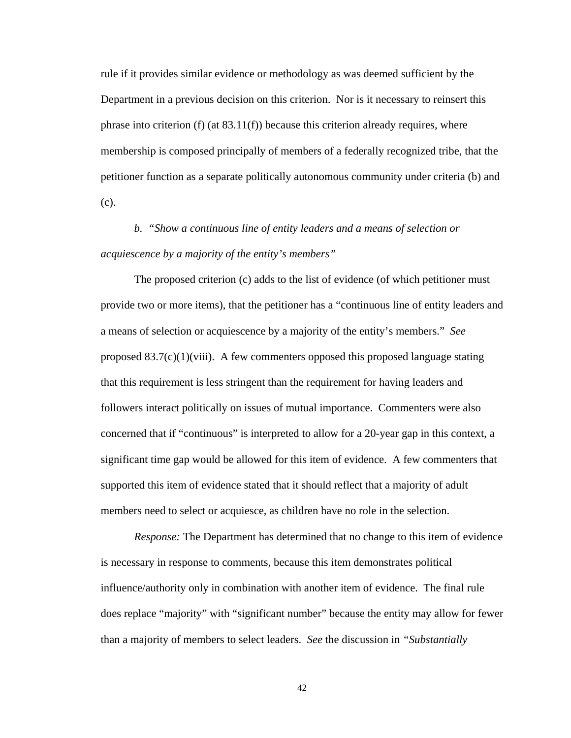rule if it provides similar evidence or methodology as was deemed sufficient by the Department in a previous decision on this criterion. Nor is it necessary to reinsert this phrase into criterion  $(f)$  (at  $83.11(f)$ ) because this criterion already requires, where membership is composed principally of members of a federally recognized tribe, that the petitioner function as a separate politically autonomous community under criteria (b) and (c).

# *b. "Show a continuous line of entity leaders and a means of selection or acquiescence by a majority of the entity's members"*

The proposed criterion (c) adds to the list of evidence (of which petitioner must provide two or more items), that the petitioner has a "continuous line of entity leaders and a means of selection or acquiescence by a majority of the entity's members." *See*  proposed  $83.7(c)(1)(viii)$ . A few commenters opposed this proposed language stating that this requirement is less stringent than the requirement for having leaders and followers interact politically on issues of mutual importance. Commenters were also concerned that if "continuous" is interpreted to allow for a 20-year gap in this context, a significant time gap would be allowed for this item of evidence. A few commenters that supported this item of evidence stated that it should reflect that a majority of adult members need to select or acquiesce, as children have no role in the selection.

*Response:* The Department has determined that no change to this item of evidence is necessary in response to comments, because this item demonstrates political influence/authority only in combination with another item of evidence. The final rule does replace "majority" with "significant number" because the entity may allow for fewer than a majority of members to select leaders. *See* the discussion in *"Substantially*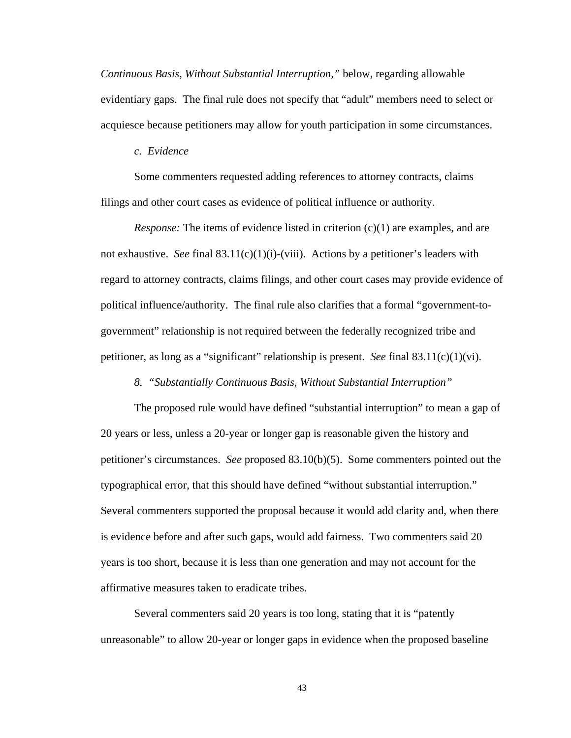*Continuous Basis, Without Substantial Interruption,"* below, regarding allowable evidentiary gaps. The final rule does not specify that "adult" members need to select or acquiesce because petitioners may allow for youth participation in some circumstances.

## *c. Evidence*

Some commenters requested adding references to attorney contracts, claims filings and other court cases as evidence of political influence or authority.

*Response:* The items of evidence listed in criterion  $(c)(1)$  are examples, and are not exhaustive. *See* final  $83.11(c)(1)(i)$ -(viii). Actions by a petitioner's leaders with regard to attorney contracts, claims filings, and other court cases may provide evidence of political influence/authority. The final rule also clarifies that a formal "government-togovernment" relationship is not required between the federally recognized tribe and petitioner, as long as a "significant" relationship is present. *See* final 83.11(c)(1)(vi).

*8. "Substantially Continuous Basis, Without Substantial Interruption"* 

The proposed rule would have defined "substantial interruption" to mean a gap of 20 years or less, unless a 20-year or longer gap is reasonable given the history and petitioner's circumstances. *See* proposed 83.10(b)(5). Some commenters pointed out the typographical error, that this should have defined "without substantial interruption." Several commenters supported the proposal because it would add clarity and, when there is evidence before and after such gaps, would add fairness. Two commenters said 20 years is too short, because it is less than one generation and may not account for the affirmative measures taken to eradicate tribes.

Several commenters said 20 years is too long, stating that it is "patently unreasonable" to allow 20-year or longer gaps in evidence when the proposed baseline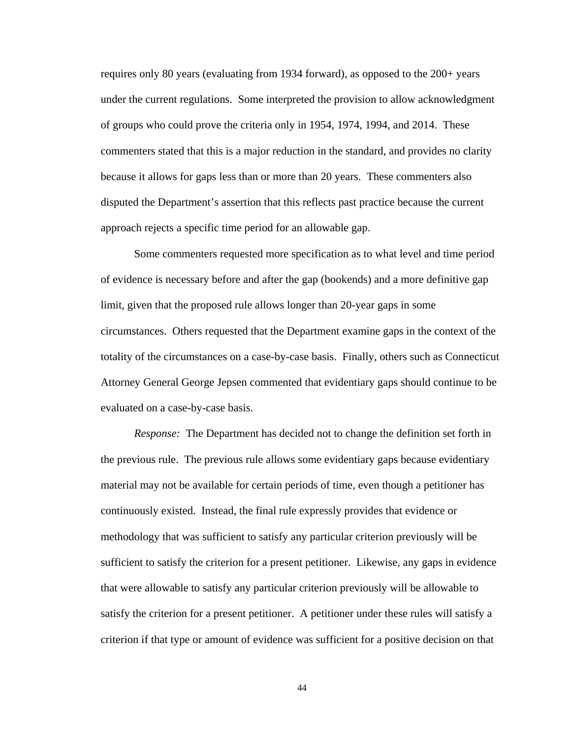requires only 80 years (evaluating from 1934 forward), as opposed to the 200+ years under the current regulations. Some interpreted the provision to allow acknowledgment of groups who could prove the criteria only in 1954, 1974, 1994, and 2014. These commenters stated that this is a major reduction in the standard, and provides no clarity because it allows for gaps less than or more than 20 years. These commenters also disputed the Department's assertion that this reflects past practice because the current approach rejects a specific time period for an allowable gap.

Some commenters requested more specification as to what level and time period of evidence is necessary before and after the gap (bookends) and a more definitive gap limit, given that the proposed rule allows longer than 20-year gaps in some circumstances. Others requested that the Department examine gaps in the context of the totality of the circumstances on a case-by-case basis. Finally, others such as Connecticut Attorney General George Jepsen commented that evidentiary gaps should continue to be evaluated on a case-by-case basis.

*Response:* The Department has decided not to change the definition set forth in the previous rule. The previous rule allows some evidentiary gaps because evidentiary material may not be available for certain periods of time, even though a petitioner has continuously existed. Instead, the final rule expressly provides that evidence or methodology that was sufficient to satisfy any particular criterion previously will be sufficient to satisfy the criterion for a present petitioner. Likewise, any gaps in evidence that were allowable to satisfy any particular criterion previously will be allowable to satisfy the criterion for a present petitioner. A petitioner under these rules will satisfy a criterion if that type or amount of evidence was sufficient for a positive decision on that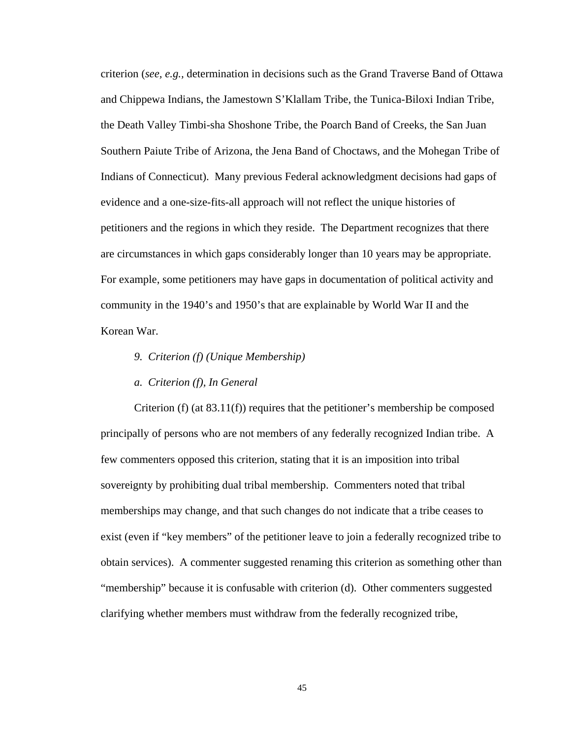criterion (*see, e.g.,* determination in decisions such as the Grand Traverse Band of Ottawa and Chippewa Indians, the Jamestown S'Klallam Tribe, the Tunica-Biloxi Indian Tribe, the Death Valley Timbi-sha Shoshone Tribe, the Poarch Band of Creeks, the San Juan Southern Paiute Tribe of Arizona, the Jena Band of Choctaws, and the Mohegan Tribe of Indians of Connecticut). Many previous Federal acknowledgment decisions had gaps of evidence and a one-size-fits-all approach will not reflect the unique histories of petitioners and the regions in which they reside. The Department recognizes that there are circumstances in which gaps considerably longer than 10 years may be appropriate. For example, some petitioners may have gaps in documentation of political activity and community in the 1940's and 1950's that are explainable by World War II and the Korean War.

- *9. Criterion (f) (Unique Membership)*
- *a. Criterion (f), In General*

Criterion (f) (at  $83.11(f)$ ) requires that the petitioner's membership be composed principally of persons who are not members of any federally recognized Indian tribe. A few commenters opposed this criterion, stating that it is an imposition into tribal sovereignty by prohibiting dual tribal membership. Commenters noted that tribal memberships may change, and that such changes do not indicate that a tribe ceases to exist (even if "key members" of the petitioner leave to join a federally recognized tribe to obtain services). A commenter suggested renaming this criterion as something other than "membership" because it is confusable with criterion (d). Other commenters suggested clarifying whether members must withdraw from the federally recognized tribe,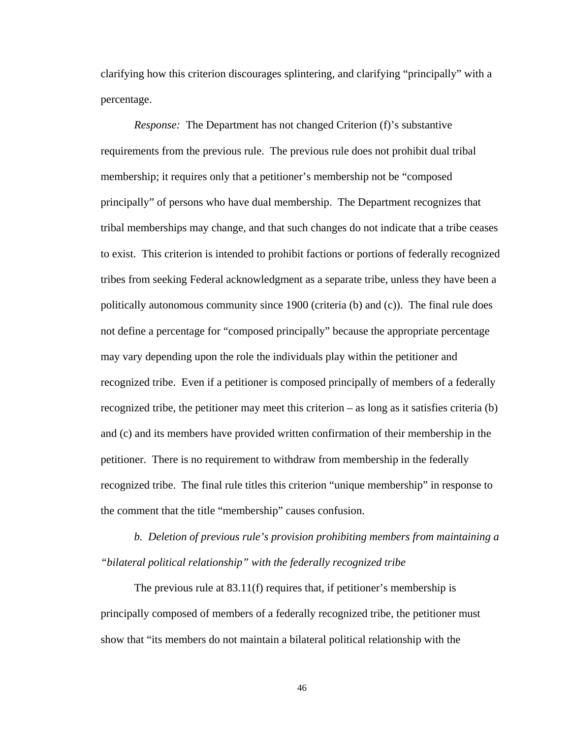clarifying how this criterion discourages splintering, and clarifying "principally" with a percentage.

*Response:* The Department has not changed Criterion (f)'s substantive requirements from the previous rule. The previous rule does not prohibit dual tribal membership; it requires only that a petitioner's membership not be "composed principally" of persons who have dual membership. The Department recognizes that tribal memberships may change, and that such changes do not indicate that a tribe ceases to exist. This criterion is intended to prohibit factions or portions of federally recognized tribes from seeking Federal acknowledgment as a separate tribe, unless they have been a politically autonomous community since 1900 (criteria (b) and (c)). The final rule does not define a percentage for "composed principally" because the appropriate percentage may vary depending upon the role the individuals play within the petitioner and recognized tribe. Even if a petitioner is composed principally of members of a federally recognized tribe, the petitioner may meet this criterion – as long as it satisfies criteria (b) and (c) and its members have provided written confirmation of their membership in the petitioner. There is no requirement to withdraw from membership in the federally recognized tribe. The final rule titles this criterion "unique membership" in response to the comment that the title "membership" causes confusion.

*b. Deletion of previous rule's provision prohibiting members from maintaining a "bilateral political relationship" with the federally recognized tribe* 

The previous rule at 83.11(f) requires that, if petitioner's membership is principally composed of members of a federally recognized tribe, the petitioner must show that "its members do not maintain a bilateral political relationship with the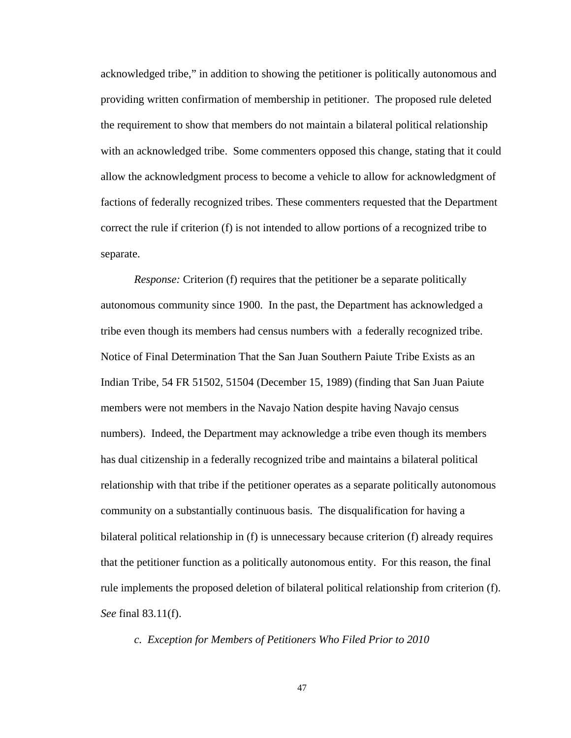acknowledged tribe," in addition to showing the petitioner is politically autonomous and providing written confirmation of membership in petitioner. The proposed rule deleted the requirement to show that members do not maintain a bilateral political relationship with an acknowledged tribe. Some commenters opposed this change, stating that it could allow the acknowledgment process to become a vehicle to allow for acknowledgment of factions of federally recognized tribes. These commenters requested that the Department correct the rule if criterion (f) is not intended to allow portions of a recognized tribe to separate.

*Response:* Criterion (f) requires that the petitioner be a separate politically autonomous community since 1900. In the past, the Department has acknowledged a tribe even though its members had census numbers with a federally recognized tribe. Notice of Final Determination That the San Juan Southern Paiute Tribe Exists as an Indian Tribe*,* 54 FR 51502, 51504 (December 15, 1989) (finding that San Juan Paiute members were not members in the Navajo Nation despite having Navajo census numbers). Indeed, the Department may acknowledge a tribe even though its members has dual citizenship in a federally recognized tribe and maintains a bilateral political relationship with that tribe if the petitioner operates as a separate politically autonomous community on a substantially continuous basis. The disqualification for having a bilateral political relationship in (f) is unnecessary because criterion (f) already requires that the petitioner function as a politically autonomous entity. For this reason, the final rule implements the proposed deletion of bilateral political relationship from criterion (f). *See* final 83.11(f).

*c. Exception for Members of Petitioners Who Filed Prior to 2010*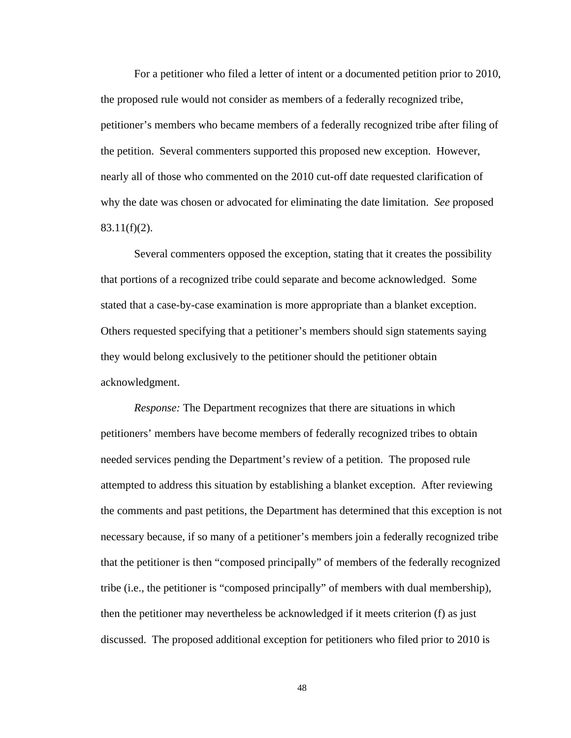For a petitioner who filed a letter of intent or a documented petition prior to 2010, the proposed rule would not consider as members of a federally recognized tribe, petitioner's members who became members of a federally recognized tribe after filing of the petition. Several commenters supported this proposed new exception. However, nearly all of those who commented on the 2010 cut-off date requested clarification of why the date was chosen or advocated for eliminating the date limitation. *See* proposed  $83.11(f)(2)$ .

Several commenters opposed the exception, stating that it creates the possibility that portions of a recognized tribe could separate and become acknowledged. Some stated that a case-by-case examination is more appropriate than a blanket exception. Others requested specifying that a petitioner's members should sign statements saying they would belong exclusively to the petitioner should the petitioner obtain acknowledgment.

*Response:* The Department recognizes that there are situations in which petitioners' members have become members of federally recognized tribes to obtain needed services pending the Department's review of a petition. The proposed rule attempted to address this situation by establishing a blanket exception. After reviewing the comments and past petitions, the Department has determined that this exception is not necessary because, if so many of a petitioner's members join a federally recognized tribe that the petitioner is then "composed principally" of members of the federally recognized tribe (i.e., the petitioner is "composed principally" of members with dual membership), then the petitioner may nevertheless be acknowledged if it meets criterion (f) as just discussed. The proposed additional exception for petitioners who filed prior to 2010 is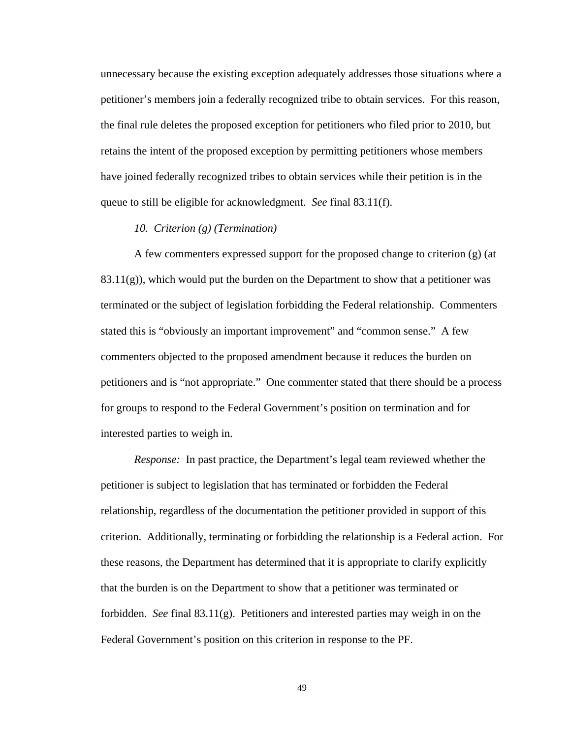unnecessary because the existing exception adequately addresses those situations where a petitioner's members join a federally recognized tribe to obtain services. For this reason, the final rule deletes the proposed exception for petitioners who filed prior to 2010, but retains the intent of the proposed exception by permitting petitioners whose members have joined federally recognized tribes to obtain services while their petition is in the queue to still be eligible for acknowledgment. *See* final 83.11(f).

# *10. Criterion (g) (Termination)*

A few commenters expressed support for the proposed change to criterion (g) (at  $83.11(g)$ , which would put the burden on the Department to show that a petitioner was terminated or the subject of legislation forbidding the Federal relationship. Commenters stated this is "obviously an important improvement" and "common sense." A few commenters objected to the proposed amendment because it reduces the burden on petitioners and is "not appropriate." One commenter stated that there should be a process for groups to respond to the Federal Government's position on termination and for interested parties to weigh in.

*Response:* In past practice, the Department's legal team reviewed whether the petitioner is subject to legislation that has terminated or forbidden the Federal relationship, regardless of the documentation the petitioner provided in support of this criterion. Additionally, terminating or forbidding the relationship is a Federal action. For these reasons, the Department has determined that it is appropriate to clarify explicitly that the burden is on the Department to show that a petitioner was terminated or forbidden. *See* final 83.11(g). Petitioners and interested parties may weigh in on the Federal Government's position on this criterion in response to the PF.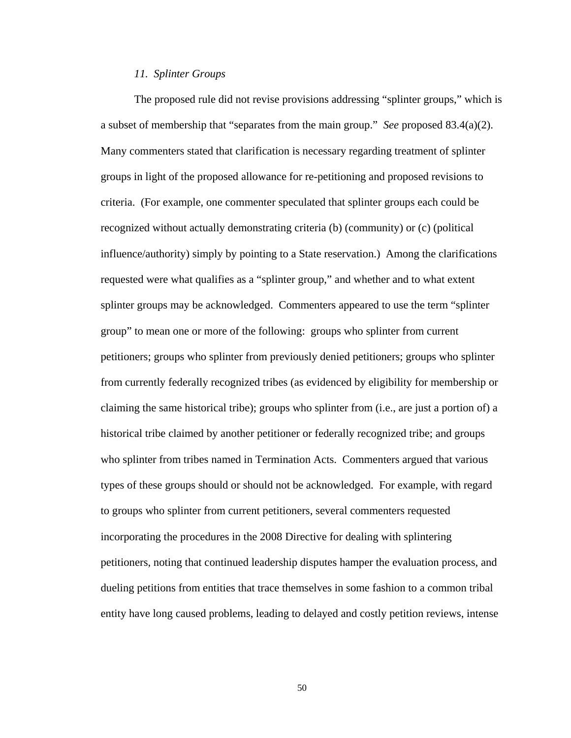## *11. Splinter Groups*

The proposed rule did not revise provisions addressing "splinter groups," which is a subset of membership that "separates from the main group." *See* proposed 83.4(a)(2). Many commenters stated that clarification is necessary regarding treatment of splinter groups in light of the proposed allowance for re-petitioning and proposed revisions to criteria. (For example, one commenter speculated that splinter groups each could be recognized without actually demonstrating criteria (b) (community) or (c) (political influence/authority) simply by pointing to a State reservation.) Among the clarifications requested were what qualifies as a "splinter group," and whether and to what extent splinter groups may be acknowledged. Commenters appeared to use the term "splinter group" to mean one or more of the following: groups who splinter from current petitioners; groups who splinter from previously denied petitioners; groups who splinter from currently federally recognized tribes (as evidenced by eligibility for membership or claiming the same historical tribe); groups who splinter from (i.e., are just a portion of) a historical tribe claimed by another petitioner or federally recognized tribe; and groups who splinter from tribes named in Termination Acts. Commenters argued that various types of these groups should or should not be acknowledged. For example, with regard to groups who splinter from current petitioners, several commenters requested incorporating the procedures in the 2008 Directive for dealing with splintering petitioners, noting that continued leadership disputes hamper the evaluation process, and dueling petitions from entities that trace themselves in some fashion to a common tribal entity have long caused problems, leading to delayed and costly petition reviews, intense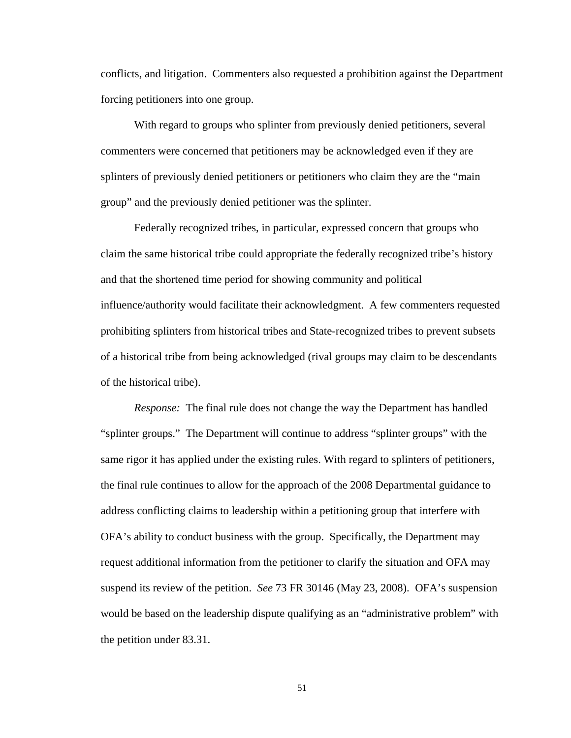conflicts, and litigation. Commenters also requested a prohibition against the Department forcing petitioners into one group.

 With regard to groups who splinter from previously denied petitioners, several commenters were concerned that petitioners may be acknowledged even if they are splinters of previously denied petitioners or petitioners who claim they are the "main group" and the previously denied petitioner was the splinter.

Federally recognized tribes, in particular, expressed concern that groups who claim the same historical tribe could appropriate the federally recognized tribe's history and that the shortened time period for showing community and political influence/authority would facilitate their acknowledgment. A few commenters requested prohibiting splinters from historical tribes and State-recognized tribes to prevent subsets of a historical tribe from being acknowledged (rival groups may claim to be descendants of the historical tribe).

*Response:* The final rule does not change the way the Department has handled "splinter groups." The Department will continue to address "splinter groups" with the same rigor it has applied under the existing rules. With regard to splinters of petitioners, the final rule continues to allow for the approach of the 2008 Departmental guidance to address conflicting claims to leadership within a petitioning group that interfere with OFA's ability to conduct business with the group. Specifically, the Department may request additional information from the petitioner to clarify the situation and OFA may suspend its review of the petition. *See* 73 FR 30146 (May 23, 2008). OFA's suspension would be based on the leadership dispute qualifying as an "administrative problem" with the petition under 83.31.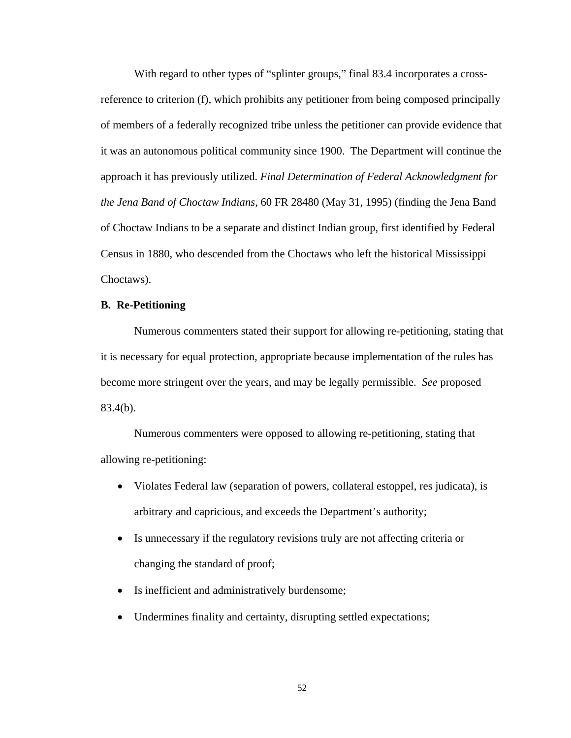With regard to other types of "splinter groups," final 83.4 incorporates a crossreference to criterion (f), which prohibits any petitioner from being composed principally of members of a federally recognized tribe unless the petitioner can provide evidence that it was an autonomous political community since 1900. The Department will continue the approach it has previously utilized. *Final Determination of Federal Acknowledgment for the Jena Band of Choctaw Indians,* 60 FR 28480 (May 31, 1995) (finding the Jena Band of Choctaw Indians to be a separate and distinct Indian group, first identified by Federal Census in 1880, who descended from the Choctaws who left the historical Mississippi Choctaws).

# **B. Re-Petitioning**

Numerous commenters stated their support for allowing re-petitioning, stating that it is necessary for equal protection, appropriate because implementation of the rules has become more stringent over the years, and may be legally permissible. *See* proposed 83.4(b).

Numerous commenters were opposed to allowing re-petitioning, stating that allowing re-petitioning:

- Violates Federal law (separation of powers, collateral estoppel, res judicata), is arbitrary and capricious, and exceeds the Department's authority;
- Is unnecessary if the regulatory revisions truly are not affecting criteria or changing the standard of proof;
- Is inefficient and administratively burdensome;
- Undermines finality and certainty, disrupting settled expectations;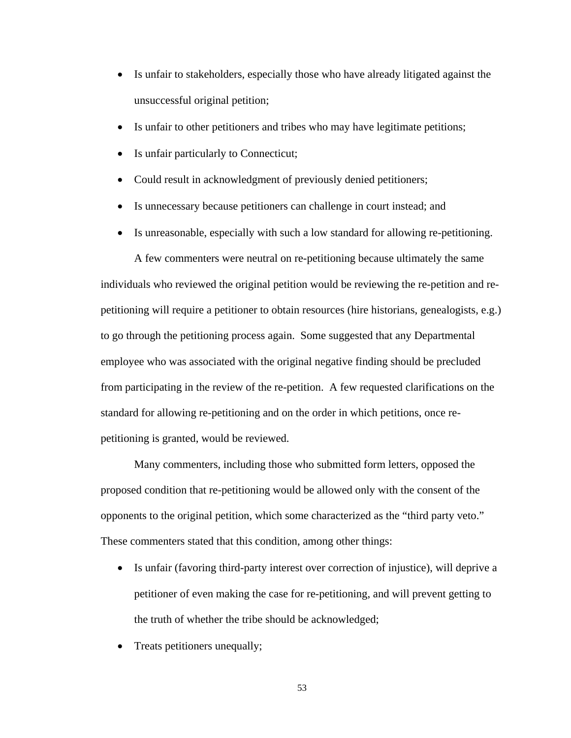- Is unfair to stakeholders, especially those who have already litigated against the unsuccessful original petition;
- Is unfair to other petitioners and tribes who may have legitimate petitions;
- Is unfair particularly to Connecticut;
- Could result in acknowledgment of previously denied petitioners;
- Is unnecessary because petitioners can challenge in court instead; and
- Is unreasonable, especially with such a low standard for allowing re-petitioning.

A few commenters were neutral on re-petitioning because ultimately the same individuals who reviewed the original petition would be reviewing the re-petition and repetitioning will require a petitioner to obtain resources (hire historians, genealogists, e.g.) to go through the petitioning process again. Some suggested that any Departmental employee who was associated with the original negative finding should be precluded from participating in the review of the re-petition. A few requested clarifications on the standard for allowing re-petitioning and on the order in which petitions, once repetitioning is granted, would be reviewed.

Many commenters, including those who submitted form letters, opposed the proposed condition that re-petitioning would be allowed only with the consent of the opponents to the original petition, which some characterized as the "third party veto." These commenters stated that this condition, among other things:

- Is unfair (favoring third-party interest over correction of injustice), will deprive a petitioner of even making the case for re-petitioning, and will prevent getting to the truth of whether the tribe should be acknowledged;
- Treats petitioners unequally;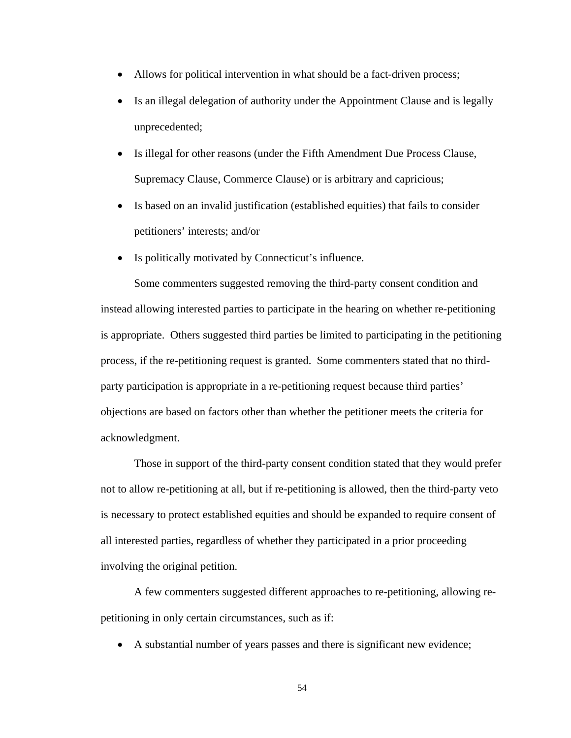- Allows for political intervention in what should be a fact-driven process;
- Is an illegal delegation of authority under the Appointment Clause and is legally unprecedented;
- Is illegal for other reasons (under the Fifth Amendment Due Process Clause, Supremacy Clause, Commerce Clause) or is arbitrary and capricious;
- Is based on an invalid justification (established equities) that fails to consider petitioners' interests; and/or
- Is politically motivated by Connecticut's influence.

Some commenters suggested removing the third-party consent condition and instead allowing interested parties to participate in the hearing on whether re-petitioning is appropriate. Others suggested third parties be limited to participating in the petitioning process, if the re-petitioning request is granted. Some commenters stated that no thirdparty participation is appropriate in a re-petitioning request because third parties' objections are based on factors other than whether the petitioner meets the criteria for acknowledgment.

Those in support of the third-party consent condition stated that they would prefer not to allow re-petitioning at all, but if re-petitioning is allowed, then the third-party veto is necessary to protect established equities and should be expanded to require consent of all interested parties, regardless of whether they participated in a prior proceeding involving the original petition.

A few commenters suggested different approaches to re-petitioning, allowing repetitioning in only certain circumstances, such as if:

A substantial number of years passes and there is significant new evidence;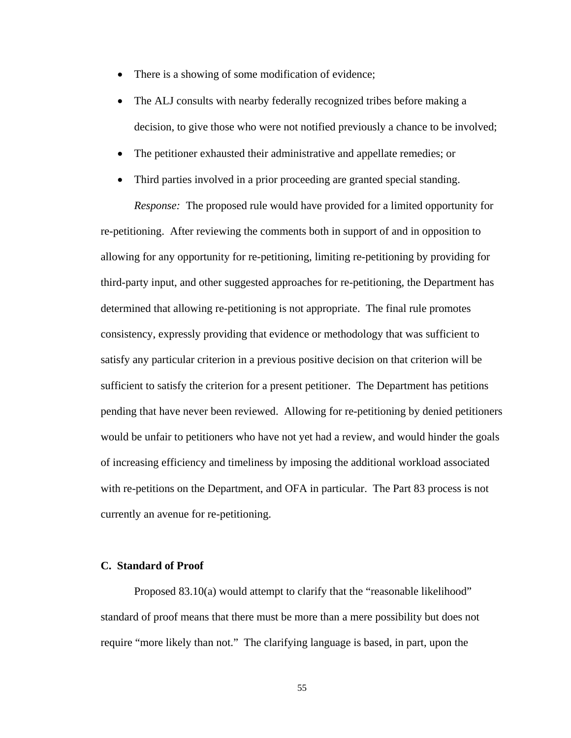- There is a showing of some modification of evidence;
- The ALJ consults with nearby federally recognized tribes before making a decision, to give those who were not notified previously a chance to be involved;
- The petitioner exhausted their administrative and appellate remedies; or
- Third parties involved in a prior proceeding are granted special standing.

*Response:* The proposed rule would have provided for a limited opportunity for re-petitioning. After reviewing the comments both in support of and in opposition to allowing for any opportunity for re-petitioning, limiting re-petitioning by providing for third-party input, and other suggested approaches for re-petitioning, the Department has determined that allowing re-petitioning is not appropriate. The final rule promotes consistency, expressly providing that evidence or methodology that was sufficient to satisfy any particular criterion in a previous positive decision on that criterion will be sufficient to satisfy the criterion for a present petitioner. The Department has petitions pending that have never been reviewed. Allowing for re-petitioning by denied petitioners would be unfair to petitioners who have not yet had a review, and would hinder the goals of increasing efficiency and timeliness by imposing the additional workload associated with re-petitions on the Department, and OFA in particular. The Part 83 process is not currently an avenue for re-petitioning.

# **C. Standard of Proof**

Proposed 83.10(a) would attempt to clarify that the "reasonable likelihood" standard of proof means that there must be more than a mere possibility but does not require "more likely than not." The clarifying language is based, in part, upon the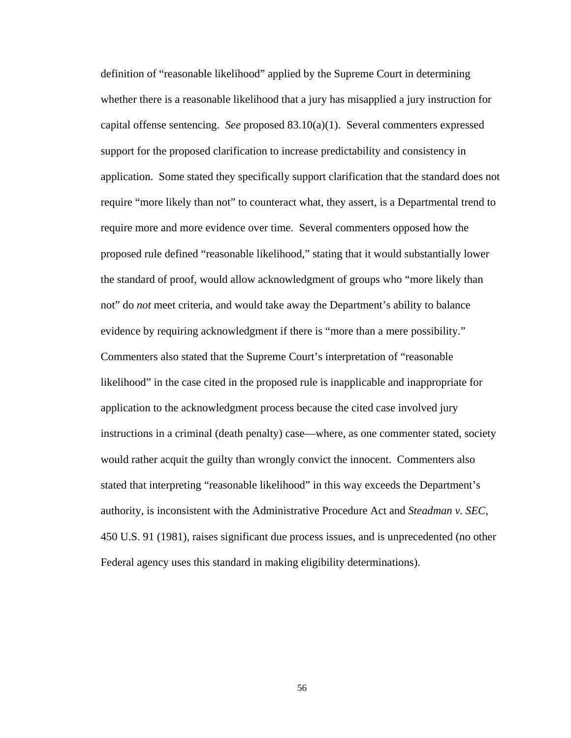definition of "reasonable likelihood" applied by the Supreme Court in determining whether there is a reasonable likelihood that a jury has misapplied a jury instruction for capital offense sentencing. *See* proposed 83.10(a)(1). Several commenters expressed support for the proposed clarification to increase predictability and consistency in application. Some stated they specifically support clarification that the standard does not require "more likely than not" to counteract what, they assert, is a Departmental trend to require more and more evidence over time. Several commenters opposed how the proposed rule defined "reasonable likelihood," stating that it would substantially lower the standard of proof, would allow acknowledgment of groups who "more likely than not" do *not* meet criteria, and would take away the Department's ability to balance evidence by requiring acknowledgment if there is "more than a mere possibility." Commenters also stated that the Supreme Court's interpretation of "reasonable likelihood" in the case cited in the proposed rule is inapplicable and inappropriate for application to the acknowledgment process because the cited case involved jury instructions in a criminal (death penalty) case—where, as one commenter stated, society would rather acquit the guilty than wrongly convict the innocent. Commenters also stated that interpreting "reasonable likelihood" in this way exceeds the Department's authority, is inconsistent with the Administrative Procedure Act and *Steadman v. SEC*, 450 U.S. 91 (1981), raises significant due process issues, and is unprecedented (no other Federal agency uses this standard in making eligibility determinations).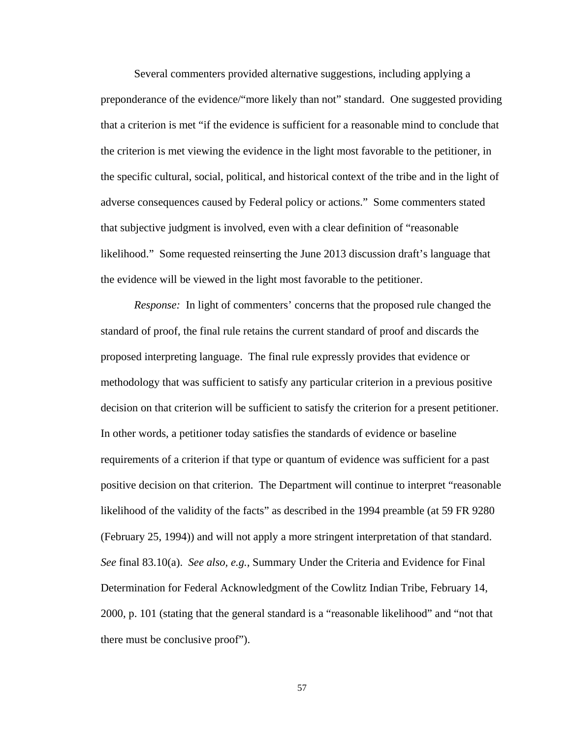Several commenters provided alternative suggestions, including applying a preponderance of the evidence/"more likely than not" standard. One suggested providing that a criterion is met "if the evidence is sufficient for a reasonable mind to conclude that the criterion is met viewing the evidence in the light most favorable to the petitioner, in the specific cultural, social, political, and historical context of the tribe and in the light of adverse consequences caused by Federal policy or actions." Some commenters stated that subjective judgment is involved, even with a clear definition of "reasonable likelihood." Some requested reinserting the June 2013 discussion draft's language that the evidence will be viewed in the light most favorable to the petitioner.

*Response:* In light of commenters' concerns that the proposed rule changed the standard of proof, the final rule retains the current standard of proof and discards the proposed interpreting language. The final rule expressly provides that evidence or methodology that was sufficient to satisfy any particular criterion in a previous positive decision on that criterion will be sufficient to satisfy the criterion for a present petitioner. In other words, a petitioner today satisfies the standards of evidence or baseline requirements of a criterion if that type or quantum of evidence was sufficient for a past positive decision on that criterion. The Department will continue to interpret "reasonable likelihood of the validity of the facts" as described in the 1994 preamble (at 59 FR 9280 (February 25, 1994)) and will not apply a more stringent interpretation of that standard. *See* final 83.10(a). *See also, e.g.,* Summary Under the Criteria and Evidence for Final Determination for Federal Acknowledgment of the Cowlitz Indian Tribe, February 14, 2000, p. 101 (stating that the general standard is a "reasonable likelihood" and "not that there must be conclusive proof").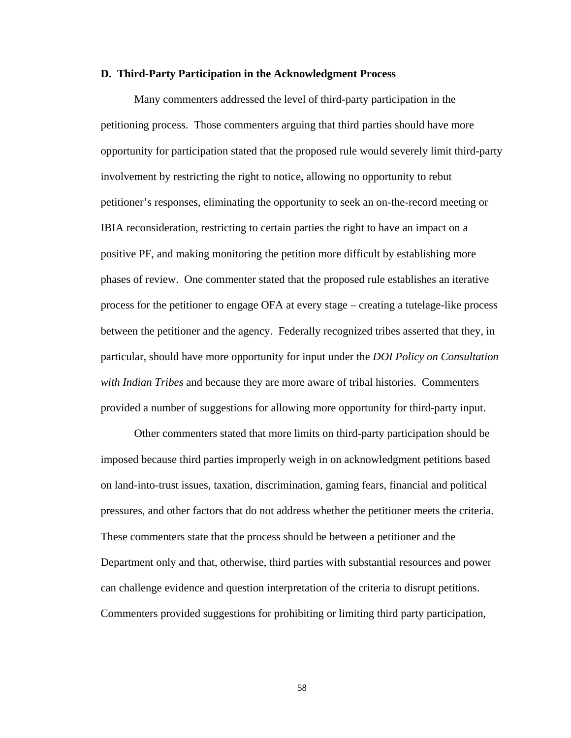#### **D. Third-Party Participation in the Acknowledgment Process**

Many commenters addressed the level of third-party participation in the petitioning process. Those commenters arguing that third parties should have more opportunity for participation stated that the proposed rule would severely limit third-party involvement by restricting the right to notice, allowing no opportunity to rebut petitioner's responses, eliminating the opportunity to seek an on-the-record meeting or IBIA reconsideration, restricting to certain parties the right to have an impact on a positive PF, and making monitoring the petition more difficult by establishing more phases of review. One commenter stated that the proposed rule establishes an iterative process for the petitioner to engage OFA at every stage – creating a tutelage-like process between the petitioner and the agency. Federally recognized tribes asserted that they, in particular, should have more opportunity for input under the *DOI Policy on Consultation with Indian Tribes* and because they are more aware of tribal histories. Commenters provided a number of suggestions for allowing more opportunity for third-party input.

Other commenters stated that more limits on third-party participation should be imposed because third parties improperly weigh in on acknowledgment petitions based on land-into-trust issues, taxation, discrimination, gaming fears, financial and political pressures, and other factors that do not address whether the petitioner meets the criteria. These commenters state that the process should be between a petitioner and the Department only and that, otherwise, third parties with substantial resources and power can challenge evidence and question interpretation of the criteria to disrupt petitions. Commenters provided suggestions for prohibiting or limiting third party participation,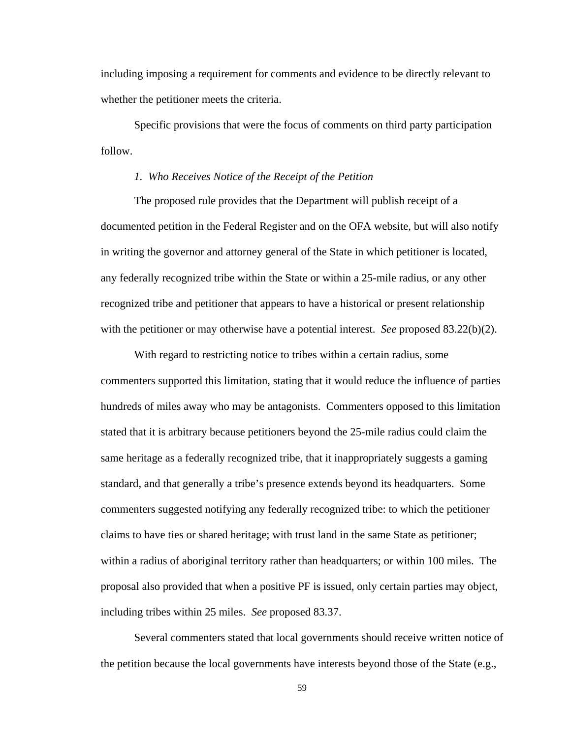including imposing a requirement for comments and evidence to be directly relevant to whether the petitioner meets the criteria.

Specific provisions that were the focus of comments on third party participation follow.

## *1. Who Receives Notice of the Receipt of the Petition*

The proposed rule provides that the Department will publish receipt of a documented petition in the Federal Register and on the OFA website, but will also notify in writing the governor and attorney general of the State in which petitioner is located, any federally recognized tribe within the State or within a 25-mile radius, or any other recognized tribe and petitioner that appears to have a historical or present relationship with the petitioner or may otherwise have a potential interest. *See* proposed 83.22(b)(2).

With regard to restricting notice to tribes within a certain radius, some commenters supported this limitation, stating that it would reduce the influence of parties hundreds of miles away who may be antagonists. Commenters opposed to this limitation stated that it is arbitrary because petitioners beyond the 25-mile radius could claim the same heritage as a federally recognized tribe, that it inappropriately suggests a gaming standard, and that generally a tribe's presence extends beyond its headquarters. Some commenters suggested notifying any federally recognized tribe: to which the petitioner claims to have ties or shared heritage; with trust land in the same State as petitioner; within a radius of aboriginal territory rather than headquarters; or within 100 miles. The proposal also provided that when a positive PF is issued, only certain parties may object, including tribes within 25 miles. *See* proposed 83.37.

Several commenters stated that local governments should receive written notice of the petition because the local governments have interests beyond those of the State (e.g.,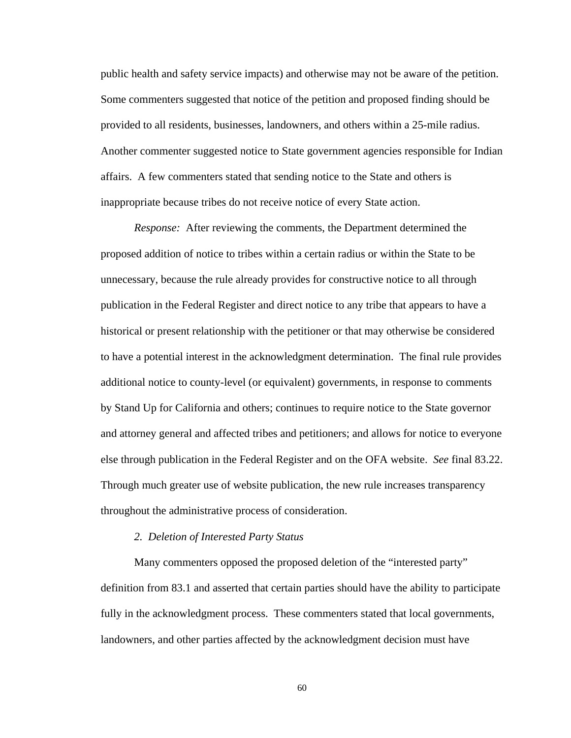public health and safety service impacts) and otherwise may not be aware of the petition. Some commenters suggested that notice of the petition and proposed finding should be provided to all residents, businesses, landowners, and others within a 25-mile radius. Another commenter suggested notice to State government agencies responsible for Indian affairs. A few commenters stated that sending notice to the State and others is inappropriate because tribes do not receive notice of every State action.

*Response:* After reviewing the comments, the Department determined the proposed addition of notice to tribes within a certain radius or within the State to be unnecessary, because the rule already provides for constructive notice to all through publication in the Federal Register and direct notice to any tribe that appears to have a historical or present relationship with the petitioner or that may otherwise be considered to have a potential interest in the acknowledgment determination. The final rule provides additional notice to county-level (or equivalent) governments, in response to comments by Stand Up for California and others; continues to require notice to the State governor and attorney general and affected tribes and petitioners; and allows for notice to everyone else through publication in the Federal Register and on the OFA website. *See* final 83.22. Through much greater use of website publication, the new rule increases transparency throughout the administrative process of consideration.

#### *2. Deletion of Interested Party Status*

Many commenters opposed the proposed deletion of the "interested party" definition from 83.1 and asserted that certain parties should have the ability to participate fully in the acknowledgment process. These commenters stated that local governments, landowners, and other parties affected by the acknowledgment decision must have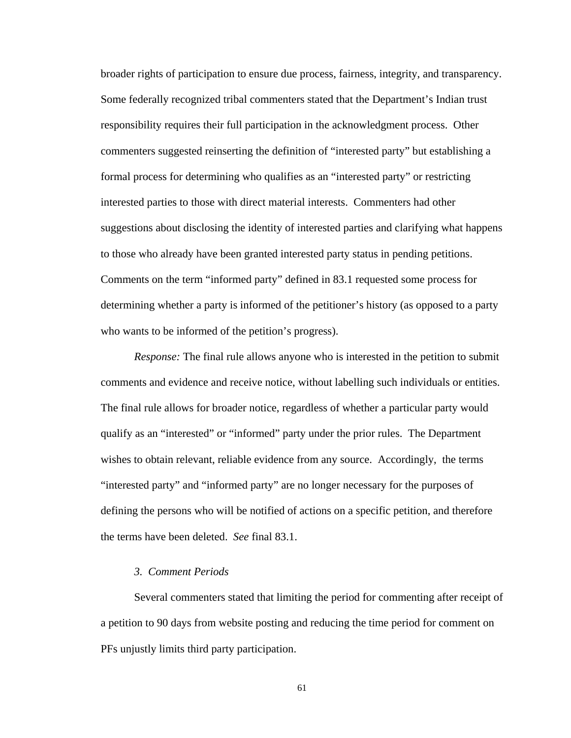broader rights of participation to ensure due process, fairness, integrity, and transparency. Some federally recognized tribal commenters stated that the Department's Indian trust responsibility requires their full participation in the acknowledgment process. Other commenters suggested reinserting the definition of "interested party" but establishing a formal process for determining who qualifies as an "interested party" or restricting interested parties to those with direct material interests. Commenters had other suggestions about disclosing the identity of interested parties and clarifying what happens to those who already have been granted interested party status in pending petitions. Comments on the term "informed party" defined in 83.1 requested some process for determining whether a party is informed of the petitioner's history (as opposed to a party who wants to be informed of the petition's progress).

*Response:* The final rule allows anyone who is interested in the petition to submit comments and evidence and receive notice, without labelling such individuals or entities. The final rule allows for broader notice, regardless of whether a particular party would qualify as an "interested" or "informed" party under the prior rules. The Department wishes to obtain relevant, reliable evidence from any source. Accordingly, the terms "interested party" and "informed party" are no longer necessary for the purposes of defining the persons who will be notified of actions on a specific petition, and therefore the terms have been deleted. *See* final 83.1.

# *3. Comment Periods*

Several commenters stated that limiting the period for commenting after receipt of a petition to 90 days from website posting and reducing the time period for comment on PFs unjustly limits third party participation.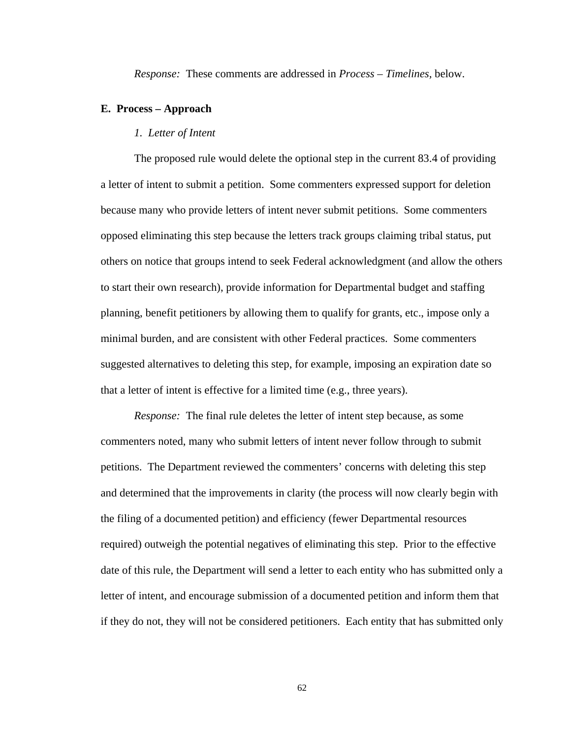*Response:* These comments are addressed in *Process – Timelines,* below.

## **E. Process – Approach**

# *1. Letter of Intent*

The proposed rule would delete the optional step in the current 83.4 of providing a letter of intent to submit a petition. Some commenters expressed support for deletion because many who provide letters of intent never submit petitions. Some commenters opposed eliminating this step because the letters track groups claiming tribal status, put others on notice that groups intend to seek Federal acknowledgment (and allow the others to start their own research), provide information for Departmental budget and staffing planning, benefit petitioners by allowing them to qualify for grants, etc., impose only a minimal burden, and are consistent with other Federal practices. Some commenters suggested alternatives to deleting this step, for example, imposing an expiration date so that a letter of intent is effective for a limited time (e.g., three years).

*Response:* The final rule deletes the letter of intent step because, as some commenters noted, many who submit letters of intent never follow through to submit petitions. The Department reviewed the commenters' concerns with deleting this step and determined that the improvements in clarity (the process will now clearly begin with the filing of a documented petition) and efficiency (fewer Departmental resources required) outweigh the potential negatives of eliminating this step. Prior to the effective date of this rule, the Department will send a letter to each entity who has submitted only a letter of intent, and encourage submission of a documented petition and inform them that if they do not, they will not be considered petitioners. Each entity that has submitted only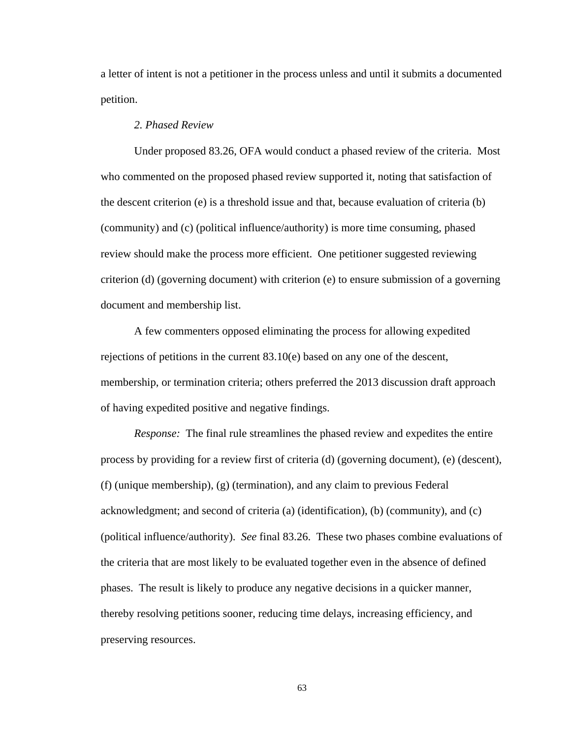a letter of intent is not a petitioner in the process unless and until it submits a documented petition.

# *2. Phased Review*

Under proposed 83.26, OFA would conduct a phased review of the criteria. Most who commented on the proposed phased review supported it, noting that satisfaction of the descent criterion (e) is a threshold issue and that, because evaluation of criteria (b) (community) and (c) (political influence/authority) is more time consuming, phased review should make the process more efficient. One petitioner suggested reviewing criterion (d) (governing document) with criterion (e) to ensure submission of a governing document and membership list.

A few commenters opposed eliminating the process for allowing expedited rejections of petitions in the current 83.10(e) based on any one of the descent, membership, or termination criteria; others preferred the 2013 discussion draft approach of having expedited positive and negative findings.

*Response:* The final rule streamlines the phased review and expedites the entire process by providing for a review first of criteria (d) (governing document), (e) (descent), (f) (unique membership), (g) (termination), and any claim to previous Federal acknowledgment; and second of criteria (a) (identification), (b) (community), and (c) (political influence/authority). *See* final 83.26. These two phases combine evaluations of the criteria that are most likely to be evaluated together even in the absence of defined phases. The result is likely to produce any negative decisions in a quicker manner, thereby resolving petitions sooner, reducing time delays, increasing efficiency, and preserving resources.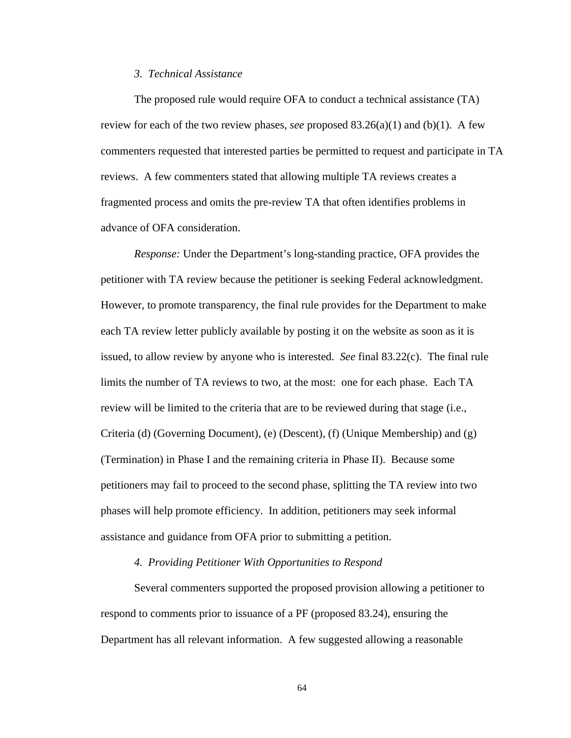## *3. Technical Assistance*

The proposed rule would require OFA to conduct a technical assistance (TA) review for each of the two review phases, *see* proposed 83.26(a)(1) and (b)(1). A few commenters requested that interested parties be permitted to request and participate in TA reviews. A few commenters stated that allowing multiple TA reviews creates a fragmented process and omits the pre-review TA that often identifies problems in advance of OFA consideration.

*Response:* Under the Department's long-standing practice, OFA provides the petitioner with TA review because the petitioner is seeking Federal acknowledgment. However, to promote transparency, the final rule provides for the Department to make each TA review letter publicly available by posting it on the website as soon as it is issued, to allow review by anyone who is interested. *See* final 83.22(c). The final rule limits the number of TA reviews to two, at the most: one for each phase. Each TA review will be limited to the criteria that are to be reviewed during that stage (i.e., Criteria (d) (Governing Document), (e) (Descent), (f) (Unique Membership) and (g) (Termination) in Phase I and the remaining criteria in Phase II). Because some petitioners may fail to proceed to the second phase, splitting the TA review into two phases will help promote efficiency. In addition, petitioners may seek informal assistance and guidance from OFA prior to submitting a petition.

## *4. Providing Petitioner With Opportunities to Respond*

Several commenters supported the proposed provision allowing a petitioner to respond to comments prior to issuance of a PF (proposed 83.24), ensuring the Department has all relevant information. A few suggested allowing a reasonable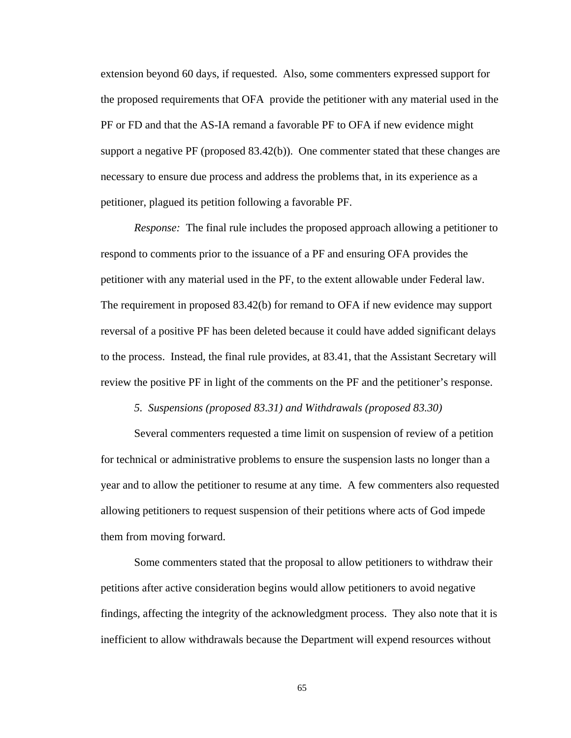extension beyond 60 days, if requested. Also, some commenters expressed support for the proposed requirements that OFA provide the petitioner with any material used in the PF or FD and that the AS-IA remand a favorable PF to OFA if new evidence might support a negative PF (proposed 83.42(b)). One commenter stated that these changes are necessary to ensure due process and address the problems that, in its experience as a petitioner, plagued its petition following a favorable PF.

*Response:* The final rule includes the proposed approach allowing a petitioner to respond to comments prior to the issuance of a PF and ensuring OFA provides the petitioner with any material used in the PF, to the extent allowable under Federal law. The requirement in proposed 83.42(b) for remand to OFA if new evidence may support reversal of a positive PF has been deleted because it could have added significant delays to the process. Instead, the final rule provides, at 83.41, that the Assistant Secretary will review the positive PF in light of the comments on the PF and the petitioner's response.

 *5. Suspensions (proposed 83.31) and Withdrawals (proposed 83.30)* 

Several commenters requested a time limit on suspension of review of a petition for technical or administrative problems to ensure the suspension lasts no longer than a year and to allow the petitioner to resume at any time. A few commenters also requested allowing petitioners to request suspension of their petitions where acts of God impede them from moving forward.

Some commenters stated that the proposal to allow petitioners to withdraw their petitions after active consideration begins would allow petitioners to avoid negative findings, affecting the integrity of the acknowledgment process. They also note that it is inefficient to allow withdrawals because the Department will expend resources without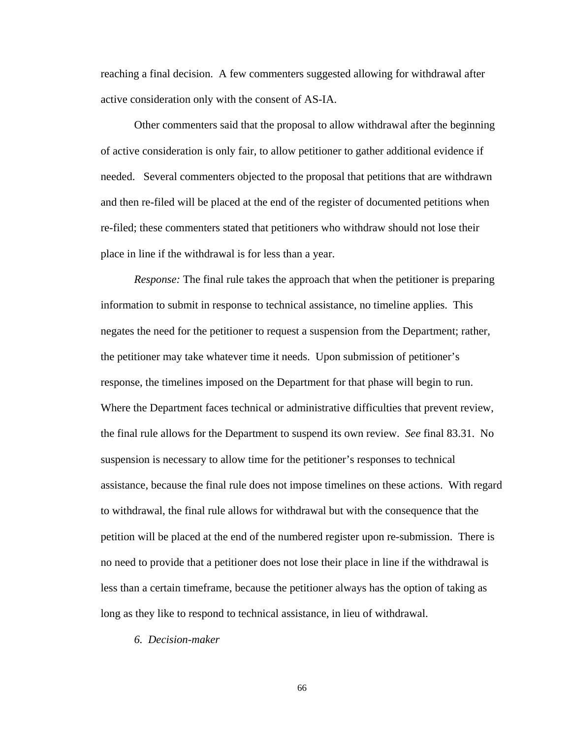reaching a final decision. A few commenters suggested allowing for withdrawal after active consideration only with the consent of AS-IA.

Other commenters said that the proposal to allow withdrawal after the beginning of active consideration is only fair, to allow petitioner to gather additional evidence if needed. Several commenters objected to the proposal that petitions that are withdrawn and then re-filed will be placed at the end of the register of documented petitions when re-filed; these commenters stated that petitioners who withdraw should not lose their place in line if the withdrawal is for less than a year.

*Response:* The final rule takes the approach that when the petitioner is preparing information to submit in response to technical assistance, no timeline applies. This negates the need for the petitioner to request a suspension from the Department; rather, the petitioner may take whatever time it needs. Upon submission of petitioner's response, the timelines imposed on the Department for that phase will begin to run. Where the Department faces technical or administrative difficulties that prevent review, the final rule allows for the Department to suspend its own review. *See* final 83.31. No suspension is necessary to allow time for the petitioner's responses to technical assistance, because the final rule does not impose timelines on these actions. With regard to withdrawal, the final rule allows for withdrawal but with the consequence that the petition will be placed at the end of the numbered register upon re-submission. There is no need to provide that a petitioner does not lose their place in line if the withdrawal is less than a certain timeframe, because the petitioner always has the option of taking as long as they like to respond to technical assistance, in lieu of withdrawal.

 *6. Decision-maker*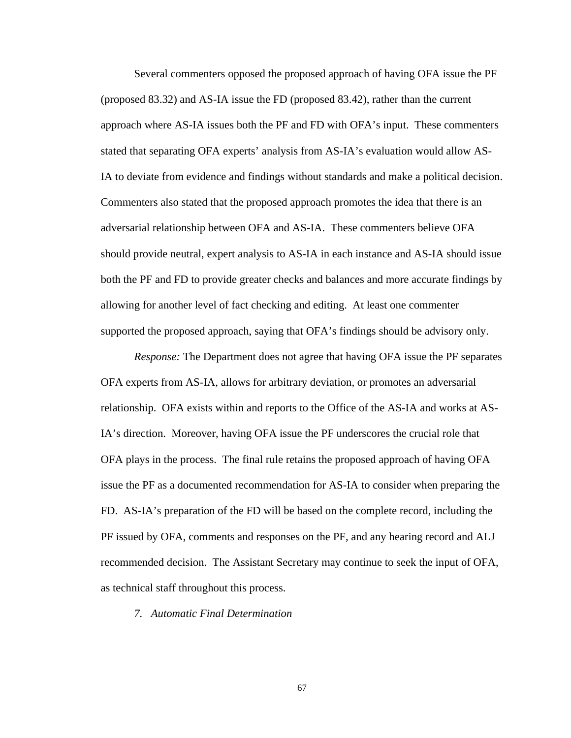Several commenters opposed the proposed approach of having OFA issue the PF (proposed 83.32) and AS-IA issue the FD (proposed 83.42), rather than the current approach where AS-IA issues both the PF and FD with OFA's input. These commenters stated that separating OFA experts' analysis from AS-IA's evaluation would allow AS-IA to deviate from evidence and findings without standards and make a political decision. Commenters also stated that the proposed approach promotes the idea that there is an adversarial relationship between OFA and AS-IA. These commenters believe OFA should provide neutral, expert analysis to AS-IA in each instance and AS-IA should issue both the PF and FD to provide greater checks and balances and more accurate findings by allowing for another level of fact checking and editing. At least one commenter supported the proposed approach, saying that OFA's findings should be advisory only.

*Response:* The Department does not agree that having OFA issue the PF separates OFA experts from AS-IA, allows for arbitrary deviation, or promotes an adversarial relationship. OFA exists within and reports to the Office of the AS-IA and works at AS-IA's direction. Moreover, having OFA issue the PF underscores the crucial role that OFA plays in the process. The final rule retains the proposed approach of having OFA issue the PF as a documented recommendation for AS-IA to consider when preparing the FD. AS-IA's preparation of the FD will be based on the complete record, including the PF issued by OFA, comments and responses on the PF, and any hearing record and ALJ recommended decision. The Assistant Secretary may continue to seek the input of OFA, as technical staff throughout this process.

*7. Automatic Final Determination*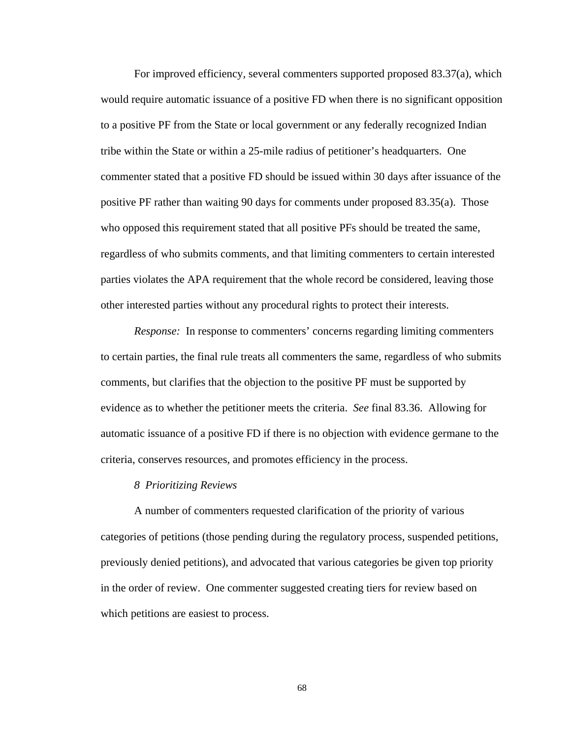For improved efficiency, several commenters supported proposed 83.37(a), which would require automatic issuance of a positive FD when there is no significant opposition to a positive PF from the State or local government or any federally recognized Indian tribe within the State or within a 25-mile radius of petitioner's headquarters. One commenter stated that a positive FD should be issued within 30 days after issuance of the positive PF rather than waiting 90 days for comments under proposed 83.35(a). Those who opposed this requirement stated that all positive PFs should be treated the same, regardless of who submits comments, and that limiting commenters to certain interested parties violates the APA requirement that the whole record be considered, leaving those other interested parties without any procedural rights to protect their interests.

*Response:* In response to commenters' concerns regarding limiting commenters to certain parties, the final rule treats all commenters the same, regardless of who submits comments, but clarifies that the objection to the positive PF must be supported by evidence as to whether the petitioner meets the criteria. *See* final 83.36. Allowing for automatic issuance of a positive FD if there is no objection with evidence germane to the criteria, conserves resources, and promotes efficiency in the process.

## *8 Prioritizing Reviews*

A number of commenters requested clarification of the priority of various categories of petitions (those pending during the regulatory process, suspended petitions, previously denied petitions), and advocated that various categories be given top priority in the order of review. One commenter suggested creating tiers for review based on which petitions are easiest to process.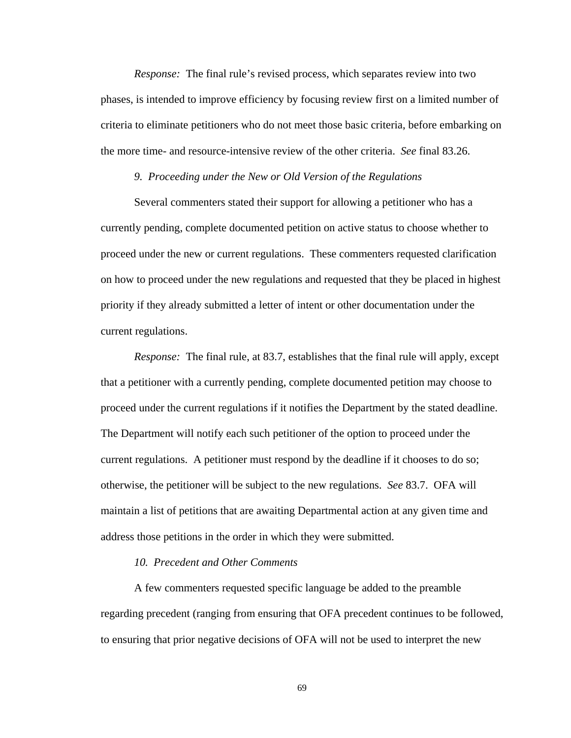*Response:* The final rule's revised process, which separates review into two phases, is intended to improve efficiency by focusing review first on a limited number of criteria to eliminate petitioners who do not meet those basic criteria, before embarking on the more time- and resource-intensive review of the other criteria. *See* final 83.26.

## *9. Proceeding under the New or Old Version of the Regulations*

Several commenters stated their support for allowing a petitioner who has a currently pending, complete documented petition on active status to choose whether to proceed under the new or current regulations. These commenters requested clarification on how to proceed under the new regulations and requested that they be placed in highest priority if they already submitted a letter of intent or other documentation under the current regulations.

*Response:* The final rule, at 83.7, establishes that the final rule will apply, except that a petitioner with a currently pending, complete documented petition may choose to proceed under the current regulations if it notifies the Department by the stated deadline. The Department will notify each such petitioner of the option to proceed under the current regulations. A petitioner must respond by the deadline if it chooses to do so; otherwise, the petitioner will be subject to the new regulations. *See* 83.7. OFA will maintain a list of petitions that are awaiting Departmental action at any given time and address those petitions in the order in which they were submitted.

# *10. Precedent and Other Comments*

A few commenters requested specific language be added to the preamble regarding precedent (ranging from ensuring that OFA precedent continues to be followed, to ensuring that prior negative decisions of OFA will not be used to interpret the new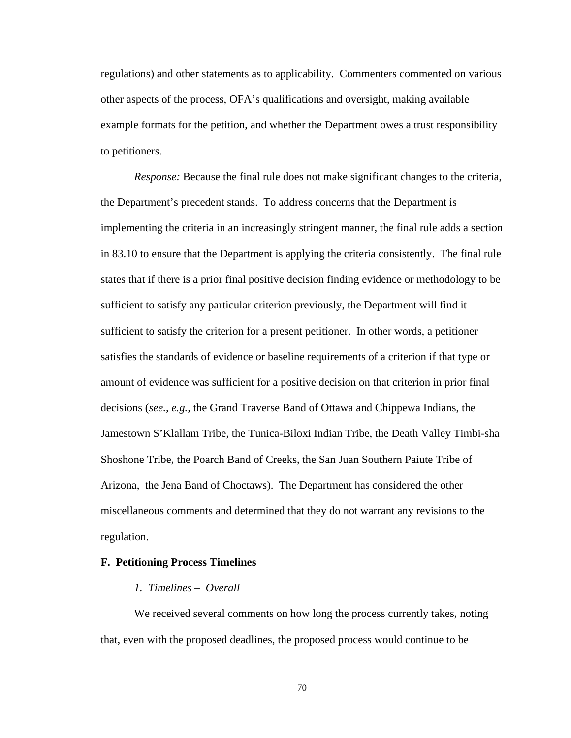regulations) and other statements as to applicability. Commenters commented on various other aspects of the process, OFA's qualifications and oversight, making available example formats for the petition, and whether the Department owes a trust responsibility to petitioners.

*Response:* Because the final rule does not make significant changes to the criteria, the Department's precedent stands. To address concerns that the Department is implementing the criteria in an increasingly stringent manner, the final rule adds a section in 83.10 to ensure that the Department is applying the criteria consistently. The final rule states that if there is a prior final positive decision finding evidence or methodology to be sufficient to satisfy any particular criterion previously, the Department will find it sufficient to satisfy the criterion for a present petitioner. In other words, a petitioner satisfies the standards of evidence or baseline requirements of a criterion if that type or amount of evidence was sufficient for a positive decision on that criterion in prior final decisions (*see., e.g.,* the Grand Traverse Band of Ottawa and Chippewa Indians, the Jamestown S'Klallam Tribe, the Tunica-Biloxi Indian Tribe, the Death Valley Timbi-sha Shoshone Tribe, the Poarch Band of Creeks, the San Juan Southern Paiute Tribe of Arizona, the Jena Band of Choctaws). The Department has considered the other miscellaneous comments and determined that they do not warrant any revisions to the regulation.

## **F. Petitioning Process Timelines**

## *1. Timelines – Overall*

We received several comments on how long the process currently takes, noting that, even with the proposed deadlines, the proposed process would continue to be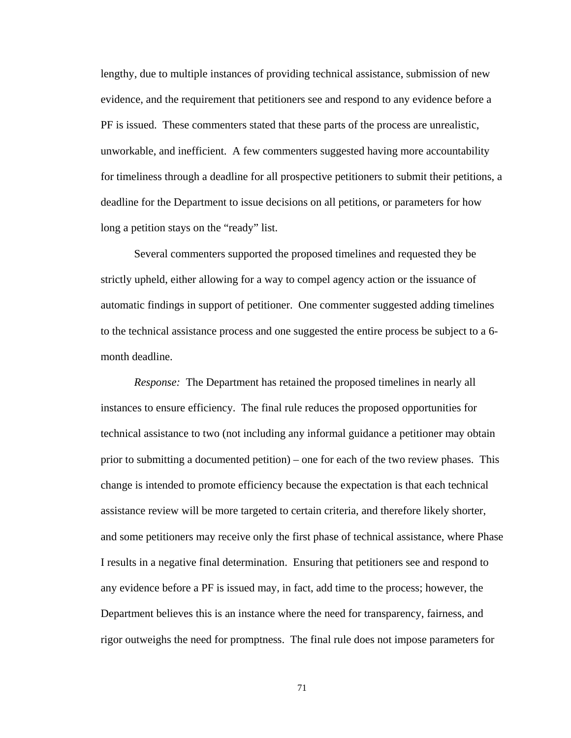lengthy, due to multiple instances of providing technical assistance, submission of new evidence, and the requirement that petitioners see and respond to any evidence before a PF is issued. These commenters stated that these parts of the process are unrealistic, unworkable, and inefficient. A few commenters suggested having more accountability for timeliness through a deadline for all prospective petitioners to submit their petitions, a deadline for the Department to issue decisions on all petitions, or parameters for how long a petition stays on the "ready" list.

Several commenters supported the proposed timelines and requested they be strictly upheld, either allowing for a way to compel agency action or the issuance of automatic findings in support of petitioner. One commenter suggested adding timelines to the technical assistance process and one suggested the entire process be subject to a 6 month deadline.

*Response:* The Department has retained the proposed timelines in nearly all instances to ensure efficiency. The final rule reduces the proposed opportunities for technical assistance to two (not including any informal guidance a petitioner may obtain prior to submitting a documented petition) – one for each of the two review phases. This change is intended to promote efficiency because the expectation is that each technical assistance review will be more targeted to certain criteria, and therefore likely shorter, and some petitioners may receive only the first phase of technical assistance, where Phase I results in a negative final determination. Ensuring that petitioners see and respond to any evidence before a PF is issued may, in fact, add time to the process; however, the Department believes this is an instance where the need for transparency, fairness, and rigor outweighs the need for promptness. The final rule does not impose parameters for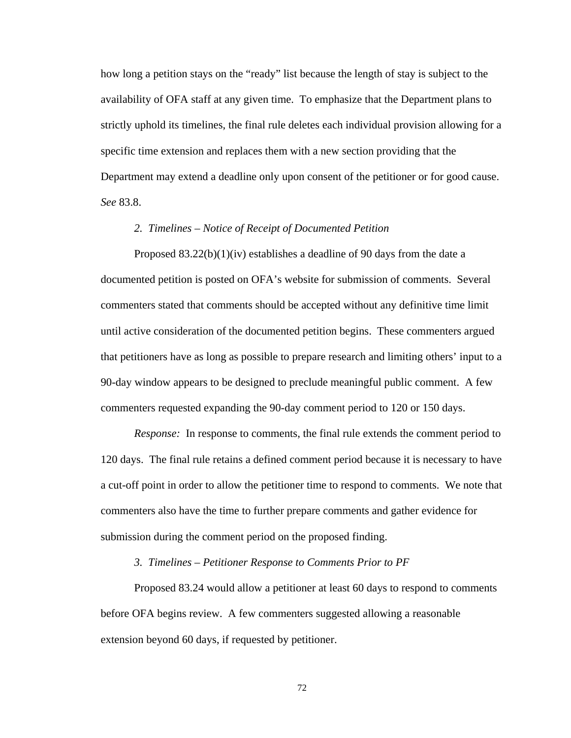how long a petition stays on the "ready" list because the length of stay is subject to the availability of OFA staff at any given time. To emphasize that the Department plans to strictly uphold its timelines, the final rule deletes each individual provision allowing for a specific time extension and replaces them with a new section providing that the Department may extend a deadline only upon consent of the petitioner or for good cause. *See* 83.8.

# *2. Timelines – Notice of Receipt of Documented Petition*

Proposed 83.22(b)(1)(iv) establishes a deadline of 90 days from the date a documented petition is posted on OFA's website for submission of comments. Several commenters stated that comments should be accepted without any definitive time limit until active consideration of the documented petition begins. These commenters argued that petitioners have as long as possible to prepare research and limiting others' input to a 90-day window appears to be designed to preclude meaningful public comment. A few commenters requested expanding the 90-day comment period to 120 or 150 days.

*Response:* In response to comments, the final rule extends the comment period to 120 days. The final rule retains a defined comment period because it is necessary to have a cut-off point in order to allow the petitioner time to respond to comments. We note that commenters also have the time to further prepare comments and gather evidence for submission during the comment period on the proposed finding.

## *3. Timelines – Petitioner Response to Comments Prior to PF*

Proposed 83.24 would allow a petitioner at least 60 days to respond to comments before OFA begins review. A few commenters suggested allowing a reasonable extension beyond 60 days, if requested by petitioner.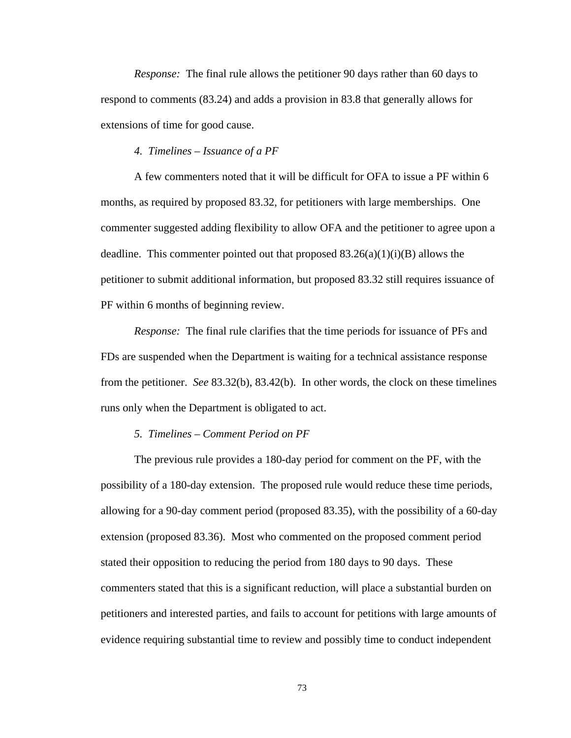*Response:* The final rule allows the petitioner 90 days rather than 60 days to respond to comments (83.24) and adds a provision in 83.8 that generally allows for extensions of time for good cause.

# *4. Timelines – Issuance of a PF*

A few commenters noted that it will be difficult for OFA to issue a PF within 6 months, as required by proposed 83.32, for petitioners with large memberships. One commenter suggested adding flexibility to allow OFA and the petitioner to agree upon a deadline. This commenter pointed out that proposed  $83.26(a)(1)(i)(B)$  allows the petitioner to submit additional information, but proposed 83.32 still requires issuance of PF within 6 months of beginning review.

*Response:* The final rule clarifies that the time periods for issuance of PFs and FDs are suspended when the Department is waiting for a technical assistance response from the petitioner. *See* 83.32(b), 83.42(b). In other words, the clock on these timelines runs only when the Department is obligated to act.

#### *5. Timelines – Comment Period on PF*

The previous rule provides a 180-day period for comment on the PF, with the possibility of a 180-day extension. The proposed rule would reduce these time periods, allowing for a 90-day comment period (proposed 83.35), with the possibility of a 60-day extension (proposed 83.36). Most who commented on the proposed comment period stated their opposition to reducing the period from 180 days to 90 days. These commenters stated that this is a significant reduction, will place a substantial burden on petitioners and interested parties, and fails to account for petitions with large amounts of evidence requiring substantial time to review and possibly time to conduct independent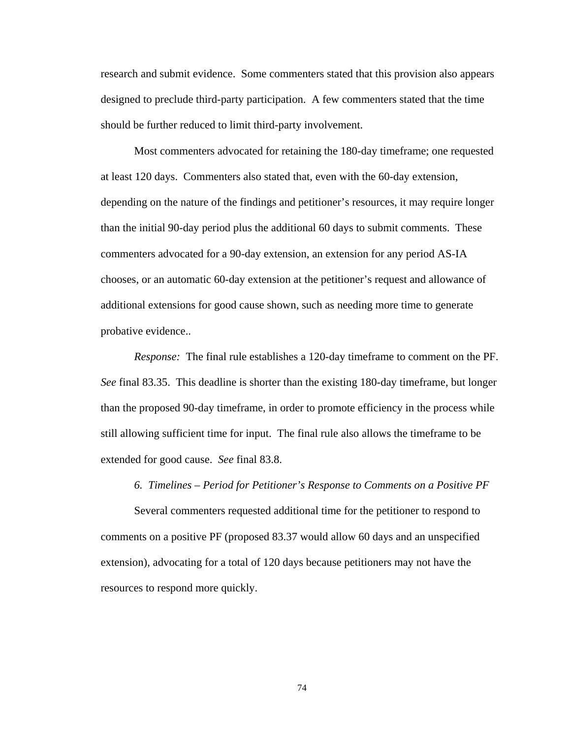research and submit evidence. Some commenters stated that this provision also appears designed to preclude third-party participation. A few commenters stated that the time should be further reduced to limit third-party involvement.

Most commenters advocated for retaining the 180-day timeframe; one requested at least 120 days. Commenters also stated that, even with the 60-day extension, depending on the nature of the findings and petitioner's resources, it may require longer than the initial 90-day period plus the additional 60 days to submit comments. These commenters advocated for a 90-day extension, an extension for any period AS-IA chooses, or an automatic 60-day extension at the petitioner's request and allowance of additional extensions for good cause shown, such as needing more time to generate probative evidence..

*Response:* The final rule establishes a 120-day timeframe to comment on the PF. *See* final 83.35. This deadline is shorter than the existing 180-day timeframe, but longer than the proposed 90-day timeframe, in order to promote efficiency in the process while still allowing sufficient time for input. The final rule also allows the timeframe to be extended for good cause. *See* final 83.8.

## *6. Timelines – Period for Petitioner's Response to Comments on a Positive PF*

Several commenters requested additional time for the petitioner to respond to comments on a positive PF (proposed 83.37 would allow 60 days and an unspecified extension), advocating for a total of 120 days because petitioners may not have the resources to respond more quickly.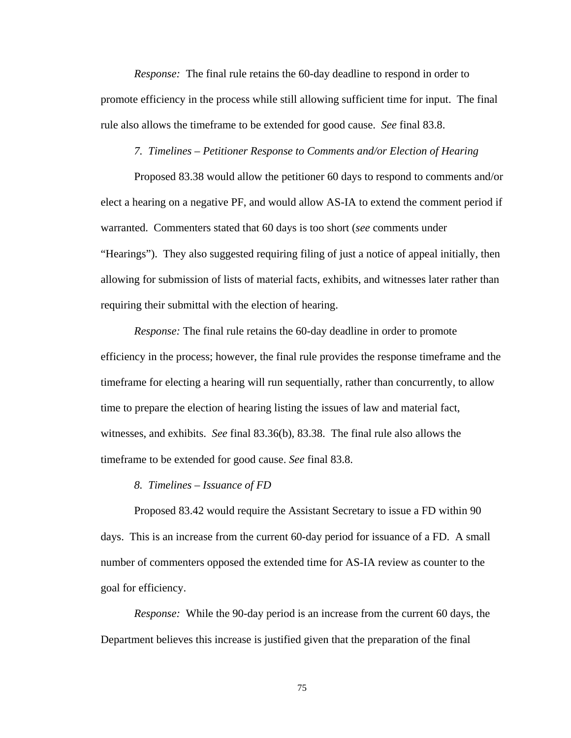*Response:* The final rule retains the 60-day deadline to respond in order to promote efficiency in the process while still allowing sufficient time for input. The final rule also allows the timeframe to be extended for good cause. *See* final 83.8.

#### *7. Timelines – Petitioner Response to Comments and/or Election of Hearing*

Proposed 83.38 would allow the petitioner 60 days to respond to comments and/or elect a hearing on a negative PF, and would allow AS-IA to extend the comment period if warranted. Commenters stated that 60 days is too short (*see* comments under "Hearings"). They also suggested requiring filing of just a notice of appeal initially, then allowing for submission of lists of material facts, exhibits, and witnesses later rather than requiring their submittal with the election of hearing.

*Response:* The final rule retains the 60-day deadline in order to promote efficiency in the process; however, the final rule provides the response timeframe and the timeframe for electing a hearing will run sequentially, rather than concurrently, to allow time to prepare the election of hearing listing the issues of law and material fact, witnesses, and exhibits. *See* final 83.36(b), 83.38. The final rule also allows the timeframe to be extended for good cause. *See* final 83.8.

#### *8. Timelines – Issuance of FD*

Proposed 83.42 would require the Assistant Secretary to issue a FD within 90 days. This is an increase from the current 60-day period for issuance of a FD. A small number of commenters opposed the extended time for AS-IA review as counter to the goal for efficiency.

*Response:* While the 90-day period is an increase from the current 60 days, the Department believes this increase is justified given that the preparation of the final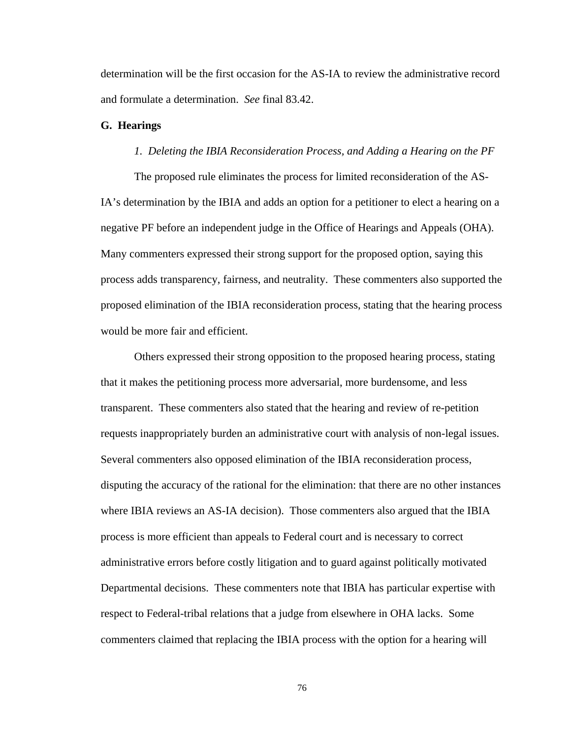determination will be the first occasion for the AS-IA to review the administrative record and formulate a determination. *See* final 83.42.

#### **G. Hearings**

## *1. Deleting the IBIA Reconsideration Process, and Adding a Hearing on the PF*

The proposed rule eliminates the process for limited reconsideration of the AS-IA's determination by the IBIA and adds an option for a petitioner to elect a hearing on a negative PF before an independent judge in the Office of Hearings and Appeals (OHA). Many commenters expressed their strong support for the proposed option, saying this process adds transparency, fairness, and neutrality. These commenters also supported the proposed elimination of the IBIA reconsideration process, stating that the hearing process would be more fair and efficient.

Others expressed their strong opposition to the proposed hearing process, stating that it makes the petitioning process more adversarial, more burdensome, and less transparent. These commenters also stated that the hearing and review of re-petition requests inappropriately burden an administrative court with analysis of non-legal issues. Several commenters also opposed elimination of the IBIA reconsideration process, disputing the accuracy of the rational for the elimination: that there are no other instances where IBIA reviews an AS-IA decision). Those commenters also argued that the IBIA process is more efficient than appeals to Federal court and is necessary to correct administrative errors before costly litigation and to guard against politically motivated Departmental decisions. These commenters note that IBIA has particular expertise with respect to Federal-tribal relations that a judge from elsewhere in OHA lacks. Some commenters claimed that replacing the IBIA process with the option for a hearing will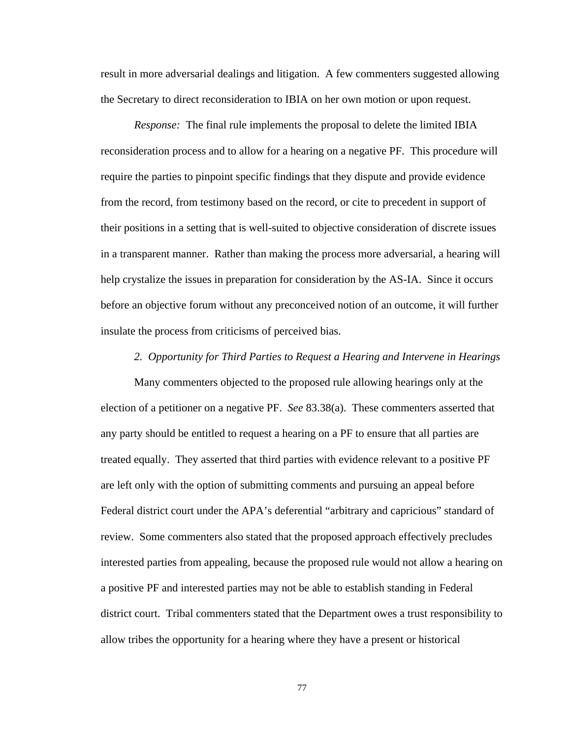result in more adversarial dealings and litigation. A few commenters suggested allowing the Secretary to direct reconsideration to IBIA on her own motion or upon request.

*Response:* The final rule implements the proposal to delete the limited IBIA reconsideration process and to allow for a hearing on a negative PF. This procedure will require the parties to pinpoint specific findings that they dispute and provide evidence from the record, from testimony based on the record, or cite to precedent in support of their positions in a setting that is well-suited to objective consideration of discrete issues in a transparent manner. Rather than making the process more adversarial, a hearing will help crystalize the issues in preparation for consideration by the AS-IA. Since it occurs before an objective forum without any preconceived notion of an outcome, it will further insulate the process from criticisms of perceived bias.

#### *2. Opportunity for Third Parties to Request a Hearing and Intervene in Hearings*

Many commenters objected to the proposed rule allowing hearings only at the election of a petitioner on a negative PF. *See* 83.38(a). These commenters asserted that any party should be entitled to request a hearing on a PF to ensure that all parties are treated equally. They asserted that third parties with evidence relevant to a positive PF are left only with the option of submitting comments and pursuing an appeal before Federal district court under the APA's deferential "arbitrary and capricious" standard of review. Some commenters also stated that the proposed approach effectively precludes interested parties from appealing, because the proposed rule would not allow a hearing on a positive PF and interested parties may not be able to establish standing in Federal district court. Tribal commenters stated that the Department owes a trust responsibility to allow tribes the opportunity for a hearing where they have a present or historical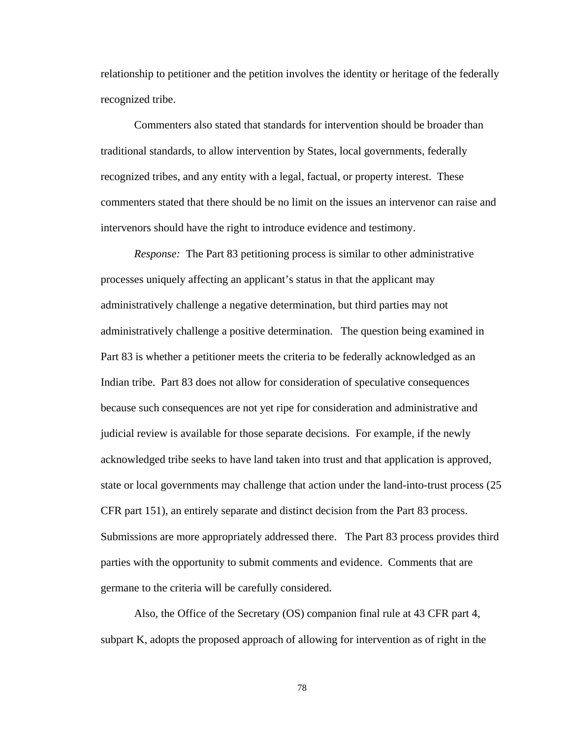relationship to petitioner and the petition involves the identity or heritage of the federally recognized tribe.

Commenters also stated that standards for intervention should be broader than traditional standards, to allow intervention by States, local governments, federally recognized tribes, and any entity with a legal, factual, or property interest. These commenters stated that there should be no limit on the issues an intervenor can raise and intervenors should have the right to introduce evidence and testimony.

*Response:* The Part 83 petitioning process is similar to other administrative processes uniquely affecting an applicant's status in that the applicant may administratively challenge a negative determination, but third parties may not administratively challenge a positive determination. The question being examined in Part 83 is whether a petitioner meets the criteria to be federally acknowledged as an Indian tribe. Part 83 does not allow for consideration of speculative consequences because such consequences are not yet ripe for consideration and administrative and judicial review is available for those separate decisions. For example, if the newly acknowledged tribe seeks to have land taken into trust and that application is approved, state or local governments may challenge that action under the land-into-trust process (25 CFR part 151), an entirely separate and distinct decision from the Part 83 process. Submissions are more appropriately addressed there. The Part 83 process provides third parties with the opportunity to submit comments and evidence. Comments that are germane to the criteria will be carefully considered.

Also, the Office of the Secretary (OS) companion final rule at 43 CFR part 4, subpart K, adopts the proposed approach of allowing for intervention as of right in the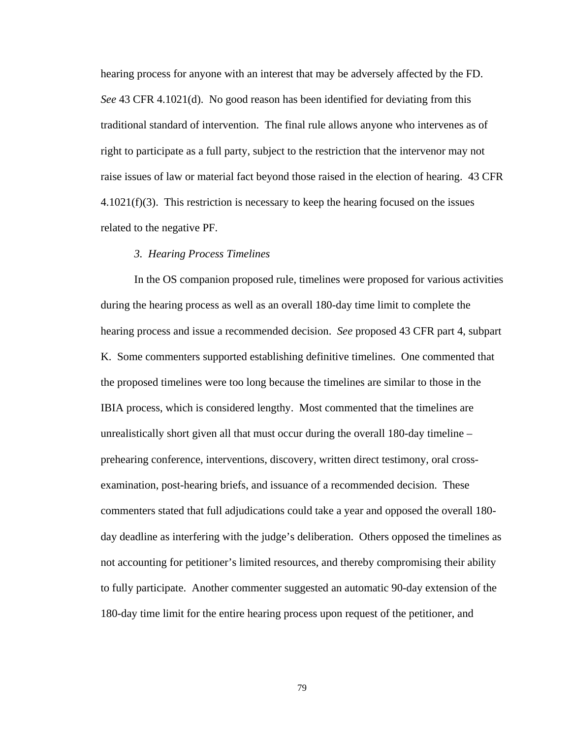hearing process for anyone with an interest that may be adversely affected by the FD. *See* 43 CFR 4.1021(d). No good reason has been identified for deviating from this traditional standard of intervention. The final rule allows anyone who intervenes as of right to participate as a full party, subject to the restriction that the intervenor may not raise issues of law or material fact beyond those raised in the election of hearing. 43 CFR 4.1021(f)(3). This restriction is necessary to keep the hearing focused on the issues related to the negative PF.

## *3. Hearing Process Timelines*

In the OS companion proposed rule, timelines were proposed for various activities during the hearing process as well as an overall 180-day time limit to complete the hearing process and issue a recommended decision. *See* proposed 43 CFR part 4, subpart K. Some commenters supported establishing definitive timelines. One commented that the proposed timelines were too long because the timelines are similar to those in the IBIA process, which is considered lengthy. Most commented that the timelines are unrealistically short given all that must occur during the overall 180-day timeline – prehearing conference, interventions, discovery, written direct testimony, oral crossexamination, post-hearing briefs, and issuance of a recommended decision. These commenters stated that full adjudications could take a year and opposed the overall 180 day deadline as interfering with the judge's deliberation. Others opposed the timelines as not accounting for petitioner's limited resources, and thereby compromising their ability to fully participate. Another commenter suggested an automatic 90-day extension of the 180-day time limit for the entire hearing process upon request of the petitioner, and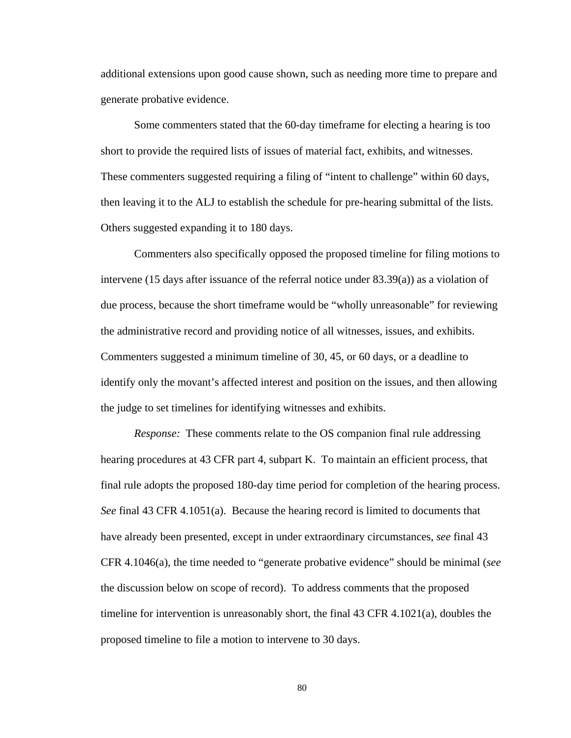additional extensions upon good cause shown, such as needing more time to prepare and generate probative evidence.

Some commenters stated that the 60-day timeframe for electing a hearing is too short to provide the required lists of issues of material fact, exhibits, and witnesses. These commenters suggested requiring a filing of "intent to challenge" within 60 days, then leaving it to the ALJ to establish the schedule for pre-hearing submittal of the lists. Others suggested expanding it to 180 days.

Commenters also specifically opposed the proposed timeline for filing motions to intervene (15 days after issuance of the referral notice under 83.39(a)) as a violation of due process, because the short timeframe would be "wholly unreasonable" for reviewing the administrative record and providing notice of all witnesses, issues, and exhibits. Commenters suggested a minimum timeline of 30, 45, or 60 days, or a deadline to identify only the movant's affected interest and position on the issues, and then allowing the judge to set timelines for identifying witnesses and exhibits.

*Response:* These comments relate to the OS companion final rule addressing hearing procedures at 43 CFR part 4, subpart K. To maintain an efficient process, that final rule adopts the proposed 180-day time period for completion of the hearing process. *See* final 43 CFR 4.1051(a). Because the hearing record is limited to documents that have already been presented, except in under extraordinary circumstances, *see* final 43 CFR 4.1046(a), the time needed to "generate probative evidence" should be minimal (*see*  the discussion below on scope of record). To address comments that the proposed timeline for intervention is unreasonably short, the final 43 CFR 4.1021(a), doubles the proposed timeline to file a motion to intervene to 30 days.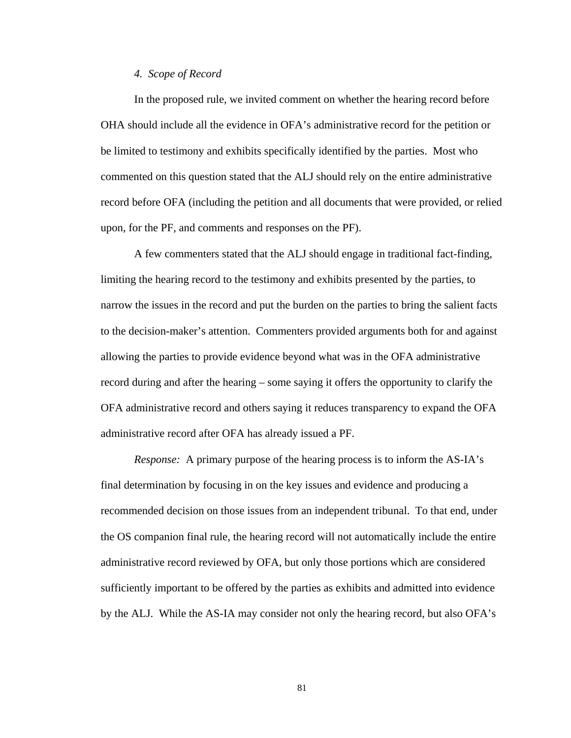#### *4. Scope of Record*

In the proposed rule, we invited comment on whether the hearing record before OHA should include all the evidence in OFA's administrative record for the petition or be limited to testimony and exhibits specifically identified by the parties. Most who commented on this question stated that the ALJ should rely on the entire administrative record before OFA (including the petition and all documents that were provided, or relied upon, for the PF, and comments and responses on the PF).

A few commenters stated that the ALJ should engage in traditional fact-finding, limiting the hearing record to the testimony and exhibits presented by the parties, to narrow the issues in the record and put the burden on the parties to bring the salient facts to the decision-maker's attention. Commenters provided arguments both for and against allowing the parties to provide evidence beyond what was in the OFA administrative record during and after the hearing – some saying it offers the opportunity to clarify the OFA administrative record and others saying it reduces transparency to expand the OFA administrative record after OFA has already issued a PF.

*Response:* A primary purpose of the hearing process is to inform the AS-IA's final determination by focusing in on the key issues and evidence and producing a recommended decision on those issues from an independent tribunal. To that end, under the OS companion final rule, the hearing record will not automatically include the entire administrative record reviewed by OFA, but only those portions which are considered sufficiently important to be offered by the parties as exhibits and admitted into evidence by the ALJ. While the AS-IA may consider not only the hearing record, but also OFA's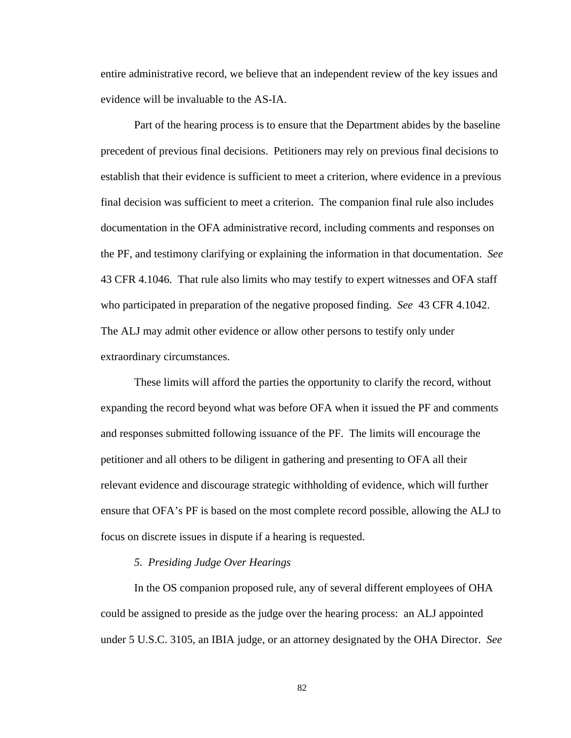entire administrative record, we believe that an independent review of the key issues and evidence will be invaluable to the AS-IA.

Part of the hearing process is to ensure that the Department abides by the baseline precedent of previous final decisions. Petitioners may rely on previous final decisions to establish that their evidence is sufficient to meet a criterion, where evidence in a previous final decision was sufficient to meet a criterion. The companion final rule also includes documentation in the OFA administrative record, including comments and responses on the PF, and testimony clarifying or explaining the information in that documentation. *See* 43 CFR 4.1046. That rule also limits who may testify to expert witnesses and OFA staff who participated in preparation of the negative proposed finding. *See* 43 CFR 4.1042. The ALJ may admit other evidence or allow other persons to testify only under extraordinary circumstances.

These limits will afford the parties the opportunity to clarify the record, without expanding the record beyond what was before OFA when it issued the PF and comments and responses submitted following issuance of the PF. The limits will encourage the petitioner and all others to be diligent in gathering and presenting to OFA all their relevant evidence and discourage strategic withholding of evidence, which will further ensure that OFA's PF is based on the most complete record possible, allowing the ALJ to focus on discrete issues in dispute if a hearing is requested.

#### *5. Presiding Judge Over Hearings*

In the OS companion proposed rule, any of several different employees of OHA could be assigned to preside as the judge over the hearing process: an ALJ appointed under 5 U.S.C. 3105, an IBIA judge, or an attorney designated by the OHA Director. *See*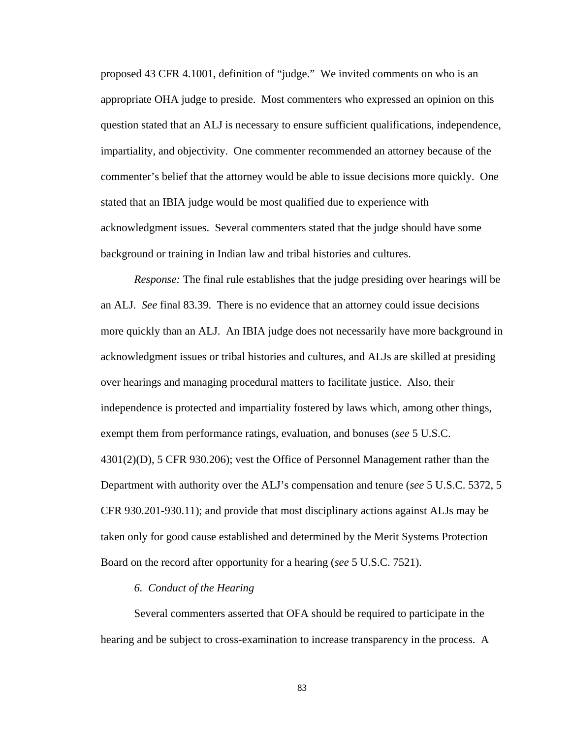proposed 43 CFR 4.1001, definition of "judge." We invited comments on who is an appropriate OHA judge to preside. Most commenters who expressed an opinion on this question stated that an ALJ is necessary to ensure sufficient qualifications, independence, impartiality, and objectivity. One commenter recommended an attorney because of the commenter's belief that the attorney would be able to issue decisions more quickly. One stated that an IBIA judge would be most qualified due to experience with acknowledgment issues. Several commenters stated that the judge should have some background or training in Indian law and tribal histories and cultures.

*Response:* The final rule establishes that the judge presiding over hearings will be an ALJ. *See* final 83.39. There is no evidence that an attorney could issue decisions more quickly than an ALJ. An IBIA judge does not necessarily have more background in acknowledgment issues or tribal histories and cultures, and ALJs are skilled at presiding over hearings and managing procedural matters to facilitate justice. Also, their independence is protected and impartiality fostered by laws which, among other things, exempt them from performance ratings, evaluation, and bonuses (*see* 5 U.S.C. 4301(2)(D), 5 CFR 930.206); vest the Office of Personnel Management rather than the Department with authority over the ALJ's compensation and tenure (*see* 5 U.S.C. 5372, 5 CFR 930.201-930.11); and provide that most disciplinary actions against ALJs may be taken only for good cause established and determined by the Merit Systems Protection Board on the record after opportunity for a hearing (*see* 5 U.S.C. 7521).

## *6. Conduct of the Hearing*

Several commenters asserted that OFA should be required to participate in the hearing and be subject to cross-examination to increase transparency in the process. A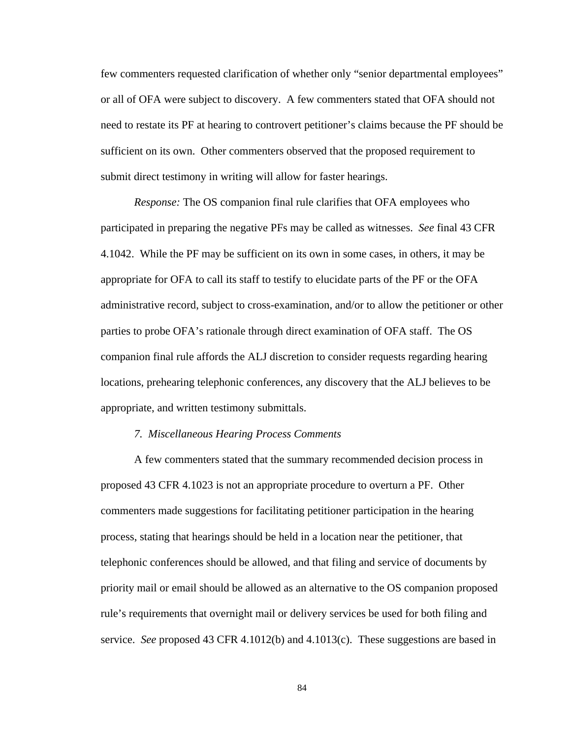few commenters requested clarification of whether only "senior departmental employees" or all of OFA were subject to discovery. A few commenters stated that OFA should not need to restate its PF at hearing to controvert petitioner's claims because the PF should be sufficient on its own. Other commenters observed that the proposed requirement to submit direct testimony in writing will allow for faster hearings.

*Response:* The OS companion final rule clarifies that OFA employees who participated in preparing the negative PFs may be called as witnesses. *See* final 43 CFR 4.1042. While the PF may be sufficient on its own in some cases, in others, it may be appropriate for OFA to call its staff to testify to elucidate parts of the PF or the OFA administrative record, subject to cross-examination, and/or to allow the petitioner or other parties to probe OFA's rationale through direct examination of OFA staff. The OS companion final rule affords the ALJ discretion to consider requests regarding hearing locations, prehearing telephonic conferences, any discovery that the ALJ believes to be appropriate, and written testimony submittals.

#### *7. Miscellaneous Hearing Process Comments*

A few commenters stated that the summary recommended decision process in proposed 43 CFR 4.1023 is not an appropriate procedure to overturn a PF. Other commenters made suggestions for facilitating petitioner participation in the hearing process, stating that hearings should be held in a location near the petitioner, that telephonic conferences should be allowed, and that filing and service of documents by priority mail or email should be allowed as an alternative to the OS companion proposed rule's requirements that overnight mail or delivery services be used for both filing and service. *See* proposed 43 CFR 4.1012(b) and 4.1013(c). These suggestions are based in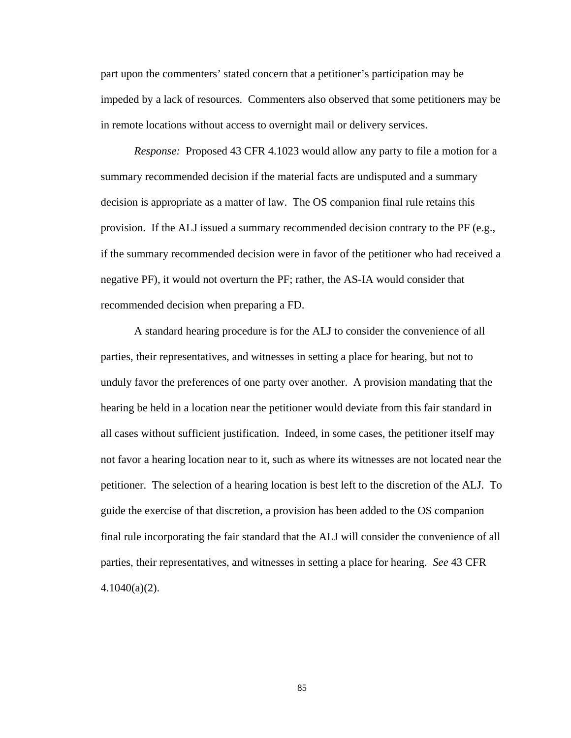part upon the commenters' stated concern that a petitioner's participation may be impeded by a lack of resources. Commenters also observed that some petitioners may be in remote locations without access to overnight mail or delivery services.

*Response:* Proposed 43 CFR 4.1023 would allow any party to file a motion for a summary recommended decision if the material facts are undisputed and a summary decision is appropriate as a matter of law.The OS companion final rule retains this provision. If the ALJ issued a summary recommended decision contrary to the PF (e.g., if the summary recommended decision were in favor of the petitioner who had received a negative PF), it would not overturn the PF; rather, the AS-IA would consider that recommended decision when preparing a FD.

A standard hearing procedure is for the ALJ to consider the convenience of all parties, their representatives, and witnesses in setting a place for hearing, but not to unduly favor the preferences of one party over another. A provision mandating that the hearing be held in a location near the petitioner would deviate from this fair standard in all cases without sufficient justification. Indeed, in some cases, the petitioner itself may not favor a hearing location near to it, such as where its witnesses are not located near the petitioner. The selection of a hearing location is best left to the discretion of the ALJ. To guide the exercise of that discretion, a provision has been added to the OS companion final rule incorporating the fair standard that the ALJ will consider the convenience of all parties, their representatives, and witnesses in setting a place for hearing. *See* 43 CFR 4.1040(a)(2).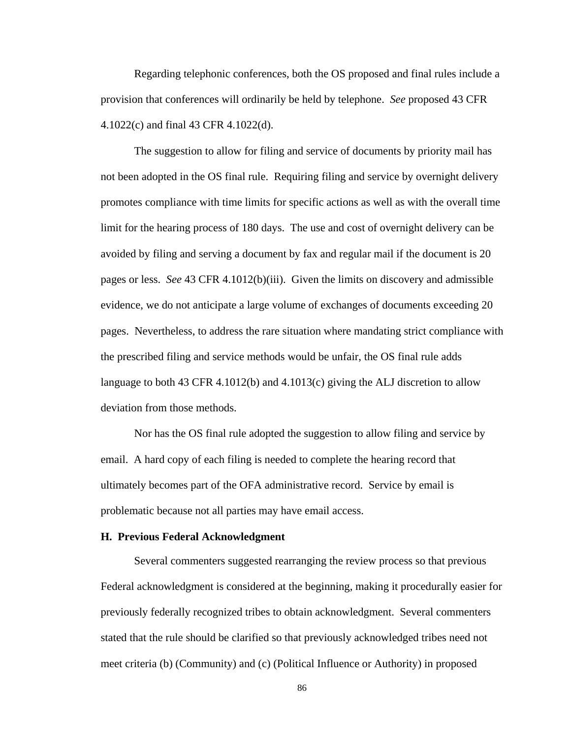Regarding telephonic conferences, both the OS proposed and final rules include a provision that conferences will ordinarily be held by telephone. *See* proposed 43 CFR 4.1022(c) and final 43 CFR 4.1022(d).

The suggestion to allow for filing and service of documents by priority mail has not been adopted in the OS final rule. Requiring filing and service by overnight delivery promotes compliance with time limits for specific actions as well as with the overall time limit for the hearing process of 180 days. The use and cost of overnight delivery can be avoided by filing and serving a document by fax and regular mail if the document is 20 pages or less. *See* 43 CFR 4.1012(b)(iii). Given the limits on discovery and admissible evidence, we do not anticipate a large volume of exchanges of documents exceeding 20 pages. Nevertheless, to address the rare situation where mandating strict compliance with the prescribed filing and service methods would be unfair, the OS final rule adds language to both 43 CFR 4.1012(b) and 4.1013(c) giving the ALJ discretion to allow deviation from those methods.

Nor has the OS final rule adopted the suggestion to allow filing and service by email. A hard copy of each filing is needed to complete the hearing record that ultimately becomes part of the OFA administrative record. Service by email is problematic because not all parties may have email access.

#### **H. Previous Federal Acknowledgment**

Several commenters suggested rearranging the review process so that previous Federal acknowledgment is considered at the beginning, making it procedurally easier for previously federally recognized tribes to obtain acknowledgment. Several commenters stated that the rule should be clarified so that previously acknowledged tribes need not meet criteria (b) (Community) and (c) (Political Influence or Authority) in proposed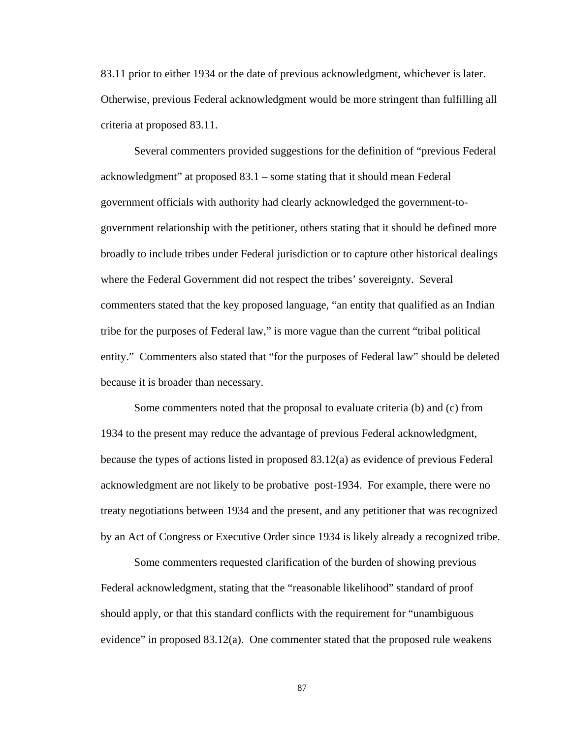83.11 prior to either 1934 or the date of previous acknowledgment, whichever is later. Otherwise, previous Federal acknowledgment would be more stringent than fulfilling all criteria at proposed 83.11.

Several commenters provided suggestions for the definition of "previous Federal acknowledgment" at proposed 83.1 – some stating that it should mean Federal government officials with authority had clearly acknowledged the government-togovernment relationship with the petitioner, others stating that it should be defined more broadly to include tribes under Federal jurisdiction or to capture other historical dealings where the Federal Government did not respect the tribes' sovereignty. Several commenters stated that the key proposed language, "an entity that qualified as an Indian tribe for the purposes of Federal law," is more vague than the current "tribal political entity." Commenters also stated that "for the purposes of Federal law" should be deleted because it is broader than necessary.

Some commenters noted that the proposal to evaluate criteria (b) and (c) from 1934 to the present may reduce the advantage of previous Federal acknowledgment, because the types of actions listed in proposed 83.12(a) as evidence of previous Federal acknowledgment are not likely to be probative post-1934. For example, there were no treaty negotiations between 1934 and the present, and any petitioner that was recognized by an Act of Congress or Executive Order since 1934 is likely already a recognized tribe.

Some commenters requested clarification of the burden of showing previous Federal acknowledgment, stating that the "reasonable likelihood" standard of proof should apply, or that this standard conflicts with the requirement for "unambiguous evidence" in proposed 83.12(a). One commenter stated that the proposed rule weakens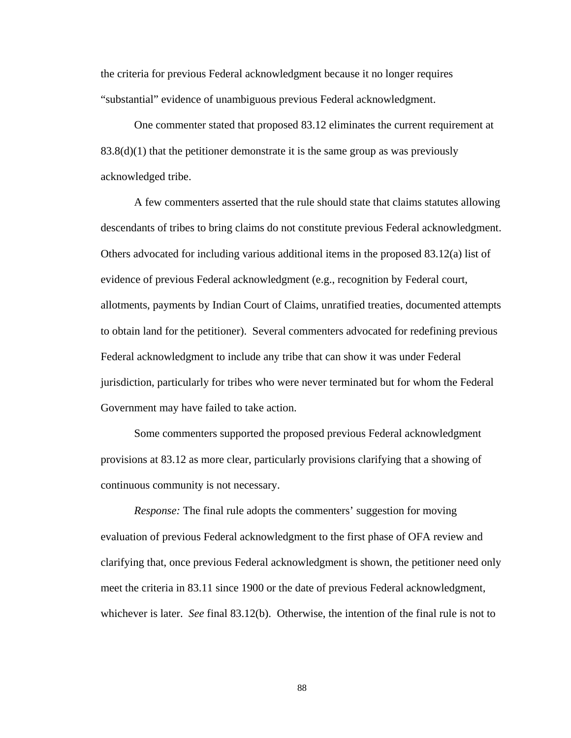the criteria for previous Federal acknowledgment because it no longer requires "substantial" evidence of unambiguous previous Federal acknowledgment.

One commenter stated that proposed 83.12 eliminates the current requirement at  $83.8(d)(1)$  that the petitioner demonstrate it is the same group as was previously acknowledged tribe.

A few commenters asserted that the rule should state that claims statutes allowing descendants of tribes to bring claims do not constitute previous Federal acknowledgment. Others advocated for including various additional items in the proposed 83.12(a) list of evidence of previous Federal acknowledgment (e.g., recognition by Federal court, allotments, payments by Indian Court of Claims, unratified treaties, documented attempts to obtain land for the petitioner). Several commenters advocated for redefining previous Federal acknowledgment to include any tribe that can show it was under Federal jurisdiction, particularly for tribes who were never terminated but for whom the Federal Government may have failed to take action.

Some commenters supported the proposed previous Federal acknowledgment provisions at 83.12 as more clear, particularly provisions clarifying that a showing of continuous community is not necessary.

*Response:* The final rule adopts the commenters' suggestion for moving evaluation of previous Federal acknowledgment to the first phase of OFA review and clarifying that, once previous Federal acknowledgment is shown, the petitioner need only meet the criteria in 83.11 since 1900 or the date of previous Federal acknowledgment, whichever is later. *See* final 83.12(b). Otherwise, the intention of the final rule is not to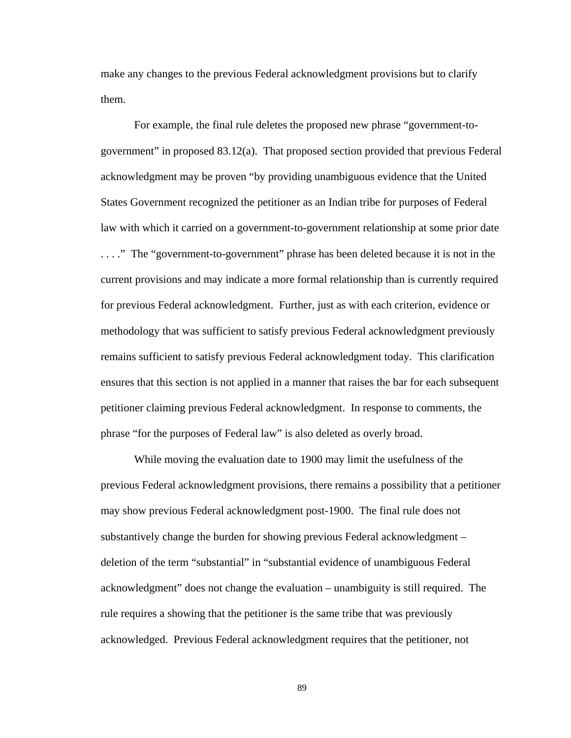make any changes to the previous Federal acknowledgment provisions but to clarify them.

For example, the final rule deletes the proposed new phrase "government-togovernment" in proposed 83.12(a). That proposed section provided that previous Federal acknowledgment may be proven "by providing unambiguous evidence that the United States Government recognized the petitioner as an Indian tribe for purposes of Federal law with which it carried on a government-to-government relationship at some prior date . . . ." The "government-to-government" phrase has been deleted because it is not in the current provisions and may indicate a more formal relationship than is currently required for previous Federal acknowledgment. Further, just as with each criterion, evidence or methodology that was sufficient to satisfy previous Federal acknowledgment previously remains sufficient to satisfy previous Federal acknowledgment today. This clarification ensures that this section is not applied in a manner that raises the bar for each subsequent petitioner claiming previous Federal acknowledgment. In response to comments, the phrase "for the purposes of Federal law" is also deleted as overly broad.

While moving the evaluation date to 1900 may limit the usefulness of the previous Federal acknowledgment provisions, there remains a possibility that a petitioner may show previous Federal acknowledgment post-1900. The final rule does not substantively change the burden for showing previous Federal acknowledgment – deletion of the term "substantial" in "substantial evidence of unambiguous Federal acknowledgment" does not change the evaluation – unambiguity is still required. The rule requires a showing that the petitioner is the same tribe that was previously acknowledged. Previous Federal acknowledgment requires that the petitioner, not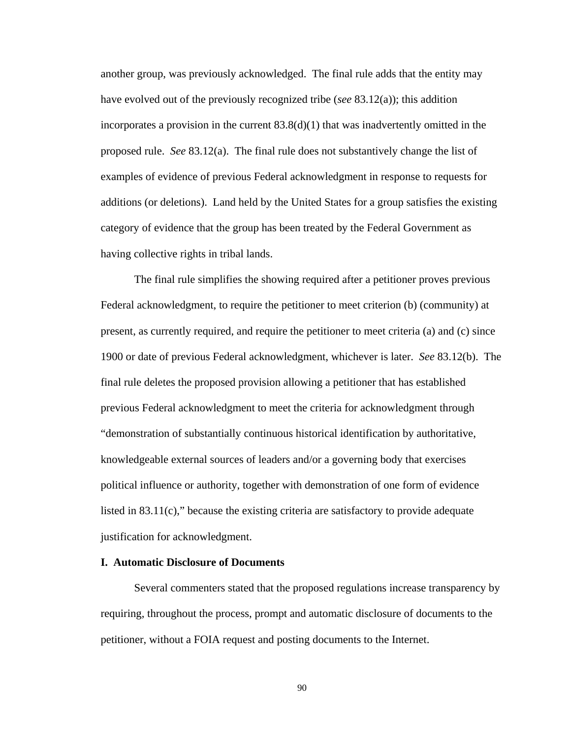another group, was previously acknowledged. The final rule adds that the entity may have evolved out of the previously recognized tribe (*see* 83.12(a)); this addition incorporates a provision in the current  $83.8(d)(1)$  that was inadvertently omitted in the proposed rule. *See* 83.12(a). The final rule does not substantively change the list of examples of evidence of previous Federal acknowledgment in response to requests for additions (or deletions). Land held by the United States for a group satisfies the existing category of evidence that the group has been treated by the Federal Government as having collective rights in tribal lands.

The final rule simplifies the showing required after a petitioner proves previous Federal acknowledgment, to require the petitioner to meet criterion (b) (community) at present, as currently required, and require the petitioner to meet criteria (a) and (c) since 1900 or date of previous Federal acknowledgment, whichever is later. *See* 83.12(b). The final rule deletes the proposed provision allowing a petitioner that has established previous Federal acknowledgment to meet the criteria for acknowledgment through "demonstration of substantially continuous historical identification by authoritative, knowledgeable external sources of leaders and/or a governing body that exercises political influence or authority, together with demonstration of one form of evidence listed in 83.11(c)," because the existing criteria are satisfactory to provide adequate justification for acknowledgment.

## **I. Automatic Disclosure of Documents**

Several commenters stated that the proposed regulations increase transparency by requiring, throughout the process, prompt and automatic disclosure of documents to the petitioner, without a FOIA request and posting documents to the Internet.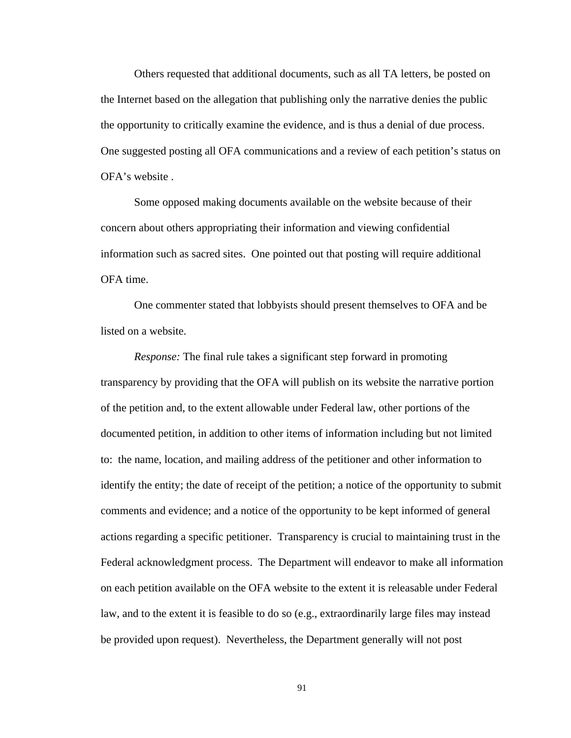Others requested that additional documents, such as all TA letters, be posted on the Internet based on the allegation that publishing only the narrative denies the public the opportunity to critically examine the evidence, and is thus a denial of due process. One suggested posting all OFA communications and a review of each petition's status on OFA's website .

Some opposed making documents available on the website because of their concern about others appropriating their information and viewing confidential information such as sacred sites. One pointed out that posting will require additional OFA time.

One commenter stated that lobbyists should present themselves to OFA and be listed on a website.

*Response:* The final rule takes a significant step forward in promoting transparency by providing that the OFA will publish on its website the narrative portion of the petition and, to the extent allowable under Federal law, other portions of the documented petition, in addition to other items of information including but not limited to: the name, location, and mailing address of the petitioner and other information to identify the entity; the date of receipt of the petition; a notice of the opportunity to submit comments and evidence; and a notice of the opportunity to be kept informed of general actions regarding a specific petitioner. Transparency is crucial to maintaining trust in the Federal acknowledgment process. The Department will endeavor to make all information on each petition available on the OFA website to the extent it is releasable under Federal law, and to the extent it is feasible to do so (e.g., extraordinarily large files may instead be provided upon request). Nevertheless, the Department generally will not post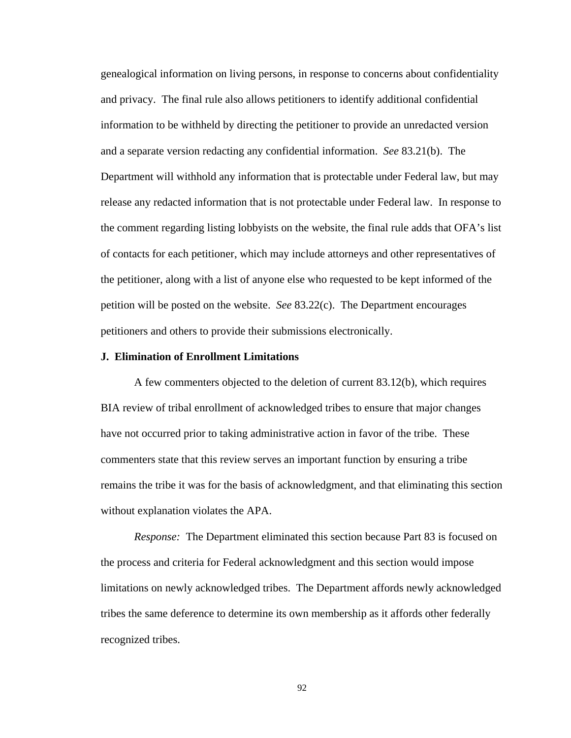genealogical information on living persons, in response to concerns about confidentiality and privacy. The final rule also allows petitioners to identify additional confidential information to be withheld by directing the petitioner to provide an unredacted version and a separate version redacting any confidential information. *See* 83.21(b). The Department will withhold any information that is protectable under Federal law, but may release any redacted information that is not protectable under Federal law. In response to the comment regarding listing lobbyists on the website, the final rule adds that OFA's list of contacts for each petitioner, which may include attorneys and other representatives of the petitioner, along with a list of anyone else who requested to be kept informed of the petition will be posted on the website. *See* 83.22(c). The Department encourages petitioners and others to provide their submissions electronically.

# **J. Elimination of Enrollment Limitations**

A few commenters objected to the deletion of current 83.12(b), which requires BIA review of tribal enrollment of acknowledged tribes to ensure that major changes have not occurred prior to taking administrative action in favor of the tribe. These commenters state that this review serves an important function by ensuring a tribe remains the tribe it was for the basis of acknowledgment, and that eliminating this section without explanation violates the APA.

*Response:* The Department eliminated this section because Part 83 is focused on the process and criteria for Federal acknowledgment and this section would impose limitations on newly acknowledged tribes. The Department affords newly acknowledged tribes the same deference to determine its own membership as it affords other federally recognized tribes.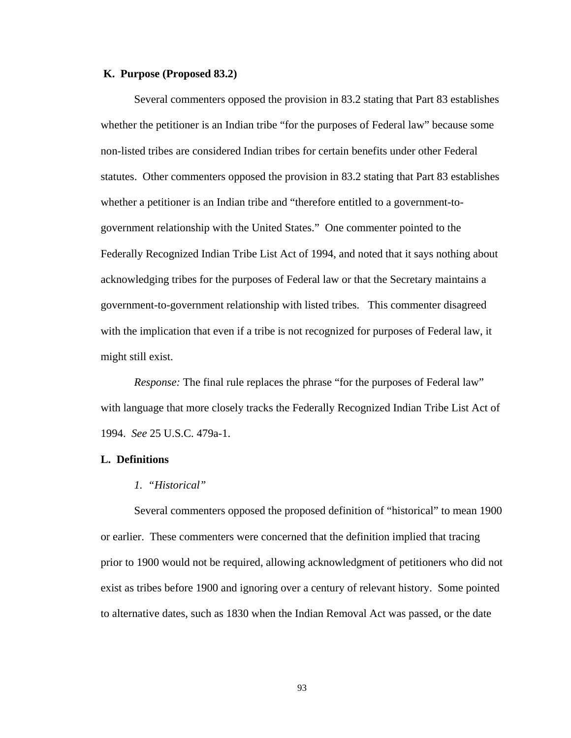#### **K. Purpose (Proposed 83.2)**

Several commenters opposed the provision in 83.2 stating that Part 83 establishes whether the petitioner is an Indian tribe "for the purposes of Federal law" because some non-listed tribes are considered Indian tribes for certain benefits under other Federal statutes. Other commenters opposed the provision in 83.2 stating that Part 83 establishes whether a petitioner is an Indian tribe and "therefore entitled to a government-togovernment relationship with the United States." One commenter pointed to the Federally Recognized Indian Tribe List Act of 1994, and noted that it says nothing about acknowledging tribes for the purposes of Federal law or that the Secretary maintains a government-to-government relationship with listed tribes. This commenter disagreed with the implication that even if a tribe is not recognized for purposes of Federal law, it might still exist.

*Response:* The final rule replaces the phrase "for the purposes of Federal law" with language that more closely tracks the Federally Recognized Indian Tribe List Act of 1994. *See* 25 U.S.C. 479a-1.

### **L. Definitions**

#### *1. "Historical"*

 Several commenters opposed the proposed definition of "historical" to mean 1900 or earlier. These commenters were concerned that the definition implied that tracing prior to 1900 would not be required, allowing acknowledgment of petitioners who did not exist as tribes before 1900 and ignoring over a century of relevant history. Some pointed to alternative dates, such as 1830 when the Indian Removal Act was passed, or the date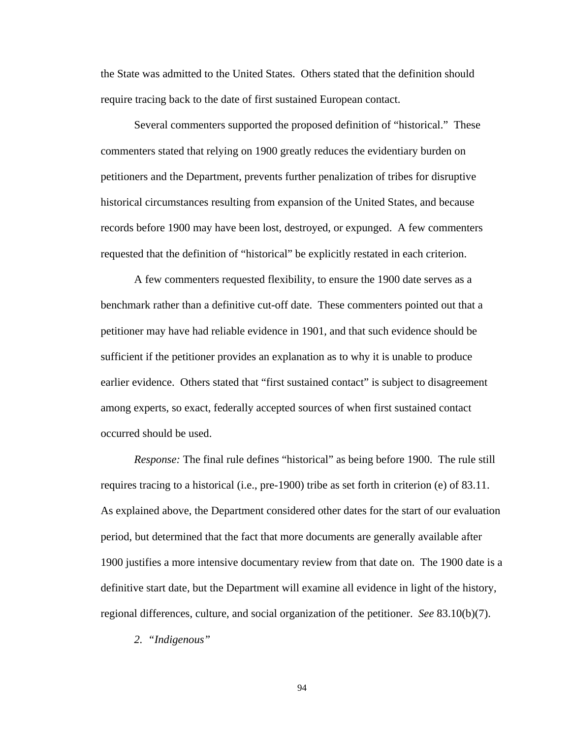the State was admitted to the United States. Others stated that the definition should require tracing back to the date of first sustained European contact.

 Several commenters supported the proposed definition of "historical." These commenters stated that relying on 1900 greatly reduces the evidentiary burden on petitioners and the Department, prevents further penalization of tribes for disruptive historical circumstances resulting from expansion of the United States, and because records before 1900 may have been lost, destroyed, or expunged. A few commenters requested that the definition of "historical" be explicitly restated in each criterion.

 A few commenters requested flexibility, to ensure the 1900 date serves as a benchmark rather than a definitive cut-off date. These commenters pointed out that a petitioner may have had reliable evidence in 1901, and that such evidence should be sufficient if the petitioner provides an explanation as to why it is unable to produce earlier evidence. Others stated that "first sustained contact" is subject to disagreement among experts, so exact, federally accepted sources of when first sustained contact occurred should be used.

*Response:* The final rule defines "historical" as being before 1900. The rule still requires tracing to a historical (i.e., pre-1900) tribe as set forth in criterion (e) of 83.11. As explained above, the Department considered other dates for the start of our evaluation period, but determined that the fact that more documents are generally available after 1900 justifies a more intensive documentary review from that date on. The 1900 date is a definitive start date, but the Department will examine all evidence in light of the history, regional differences, culture, and social organization of the petitioner. *See* 83.10(b)(7).

 *2. "Indigenous"*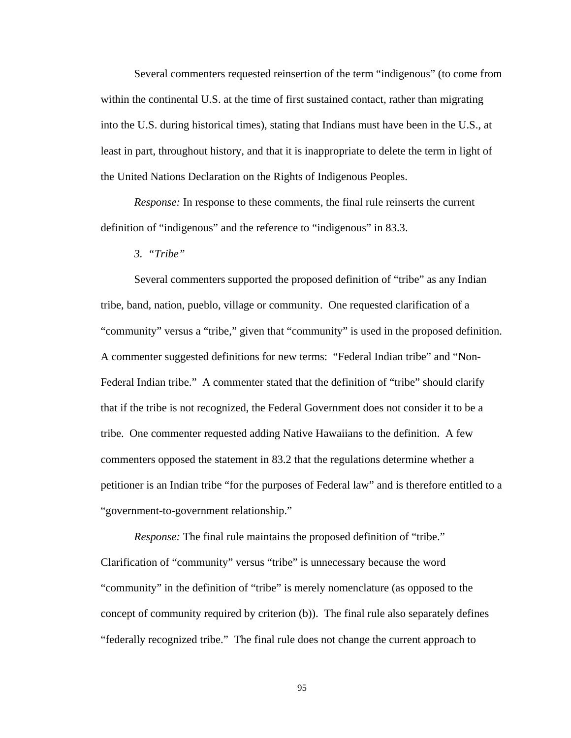Several commenters requested reinsertion of the term "indigenous" (to come from within the continental U.S. at the time of first sustained contact, rather than migrating into the U.S. during historical times), stating that Indians must have been in the U.S., at least in part, throughout history, and that it is inappropriate to delete the term in light of the United Nations Declaration on the Rights of Indigenous Peoples.

 *Response:* In response to these comments, the final rule reinserts the current definition of "indigenous" and the reference to "indigenous" in 83.3.

 *3. "Tribe"* 

Several commenters supported the proposed definition of "tribe" as any Indian tribe, band, nation, pueblo, village or community. One requested clarification of a "community" versus a "tribe," given that "community" is used in the proposed definition. A commenter suggested definitions for new terms: "Federal Indian tribe" and "Non-Federal Indian tribe." A commenter stated that the definition of "tribe" should clarify that if the tribe is not recognized, the Federal Government does not consider it to be a tribe. One commenter requested adding Native Hawaiians to the definition. A few commenters opposed the statement in 83.2 that the regulations determine whether a petitioner is an Indian tribe "for the purposes of Federal law" and is therefore entitled to a "government-to-government relationship."

*Response:* The final rule maintains the proposed definition of "tribe." Clarification of "community" versus "tribe" is unnecessary because the word "community" in the definition of "tribe" is merely nomenclature (as opposed to the concept of community required by criterion (b)). The final rule also separately defines "federally recognized tribe." The final rule does not change the current approach to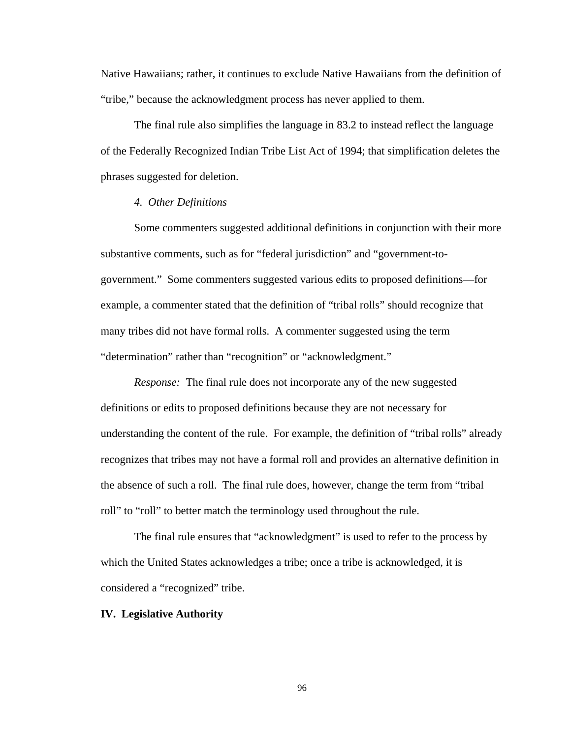Native Hawaiians; rather, it continues to exclude Native Hawaiians from the definition of "tribe," because the acknowledgment process has never applied to them.

The final rule also simplifies the language in 83.2 to instead reflect the language of the Federally Recognized Indian Tribe List Act of 1994; that simplification deletes the phrases suggested for deletion.

## *4. Other Definitions*

 Some commenters suggested additional definitions in conjunction with their more substantive comments, such as for "federal jurisdiction" and "government-togovernment." Some commenters suggested various edits to proposed definitions—for example, a commenter stated that the definition of "tribal rolls" should recognize that many tribes did not have formal rolls. A commenter suggested using the term "determination" rather than "recognition" or "acknowledgment."

*Response:* The final rule does not incorporate any of the new suggested definitions or edits to proposed definitions because they are not necessary for understanding the content of the rule. For example, the definition of "tribal rolls" already recognizes that tribes may not have a formal roll and provides an alternative definition in the absence of such a roll. The final rule does, however, change the term from "tribal roll" to "roll" to better match the terminology used throughout the rule.

The final rule ensures that "acknowledgment" is used to refer to the process by which the United States acknowledges a tribe; once a tribe is acknowledged, it is considered a "recognized" tribe.

## **IV. Legislative Authority**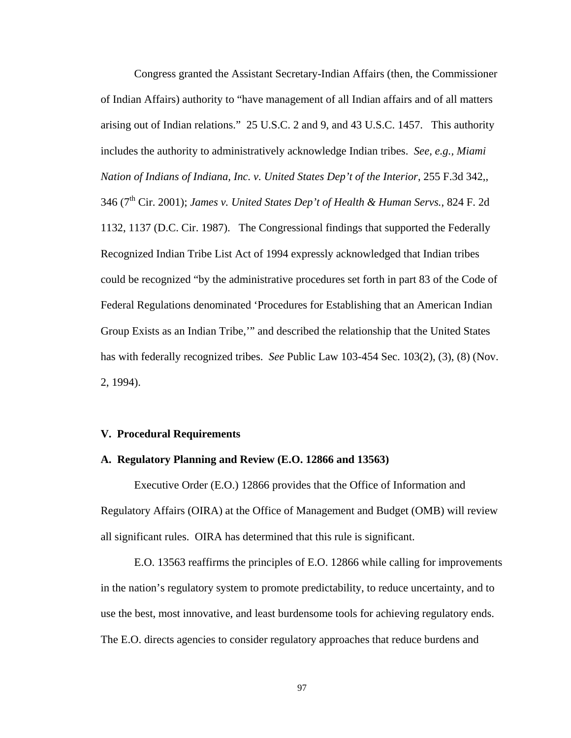Congress granted the Assistant Secretary-Indian Affairs (then, the Commissioner of Indian Affairs) authority to "have management of all Indian affairs and of all matters arising out of Indian relations." 25 U.S.C. 2 and 9, and 43 U.S.C. 1457. This authority includes the authority to administratively acknowledge Indian tribes. *See, e.g., Miami Nation of Indians of Indiana, Inc. v. United States Dep't of the Interior*, 255 F.3d 342,, 346 (7<sup>th</sup> Cir. 2001); *James v. United States Dep't of Health & Human Servs.*, 824 F. 2d 1132, 1137 (D.C. Cir. 1987). The Congressional findings that supported the Federally Recognized Indian Tribe List Act of 1994 expressly acknowledged that Indian tribes could be recognized "by the administrative procedures set forth in part 83 of the Code of Federal Regulations denominated 'Procedures for Establishing that an American Indian Group Exists as an Indian Tribe,'" and described the relationship that the United States has with federally recognized tribes. *See* Public Law 103-454 Sec. 103(2), (3), (8) (Nov. 2, 1994).

## **V. Procedural Requirements**

### **A. Regulatory Planning and Review (E.O. 12866 and 13563)**

 Executive Order (E.O.) 12866 provides that the Office of Information and Regulatory Affairs (OIRA) at the Office of Management and Budget (OMB) will review all significant rules. OIRA has determined that this rule is significant.

 E.O. 13563 reaffirms the principles of E.O. 12866 while calling for improvements in the nation's regulatory system to promote predictability, to reduce uncertainty, and to use the best, most innovative, and least burdensome tools for achieving regulatory ends. The E.O. directs agencies to consider regulatory approaches that reduce burdens and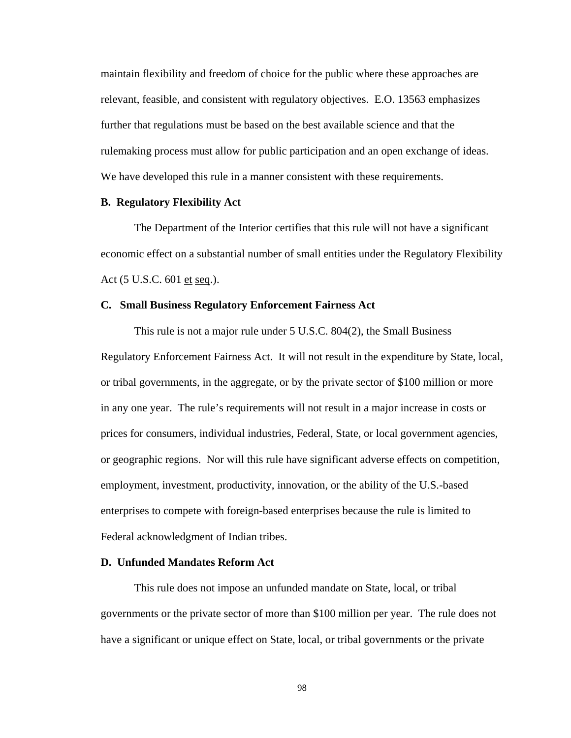maintain flexibility and freedom of choice for the public where these approaches are relevant, feasible, and consistent with regulatory objectives. E.O. 13563 emphasizes further that regulations must be based on the best available science and that the rulemaking process must allow for public participation and an open exchange of ideas. We have developed this rule in a manner consistent with these requirements.

## **B. Regulatory Flexibility Act**

 The Department of the Interior certifies that this rule will not have a significant economic effect on a substantial number of small entities under the Regulatory Flexibility Act (5 U.S.C. 601 et seq.).

## **C. Small Business Regulatory Enforcement Fairness Act**

 This rule is not a major rule under 5 U.S.C. 804(2), the Small Business Regulatory Enforcement Fairness Act. It will not result in the expenditure by State, local, or tribal governments, in the aggregate, or by the private sector of \$100 million or more in any one year. The rule's requirements will not result in a major increase in costs or prices for consumers, individual industries, Federal, State, or local government agencies, or geographic regions. Nor will this rule have significant adverse effects on competition, employment, investment, productivity, innovation, or the ability of the U.S.-based enterprises to compete with foreign-based enterprises because the rule is limited to Federal acknowledgment of Indian tribes.

#### **D. Unfunded Mandates Reform Act**

 This rule does not impose an unfunded mandate on State, local, or tribal governments or the private sector of more than \$100 million per year. The rule does not have a significant or unique effect on State, local, or tribal governments or the private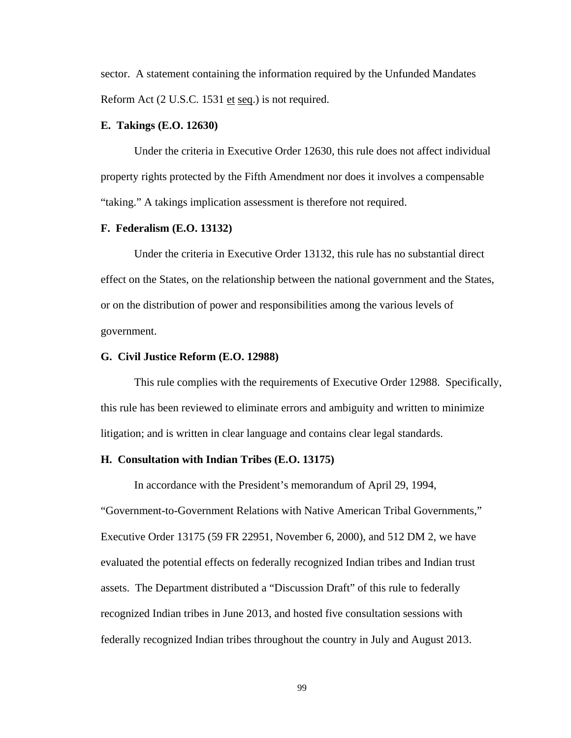sector. A statement containing the information required by the Unfunded Mandates Reform Act (2 U.S.C. 1531 et seq.) is not required.

#### **E. Takings (E.O. 12630)**

 Under the criteria in Executive Order 12630, this rule does not affect individual property rights protected by the Fifth Amendment nor does it involves a compensable "taking." A takings implication assessment is therefore not required.

## **F. Federalism (E.O. 13132)**

 Under the criteria in Executive Order 13132, this rule has no substantial direct effect on the States, on the relationship between the national government and the States, or on the distribution of power and responsibilities among the various levels of government.

#### **G. Civil Justice Reform (E.O. 12988)**

 This rule complies with the requirements of Executive Order 12988. Specifically, this rule has been reviewed to eliminate errors and ambiguity and written to minimize litigation; and is written in clear language and contains clear legal standards.

## **H. Consultation with Indian Tribes (E.O. 13175)**

In accordance with the President's memorandum of April 29, 1994,

"Government-to-Government Relations with Native American Tribal Governments," Executive Order 13175 (59 FR 22951, November 6, 2000), and 512 DM 2, we have evaluated the potential effects on federally recognized Indian tribes and Indian trust assets. The Department distributed a "Discussion Draft" of this rule to federally recognized Indian tribes in June 2013, and hosted five consultation sessions with federally recognized Indian tribes throughout the country in July and August 2013.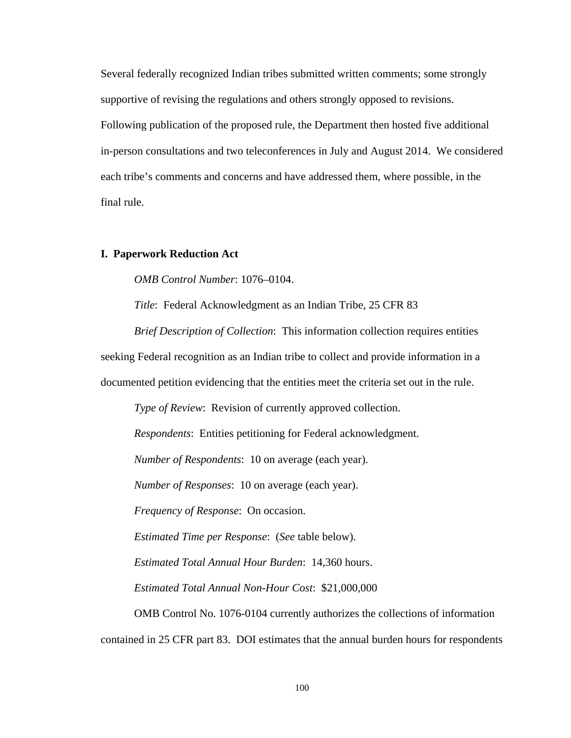Several federally recognized Indian tribes submitted written comments; some strongly supportive of revising the regulations and others strongly opposed to revisions. Following publication of the proposed rule, the Department then hosted five additional in-person consultations and two teleconferences in July and August 2014. We considered each tribe's comments and concerns and have addressed them, where possible, in the final rule.

# **I. Paperwork Reduction Act**

*OMB Control Number*: 1076–0104.

*Title*: Federal Acknowledgment as an Indian Tribe, 25 CFR 83

*Brief Description of Collection*: This information collection requires entities seeking Federal recognition as an Indian tribe to collect and provide information in a documented petition evidencing that the entities meet the criteria set out in the rule.

*Type of Review*: Revision of currently approved collection.

*Respondents*: Entities petitioning for Federal acknowledgment.

*Number of Respondents*: 10 on average (each year).

*Number of Responses*: 10 on average (each year).

*Frequency of Response*: On occasion.

*Estimated Time per Response*: (*See* table below).

*Estimated Total Annual Hour Burden*: 14,360 hours.

*Estimated Total Annual Non-Hour Cost*: \$21,000,000

OMB Control No. 1076-0104 currently authorizes the collections of information contained in 25 CFR part 83. DOI estimates that the annual burden hours for respondents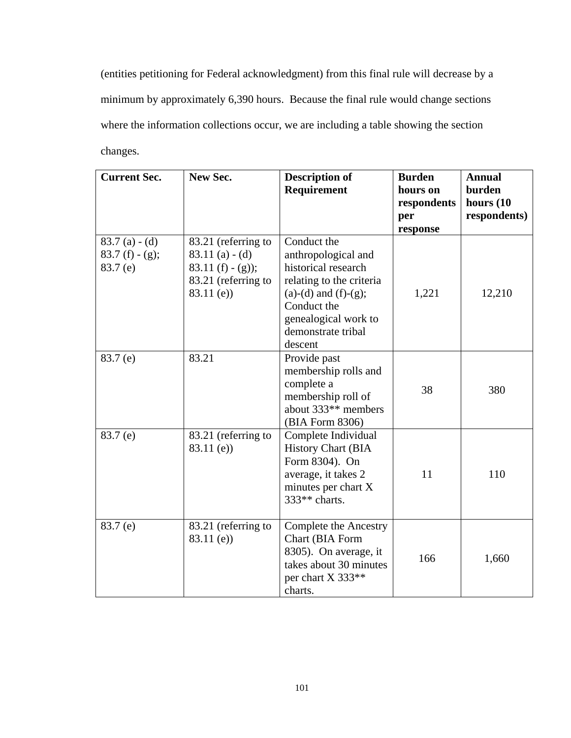(entities petitioning for Federal acknowledgment) from this final rule will decrease by a minimum by approximately 6,390 hours. Because the final rule would change sections where the information collections occur, we are including a table showing the section changes.

| <b>Current Sec.</b>                              | New Sec.                                                                                              | <b>Description of</b><br><b>Requirement</b>                                                                                                                                                | <b>Burden</b><br>hours on | <b>Annual</b><br>burden      |
|--------------------------------------------------|-------------------------------------------------------------------------------------------------------|--------------------------------------------------------------------------------------------------------------------------------------------------------------------------------------------|---------------------------|------------------------------|
|                                                  |                                                                                                       |                                                                                                                                                                                            | respondents<br>per        | hours $(10)$<br>respondents) |
|                                                  |                                                                                                       |                                                                                                                                                                                            | response                  |                              |
| $83.7(a) - (d)$<br>83.7 $(f) - (g);$<br>83.7 (e) | 83.21 (referring to<br>$83.11(a) - (d)$<br>83.11 $(f) - (g)$ ;<br>83.21 (referring to<br>$83.11$ (e)) | Conduct the<br>anthropological and<br>historical research<br>relating to the criteria<br>$(a)-(d)$ and $(f)-(g)$ ;<br>Conduct the<br>genealogical work to<br>demonstrate tribal<br>descent | 1,221                     | 12,210                       |
| 83.7(e)                                          | 83.21                                                                                                 | Provide past<br>membership rolls and<br>complete a<br>membership roll of<br>about 333 <sup>**</sup> members<br>(BIA Form 8306)                                                             | 38                        | 380                          |
| 83.7(e)                                          | 83.21 (referring to<br>$83.11$ (e))                                                                   | Complete Individual<br><b>History Chart (BIA</b><br>Form 8304). On<br>average, it takes 2<br>minutes per chart X<br>$333**$ charts.                                                        | 11                        | 110                          |
| 83.7 (e)                                         | 83.21 (referring to<br>$83.11$ (e))                                                                   | Complete the Ancestry<br>Chart (BIA Form<br>8305). On average, it<br>takes about 30 minutes<br>per chart X 333**<br>charts.                                                                | 166                       | 1,660                        |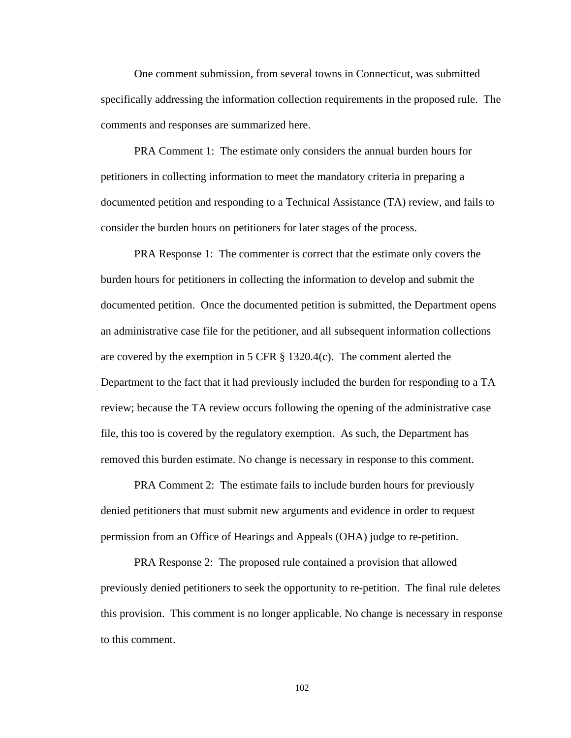One comment submission, from several towns in Connecticut, was submitted specifically addressing the information collection requirements in the proposed rule. The comments and responses are summarized here.

PRA Comment 1: The estimate only considers the annual burden hours for petitioners in collecting information to meet the mandatory criteria in preparing a documented petition and responding to a Technical Assistance (TA) review, and fails to consider the burden hours on petitioners for later stages of the process.

PRA Response 1: The commenter is correct that the estimate only covers the burden hours for petitioners in collecting the information to develop and submit the documented petition. Once the documented petition is submitted, the Department opens an administrative case file for the petitioner, and all subsequent information collections are covered by the exemption in 5 CFR § 1320.4(c). The comment alerted the Department to the fact that it had previously included the burden for responding to a TA review; because the TA review occurs following the opening of the administrative case file, this too is covered by the regulatory exemption. As such, the Department has removed this burden estimate. No change is necessary in response to this comment.

PRA Comment 2: The estimate fails to include burden hours for previously denied petitioners that must submit new arguments and evidence in order to request permission from an Office of Hearings and Appeals (OHA) judge to re-petition.

PRA Response 2: The proposed rule contained a provision that allowed previously denied petitioners to seek the opportunity to re-petition. The final rule deletes this provision. This comment is no longer applicable. No change is necessary in response to this comment.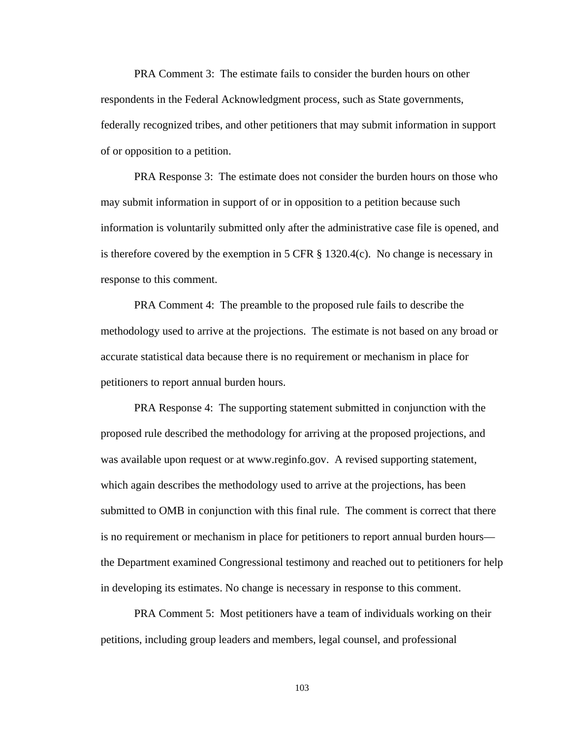PRA Comment 3: The estimate fails to consider the burden hours on other respondents in the Federal Acknowledgment process, such as State governments, federally recognized tribes, and other petitioners that may submit information in support of or opposition to a petition.

PRA Response 3: The estimate does not consider the burden hours on those who may submit information in support of or in opposition to a petition because such information is voluntarily submitted only after the administrative case file is opened, and is therefore covered by the exemption in 5 CFR  $\S$  1320.4(c). No change is necessary in response to this comment.

PRA Comment 4: The preamble to the proposed rule fails to describe the methodology used to arrive at the projections. The estimate is not based on any broad or accurate statistical data because there is no requirement or mechanism in place for petitioners to report annual burden hours.

PRA Response 4: The supporting statement submitted in conjunction with the proposed rule described the methodology for arriving at the proposed projections, and was available upon request or at www.reginfo.gov. A revised supporting statement, which again describes the methodology used to arrive at the projections, has been submitted to OMB in conjunction with this final rule. The comment is correct that there is no requirement or mechanism in place for petitioners to report annual burden hours the Department examined Congressional testimony and reached out to petitioners for help in developing its estimates. No change is necessary in response to this comment.

PRA Comment 5: Most petitioners have a team of individuals working on their petitions, including group leaders and members, legal counsel, and professional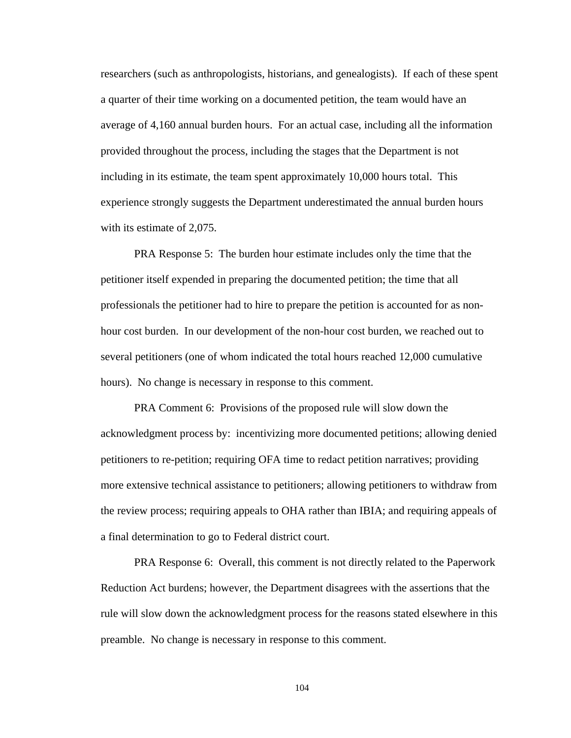researchers (such as anthropologists, historians, and genealogists). If each of these spent a quarter of their time working on a documented petition, the team would have an average of 4,160 annual burden hours. For an actual case, including all the information provided throughout the process, including the stages that the Department is not including in its estimate, the team spent approximately 10,000 hours total. This experience strongly suggests the Department underestimated the annual burden hours with its estimate of 2,075.

PRA Response 5: The burden hour estimate includes only the time that the petitioner itself expended in preparing the documented petition; the time that all professionals the petitioner had to hire to prepare the petition is accounted for as nonhour cost burden. In our development of the non-hour cost burden, we reached out to several petitioners (one of whom indicated the total hours reached 12,000 cumulative hours). No change is necessary in response to this comment.

PRA Comment 6: Provisions of the proposed rule will slow down the acknowledgment process by: incentivizing more documented petitions; allowing denied petitioners to re-petition; requiring OFA time to redact petition narratives; providing more extensive technical assistance to petitioners; allowing petitioners to withdraw from the review process; requiring appeals to OHA rather than IBIA; and requiring appeals of a final determination to go to Federal district court.

PRA Response 6: Overall, this comment is not directly related to the Paperwork Reduction Act burdens; however, the Department disagrees with the assertions that the rule will slow down the acknowledgment process for the reasons stated elsewhere in this preamble. No change is necessary in response to this comment.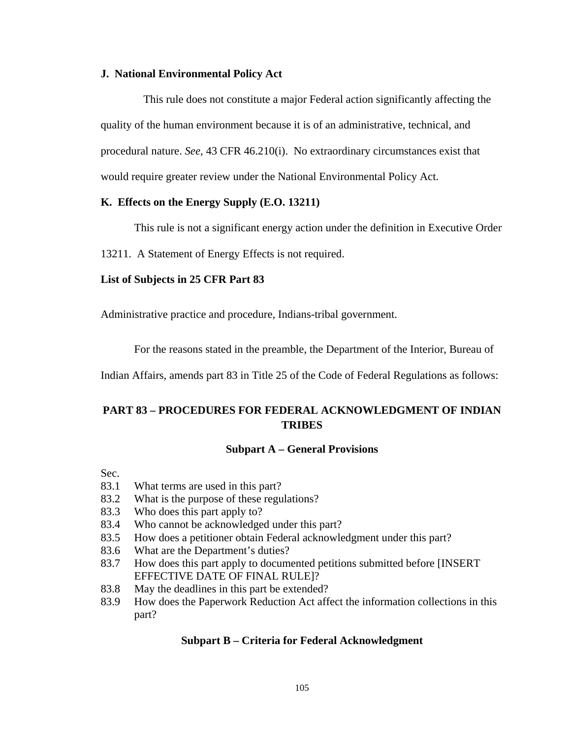# **J. National Environmental Policy Act**

 This rule does not constitute a major Federal action significantly affecting the quality of the human environment because it is of an administrative, technical, and procedural nature. *See,* 43 CFR 46.210(i). No extraordinary circumstances exist that would require greater review under the National Environmental Policy Act.

# **K. Effects on the Energy Supply (E.O. 13211)**

This rule is not a significant energy action under the definition in Executive Order

13211. A Statement of Energy Effects is not required.

# **List of Subjects in 25 CFR Part 83**

Administrative practice and procedure, Indians-tribal government.

For the reasons stated in the preamble, the Department of the Interior, Bureau of

Indian Affairs, amends part 83 in Title 25 of the Code of Federal Regulations as follows:

# **PART 83 – PROCEDURES FOR FEDERAL ACKNOWLEDGMENT OF INDIAN TRIBES**

## **Subpart A – General Provisions**

Sec.

- 83.1 What terms are used in this part?
- 83.2 What is the purpose of these regulations?
- 83.3 Who does this part apply to?
- 83.4 Who cannot be acknowledged under this part?
- 83.5 How does a petitioner obtain Federal acknowledgment under this part?
- 83.6 What are the Department's duties?
- 83.7 How does this part apply to documented petitions submitted before [INSERT EFFECTIVE DATE OF FINAL RULE]?
- 83.8 May the deadlines in this part be extended?
- 83.9 How does the Paperwork Reduction Act affect the information collections in this part?

# **Subpart B – Criteria for Federal Acknowledgment**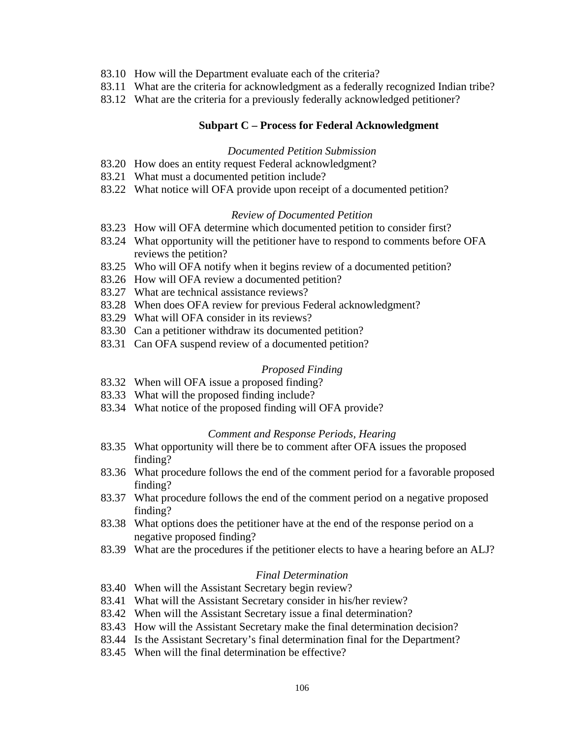- 83.10 How will the Department evaluate each of the criteria?
- 83.11 What are the criteria for acknowledgment as a federally recognized Indian tribe?
- 83.12 What are the criteria for a previously federally acknowledged petitioner?

## **Subpart C – Process for Federal Acknowledgment**

## *Documented Petition Submission*

- 83.20 How does an entity request Federal acknowledgment?
- 83.21 What must a documented petition include?
- 83.22 What notice will OFA provide upon receipt of a documented petition?

## *Review of Documented Petition*

- 83.23 How will OFA determine which documented petition to consider first?
- 83.24 What opportunity will the petitioner have to respond to comments before OFA reviews the petition?
- 83.25 Who will OFA notify when it begins review of a documented petition?
- 83.26 How will OFA review a documented petition?
- 83.27 What are technical assistance reviews?
- 83.28 When does OFA review for previous Federal acknowledgment?
- 83.29 What will OFA consider in its reviews?
- 83.30 Can a petitioner withdraw its documented petition?
- 83.31 Can OFA suspend review of a documented petition?

## *Proposed Finding*

- 83.32 When will OFA issue a proposed finding?
- 83.33 What will the proposed finding include?
- 83.34 What notice of the proposed finding will OFA provide?

#### *Comment and Response Periods, Hearing*

- 83.35 What opportunity will there be to comment after OFA issues the proposed finding?
- 83.36 What procedure follows the end of the comment period for a favorable proposed finding?
- 83.37 What procedure follows the end of the comment period on a negative proposed finding?
- 83.38 What options does the petitioner have at the end of the response period on a negative proposed finding?
- 83.39 What are the procedures if the petitioner elects to have a hearing before an ALJ?

# *Final Determination*

- 83.40 When will the Assistant Secretary begin review?
- 83.41 What will the Assistant Secretary consider in his/her review?
- 83.42 When will the Assistant Secretary issue a final determination?
- 83.43 How will the Assistant Secretary make the final determination decision?
- 83.44 Is the Assistant Secretary's final determination final for the Department?
- 83.45 When will the final determination be effective?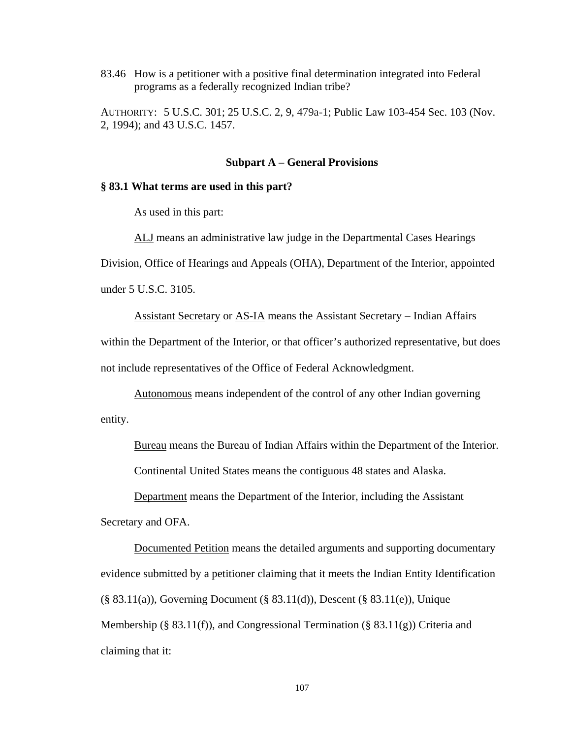83.46 How is a petitioner with a positive final determination integrated into Federal programs as a federally recognized Indian tribe?

AUTHORITY:5 U.S.C. 301; 25 U.S.C. 2, 9, 479a-1; Public Law 103-454 Sec. 103 (Nov. 2, 1994); and 43 U.S.C. 1457.

#### **Subpart A – General Provisions**

## **§ 83.1 What terms are used in this part?**

As used in this part:

ALJ means an administrative law judge in the Departmental Cases Hearings Division, Office of Hearings and Appeals (OHA), Department of the Interior, appointed under 5 U.S.C. 3105.

Assistant Secretary or AS-IA means the Assistant Secretary – Indian Affairs within the Department of the Interior, or that officer's authorized representative, but does not include representatives of the Office of Federal Acknowledgment.

Autonomous means independent of the control of any other Indian governing entity.

Bureau means the Bureau of Indian Affairs within the Department of the Interior.

Continental United States means the contiguous 48 states and Alaska.

Department means the Department of the Interior, including the Assistant Secretary and OFA.

Documented Petition means the detailed arguments and supporting documentary evidence submitted by a petitioner claiming that it meets the Indian Entity Identification (§ 83.11(a)), Governing Document (§ 83.11(d)), Descent (§ 83.11(e)), Unique Membership (§ 83.11(f)), and Congressional Termination (§ 83.11(g)) Criteria and claiming that it: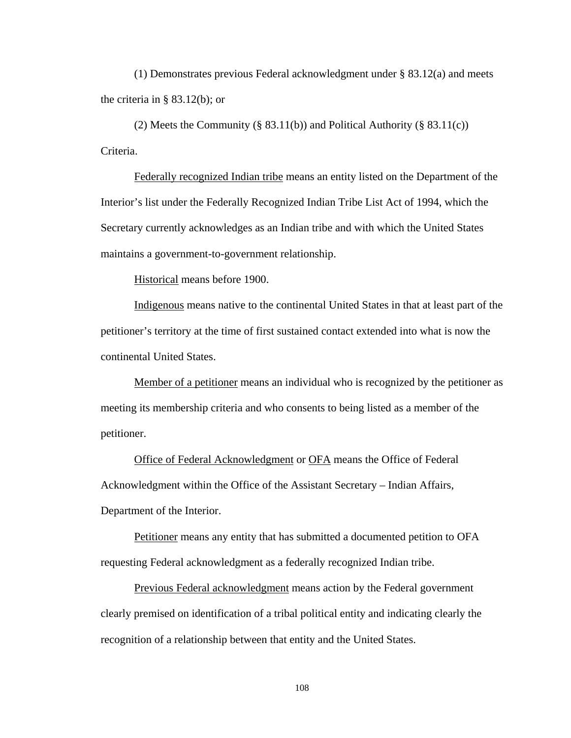(1) Demonstrates previous Federal acknowledgment under § 83.12(a) and meets the criteria in  $\S$  83.12(b); or

(2) Meets the Community (§ 83.11(b)) and Political Authority (§ 83.11(c)) Criteria.

Federally recognized Indian tribe means an entity listed on the Department of the Interior's list under the Federally Recognized Indian Tribe List Act of 1994, which the Secretary currently acknowledges as an Indian tribe and with which the United States maintains a government-to-government relationship.

Historical means before 1900.

Indigenous means native to the continental United States in that at least part of the petitioner's territory at the time of first sustained contact extended into what is now the continental United States.

Member of a petitioner means an individual who is recognized by the petitioner as meeting its membership criteria and who consents to being listed as a member of the petitioner.

 Office of Federal Acknowledgment or OFA means the Office of Federal Acknowledgment within the Office of the Assistant Secretary – Indian Affairs, Department of the Interior.

Petitioner means any entity that has submitted a documented petition to OFA requesting Federal acknowledgment as a federally recognized Indian tribe.

Previous Federal acknowledgment means action by the Federal government clearly premised on identification of a tribal political entity and indicating clearly the recognition of a relationship between that entity and the United States.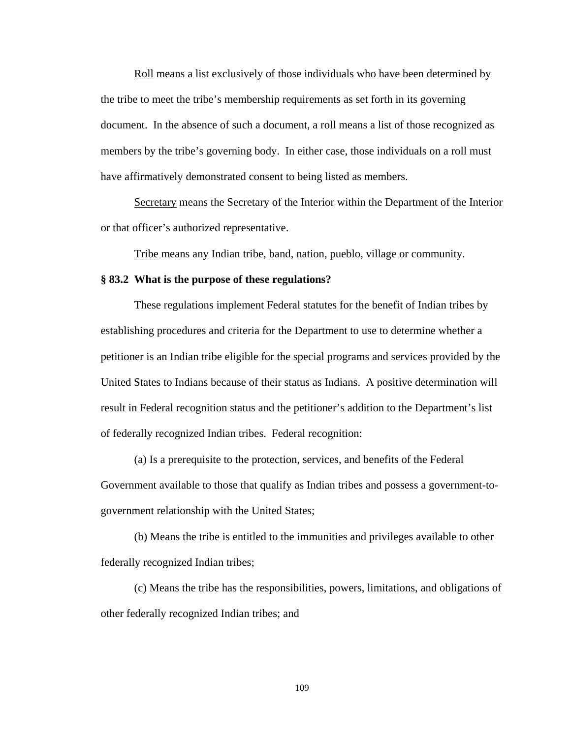Roll means a list exclusively of those individuals who have been determined by the tribe to meet the tribe's membership requirements as set forth in its governing document. In the absence of such a document, a roll means a list of those recognized as members by the tribe's governing body. In either case, those individuals on a roll must have affirmatively demonstrated consent to being listed as members.

Secretary means the Secretary of the Interior within the Department of the Interior or that officer's authorized representative.

Tribe means any Indian tribe, band, nation, pueblo, village or community.

## **§ 83.2 What is the purpose of these regulations?**

These regulations implement Federal statutes for the benefit of Indian tribes by establishing procedures and criteria for the Department to use to determine whether a petitioner is an Indian tribe eligible for the special programs and services provided by the United States to Indians because of their status as Indians. A positive determination will result in Federal recognition status and the petitioner's addition to the Department's list of federally recognized Indian tribes. Federal recognition:

(a) Is a prerequisite to the protection, services, and benefits of the Federal Government available to those that qualify as Indian tribes and possess a government-togovernment relationship with the United States;

(b) Means the tribe is entitled to the immunities and privileges available to other federally recognized Indian tribes;

(c) Means the tribe has the responsibilities, powers, limitations, and obligations of other federally recognized Indian tribes; and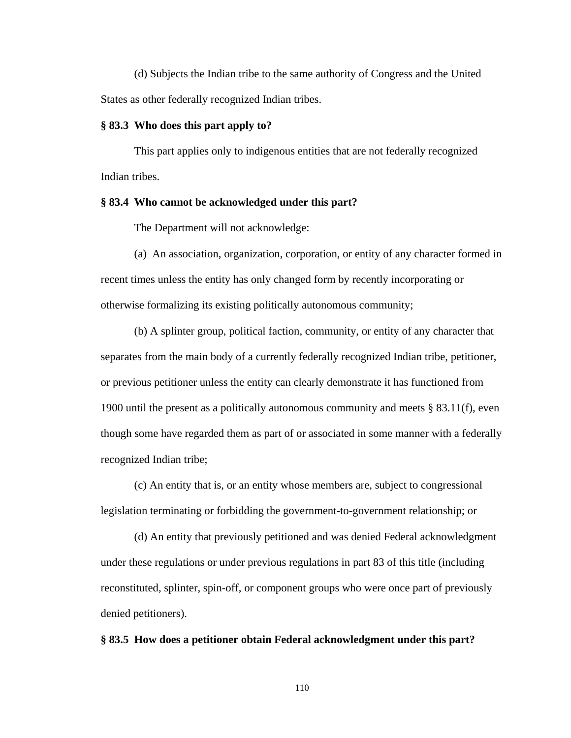(d) Subjects the Indian tribe to the same authority of Congress and the United States as other federally recognized Indian tribes.

#### **§ 83.3 Who does this part apply to?**

This part applies only to indigenous entities that are not federally recognized Indian tribes.

## **§ 83.4 Who cannot be acknowledged under this part?**

The Department will not acknowledge:

(a) An association, organization, corporation, or entity of any character formed in recent times unless the entity has only changed form by recently incorporating or otherwise formalizing its existing politically autonomous community;

(b) A splinter group, political faction, community, or entity of any character that separates from the main body of a currently federally recognized Indian tribe, petitioner, or previous petitioner unless the entity can clearly demonstrate it has functioned from 1900 until the present as a politically autonomous community and meets  $\S$  83.11(f), even though some have regarded them as part of or associated in some manner with a federally recognized Indian tribe;

(c) An entity that is, or an entity whose members are, subject to congressional legislation terminating or forbidding the government-to-government relationship; or

(d) An entity that previously petitioned and was denied Federal acknowledgment under these regulations or under previous regulations in part 83 of this title (including reconstituted, splinter, spin-off, or component groups who were once part of previously denied petitioners).

#### **§ 83.5 How does a petitioner obtain Federal acknowledgment under this part?**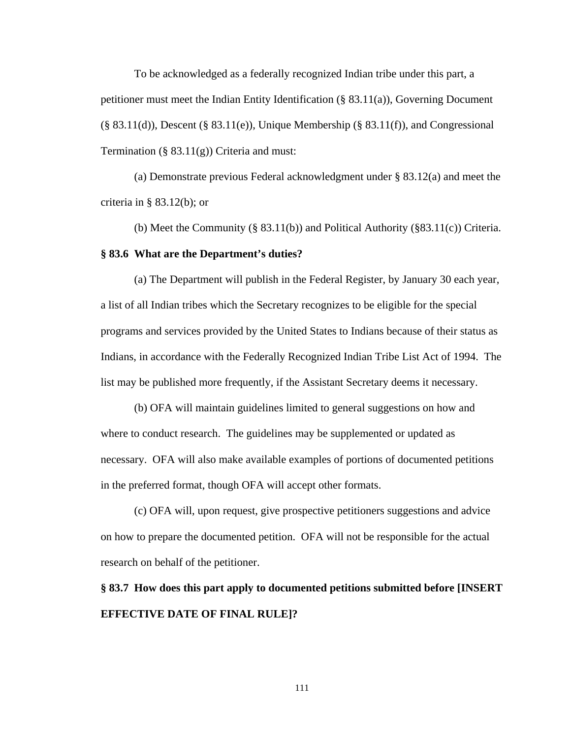To be acknowledged as a federally recognized Indian tribe under this part, a petitioner must meet the Indian Entity Identification (§ 83.11(a)), Governing Document  $(\S$  83.11(d)), Descent  $(\S$  83.11(e)), Unique Membership  $(\S$  83.11(f)), and Congressional Termination (§  $83.11(g)$ ) Criteria and must:

(a) Demonstrate previous Federal acknowledgment under § 83.12(a) and meet the criteria in § 83.12(b); or

(b) Meet the Community (§ 83.11(b)) and Political Authority (§83.11(c)) Criteria. **§ 83.6 What are the Department's duties?** 

 (a) The Department will publish in the Federal Register, by January 30 each year, a list of all Indian tribes which the Secretary recognizes to be eligible for the special programs and services provided by the United States to Indians because of their status as Indians, in accordance with the Federally Recognized Indian Tribe List Act of 1994. The list may be published more frequently, if the Assistant Secretary deems it necessary.

 (b) OFA will maintain guidelines limited to general suggestions on how and where to conduct research. The guidelines may be supplemented or updated as necessary. OFA will also make available examples of portions of documented petitions in the preferred format, though OFA will accept other formats.

 (c) OFA will, upon request, give prospective petitioners suggestions and advice on how to prepare the documented petition. OFA will not be responsible for the actual research on behalf of the petitioner.

**§ 83.7 How does this part apply to documented petitions submitted before [INSERT EFFECTIVE DATE OF FINAL RULE]?**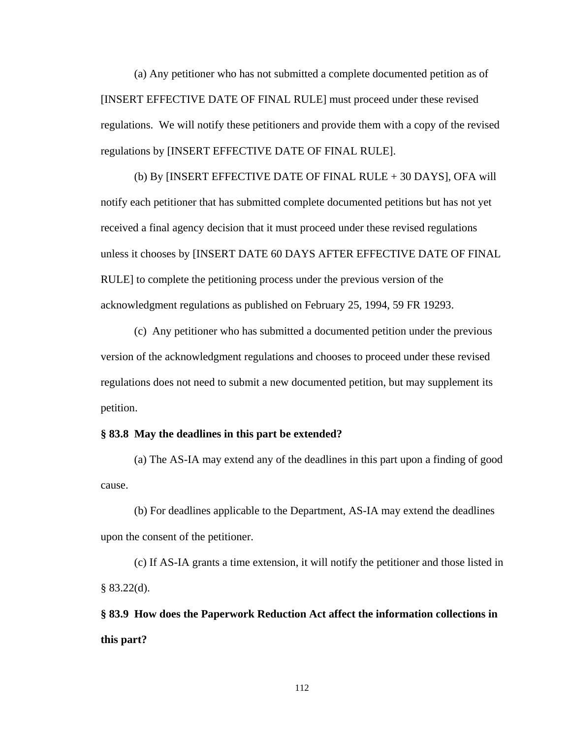(a) Any petitioner who has not submitted a complete documented petition as of [INSERT EFFECTIVE DATE OF FINAL RULE] must proceed under these revised regulations. We will notify these petitioners and provide them with a copy of the revised regulations by [INSERT EFFECTIVE DATE OF FINAL RULE].

 (b) By [INSERT EFFECTIVE DATE OF FINAL RULE + 30 DAYS], OFA will notify each petitioner that has submitted complete documented petitions but has not yet received a final agency decision that it must proceed under these revised regulations unless it chooses by [INSERT DATE 60 DAYS AFTER EFFECTIVE DATE OF FINAL RULE] to complete the petitioning process under the previous version of the acknowledgment regulations as published on February 25, 1994, 59 FR 19293.

(c) Any petitioner who has submitted a documented petition under the previous version of the acknowledgment regulations and chooses to proceed under these revised regulations does not need to submit a new documented petition, but may supplement its petition.

#### **§ 83.8 May the deadlines in this part be extended?**

(a) The AS-IA may extend any of the deadlines in this part upon a finding of good cause.

(b) For deadlines applicable to the Department, AS-IA may extend the deadlines upon the consent of the petitioner.

(c) If AS-IA grants a time extension, it will notify the petitioner and those listed in  $§ 83.22(d).$ 

**§ 83.9 How does the Paperwork Reduction Act affect the information collections in this part?**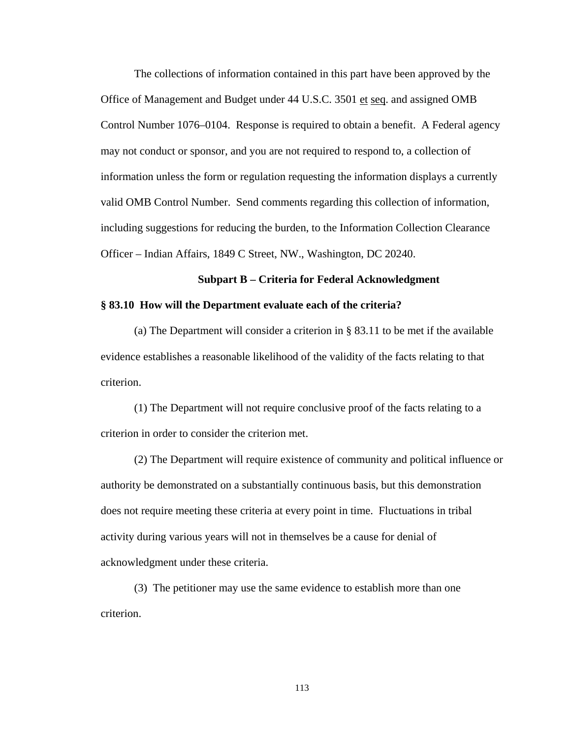The collections of information contained in this part have been approved by the Office of Management and Budget under 44 U.S.C. 3501 et seq. and assigned OMB Control Number 1076–0104. Response is required to obtain a benefit. A Federal agency may not conduct or sponsor, and you are not required to respond to, a collection of information unless the form or regulation requesting the information displays a currently valid OMB Control Number. Send comments regarding this collection of information, including suggestions for reducing the burden, to the Information Collection Clearance Officer – Indian Affairs, 1849 C Street, NW., Washington, DC 20240.

#### **Subpart B – Criteria for Federal Acknowledgment**

### **§ 83.10 How will the Department evaluate each of the criteria?**

(a) The Department will consider a criterion in § 83.11 to be met if the available evidence establishes a reasonable likelihood of the validity of the facts relating to that criterion.

(1) The Department will not require conclusive proof of the facts relating to a criterion in order to consider the criterion met.

(2) The Department will require existence of community and political influence or authority be demonstrated on a substantially continuous basis, but this demonstration does not require meeting these criteria at every point in time. Fluctuations in tribal activity during various years will not in themselves be a cause for denial of acknowledgment under these criteria.

(3) The petitioner may use the same evidence to establish more than one criterion.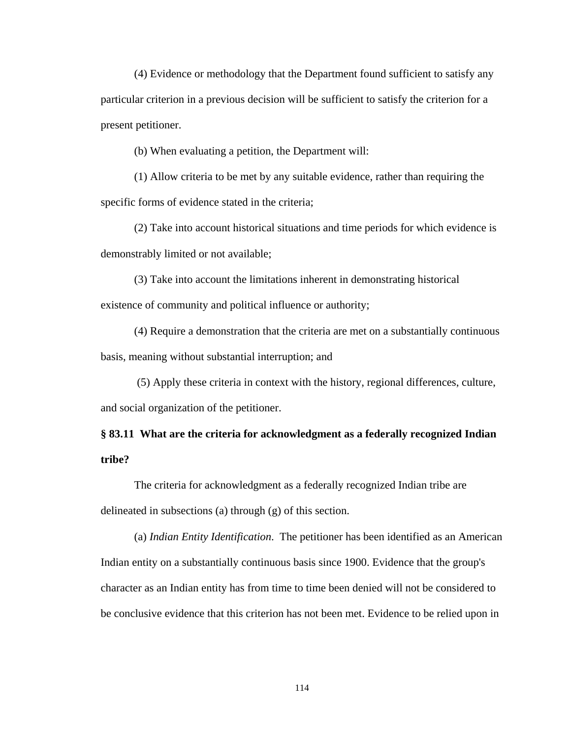(4) Evidence or methodology that the Department found sufficient to satisfy any particular criterion in a previous decision will be sufficient to satisfy the criterion for a present petitioner.

(b) When evaluating a petition, the Department will:

(1) Allow criteria to be met by any suitable evidence, rather than requiring the specific forms of evidence stated in the criteria;

(2) Take into account historical situations and time periods for which evidence is demonstrably limited or not available;

(3) Take into account the limitations inherent in demonstrating historical existence of community and political influence or authority;

(4) Require a demonstration that the criteria are met on a substantially continuous basis, meaning without substantial interruption; and

 (5) Apply these criteria in context with the history, regional differences, culture, and social organization of the petitioner.

# **§ 83.11 What are the criteria for acknowledgment as a federally recognized Indian tribe?**

The criteria for acknowledgment as a federally recognized Indian tribe are delineated in subsections (a) through (g) of this section.

(a) *Indian Entity Identification*. The petitioner has been identified as an American Indian entity on a substantially continuous basis since 1900. Evidence that the group's character as an Indian entity has from time to time been denied will not be considered to be conclusive evidence that this criterion has not been met. Evidence to be relied upon in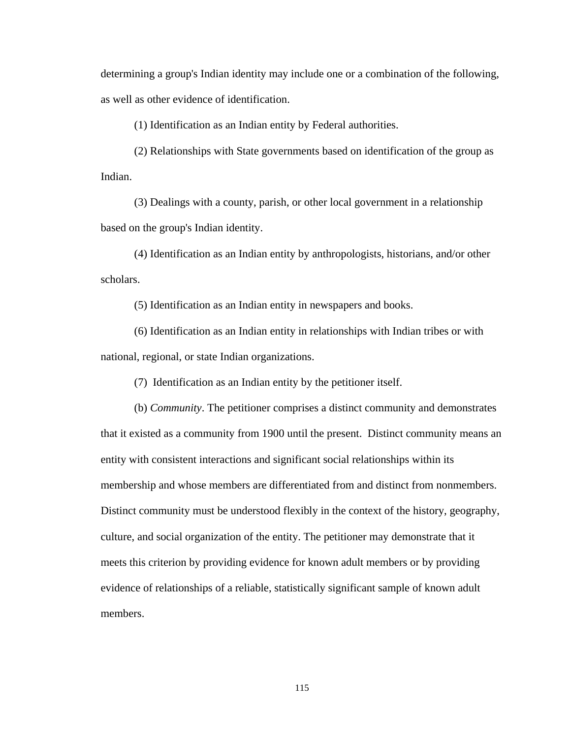determining a group's Indian identity may include one or a combination of the following, as well as other evidence of identification.

(1) Identification as an Indian entity by Federal authorities.

 (2) Relationships with State governments based on identification of the group as Indian.

 (3) Dealings with a county, parish, or other local government in a relationship based on the group's Indian identity.

 (4) Identification as an Indian entity by anthropologists, historians, and/or other scholars.

(5) Identification as an Indian entity in newspapers and books.

 (6) Identification as an Indian entity in relationships with Indian tribes or with national, regional, or state Indian organizations.

(7) Identification as an Indian entity by the petitioner itself.

(b) *Community*. The petitioner comprises a distinct community and demonstrates that it existed as a community from 1900 until the present. Distinct community means an entity with consistent interactions and significant social relationships within its membership and whose members are differentiated from and distinct from nonmembers. Distinct community must be understood flexibly in the context of the history, geography, culture, and social organization of the entity. The petitioner may demonstrate that it meets this criterion by providing evidence for known adult members or by providing evidence of relationships of a reliable, statistically significant sample of known adult members.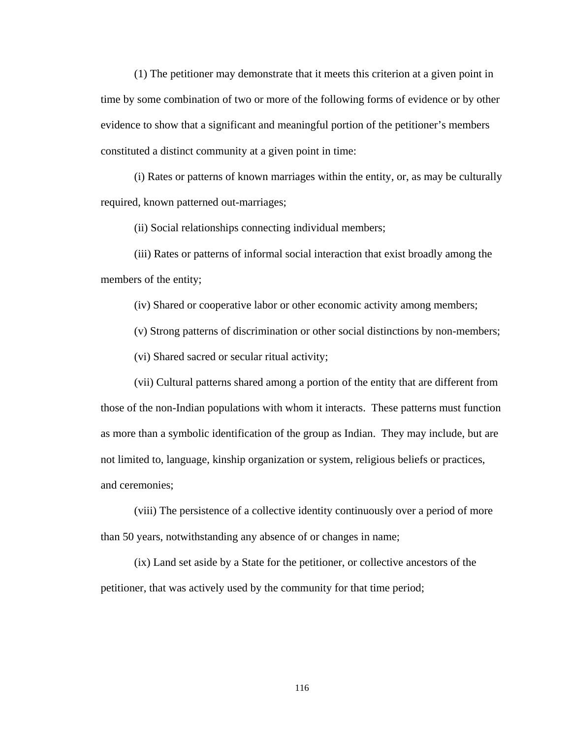(1) The petitioner may demonstrate that it meets this criterion at a given point in time by some combination of two or more of the following forms of evidence or by other evidence to show that a significant and meaningful portion of the petitioner's members constituted a distinct community at a given point in time:

(i) Rates or patterns of known marriages within the entity, or, as may be culturally required, known patterned out-marriages;

(ii) Social relationships connecting individual members;

(iii) Rates or patterns of informal social interaction that exist broadly among the members of the entity;

(iv) Shared or cooperative labor or other economic activity among members;

(v) Strong patterns of discrimination or other social distinctions by non-members;

(vi) Shared sacred or secular ritual activity;

(vii) Cultural patterns shared among a portion of the entity that are different from those of the non-Indian populations with whom it interacts. These patterns must function as more than a symbolic identification of the group as Indian. They may include, but are not limited to, language, kinship organization or system, religious beliefs or practices, and ceremonies;

(viii) The persistence of a collective identity continuously over a period of more than 50 years, notwithstanding any absence of or changes in name;

(ix) Land set aside by a State for the petitioner, or collective ancestors of the petitioner, that was actively used by the community for that time period;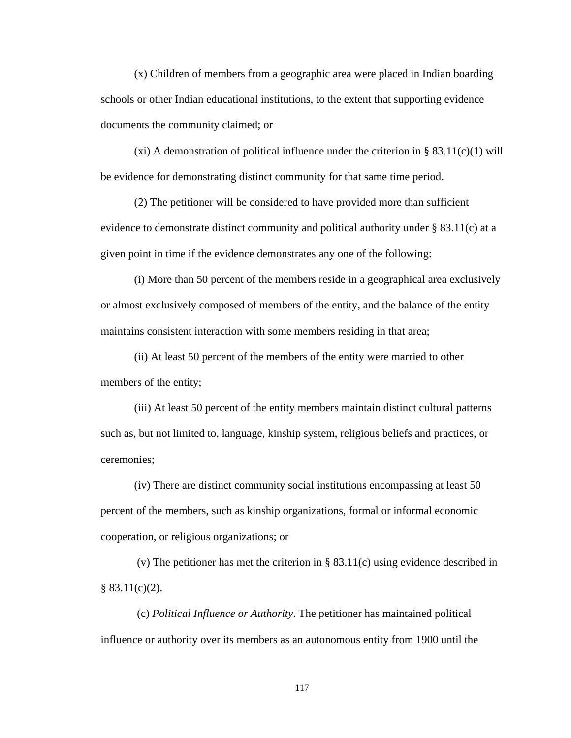(x) Children of members from a geographic area were placed in Indian boarding schools or other Indian educational institutions, to the extent that supporting evidence documents the community claimed; or

(xi) A demonstration of political influence under the criterion in  $\S$  83.11(c)(1) will be evidence for demonstrating distinct community for that same time period.

(2) The petitioner will be considered to have provided more than sufficient evidence to demonstrate distinct community and political authority under § 83.11(c) at a given point in time if the evidence demonstrates any one of the following:

(i) More than 50 percent of the members reside in a geographical area exclusively or almost exclusively composed of members of the entity, and the balance of the entity maintains consistent interaction with some members residing in that area;

(ii) At least 50 percent of the members of the entity were married to other members of the entity;

(iii) At least 50 percent of the entity members maintain distinct cultural patterns such as, but not limited to, language, kinship system, religious beliefs and practices, or ceremonies;

(iv) There are distinct community social institutions encompassing at least 50 percent of the members, such as kinship organizations, formal or informal economic cooperation, or religious organizations; or

 (v) The petitioner has met the criterion in § 83.11(c) using evidence described in  $§ 83.11(c)(2).$ 

 (c) *Political Influence or Authority*. The petitioner has maintained political influence or authority over its members as an autonomous entity from 1900 until the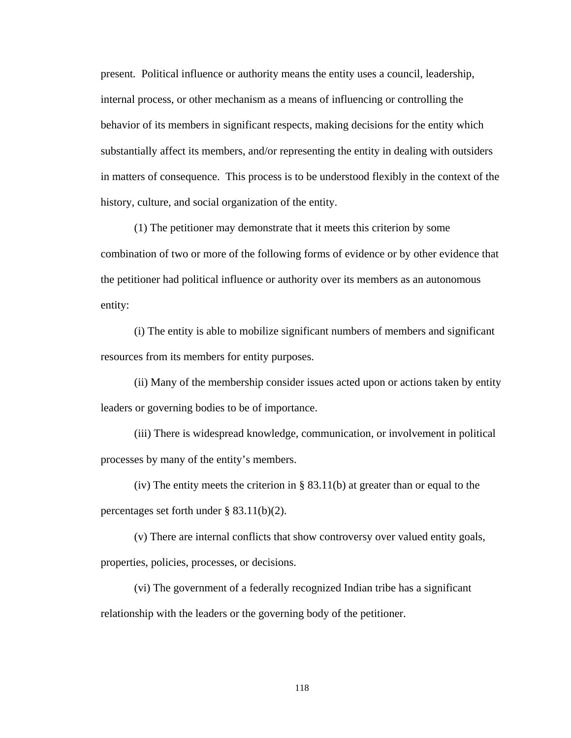present*.* Political influence or authority means the entity uses a council, leadership, internal process, or other mechanism as a means of influencing or controlling the behavior of its members in significant respects, making decisions for the entity which substantially affect its members, and/or representing the entity in dealing with outsiders in matters of consequence. This process is to be understood flexibly in the context of the history, culture, and social organization of the entity.

(1) The petitioner may demonstrate that it meets this criterion by some combination of two or more of the following forms of evidence or by other evidence that the petitioner had political influence or authority over its members as an autonomous entity:

(i) The entity is able to mobilize significant numbers of members and significant resources from its members for entity purposes.

(ii) Many of the membership consider issues acted upon or actions taken by entity leaders or governing bodies to be of importance.

(iii) There is widespread knowledge, communication, or involvement in political processes by many of the entity's members.

(iv) The entity meets the criterion in § 83.11(b) at greater than or equal to the percentages set forth under § 83.11(b)(2).

(v) There are internal conflicts that show controversy over valued entity goals, properties, policies, processes, or decisions.

(vi) The government of a federally recognized Indian tribe has a significant relationship with the leaders or the governing body of the petitioner.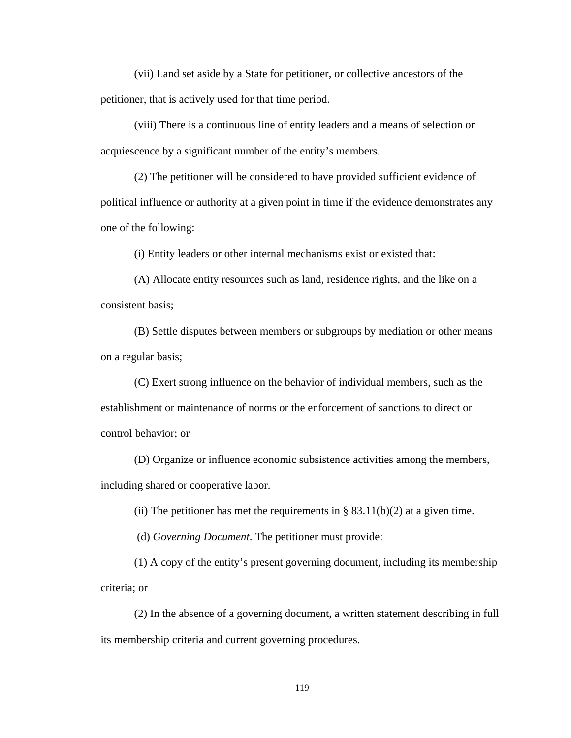(vii) Land set aside by a State for petitioner, or collective ancestors of the petitioner, that is actively used for that time period.

(viii) There is a continuous line of entity leaders and a means of selection or acquiescence by a significant number of the entity's members.

(2) The petitioner will be considered to have provided sufficient evidence of political influence or authority at a given point in time if the evidence demonstrates any one of the following:

(i) Entity leaders or other internal mechanisms exist or existed that:

(A) Allocate entity resources such as land, residence rights, and the like on a consistent basis;

(B) Settle disputes between members or subgroups by mediation or other means on a regular basis;

(C) Exert strong influence on the behavior of individual members, such as the establishment or maintenance of norms or the enforcement of sanctions to direct or control behavior; or

(D) Organize or influence economic subsistence activities among the members, including shared or cooperative labor.

(ii) The petitioner has met the requirements in  $\S$  83.11(b)(2) at a given time.

(d) *Governing Document*. The petitioner must provide:

(1) A copy of the entity's present governing document, including its membership criteria; or

(2) In the absence of a governing document, a written statement describing in full its membership criteria and current governing procedures.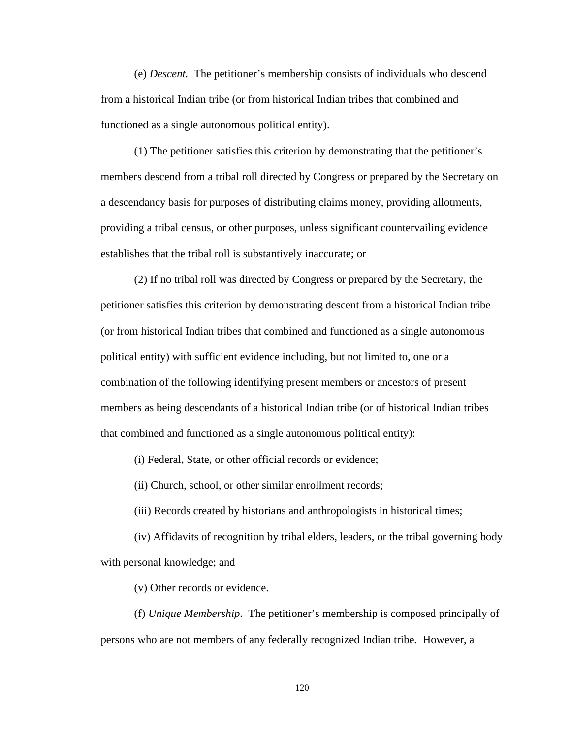(e) *Descent.* The petitioner's membership consists of individuals who descend from a historical Indian tribe (or from historical Indian tribes that combined and functioned as a single autonomous political entity).

(1) The petitioner satisfies this criterion by demonstrating that the petitioner's members descend from a tribal roll directed by Congress or prepared by the Secretary on a descendancy basis for purposes of distributing claims money, providing allotments, providing a tribal census, or other purposes, unless significant countervailing evidence establishes that the tribal roll is substantively inaccurate; or

(2) If no tribal roll was directed by Congress or prepared by the Secretary, the petitioner satisfies this criterion by demonstrating descent from a historical Indian tribe (or from historical Indian tribes that combined and functioned as a single autonomous political entity) with sufficient evidence including, but not limited to, one or a combination of the following identifying present members or ancestors of present members as being descendants of a historical Indian tribe (or of historical Indian tribes that combined and functioned as a single autonomous political entity):

(i) Federal, State, or other official records or evidence;

(ii) Church, school, or other similar enrollment records;

(iii) Records created by historians and anthropologists in historical times;

 (iv) Affidavits of recognition by tribal elders, leaders, or the tribal governing body with personal knowledge; and

(v) Other records or evidence.

(f) *Unique Membership*. The petitioner's membership is composed principally of persons who are not members of any federally recognized Indian tribe*.* However, a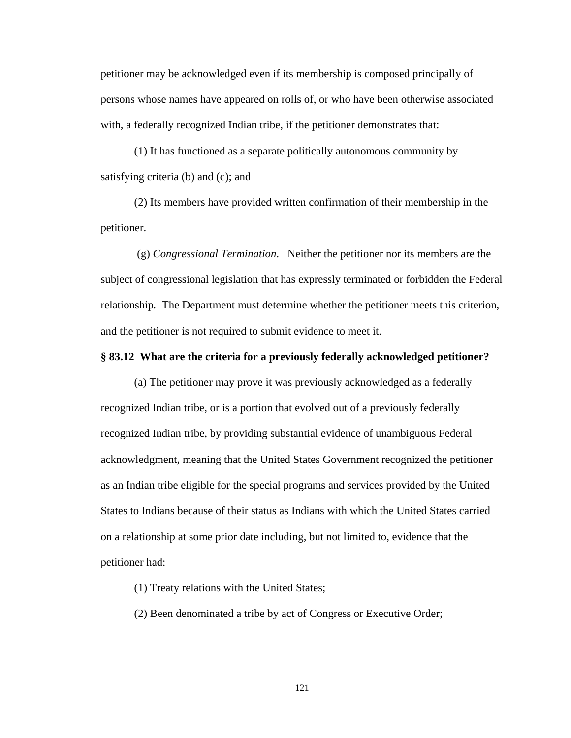petitioner may be acknowledged even if its membership is composed principally of persons whose names have appeared on rolls of, or who have been otherwise associated with, a federally recognized Indian tribe, if the petitioner demonstrates that:

(1) It has functioned as a separate politically autonomous community by satisfying criteria (b) and (c); and

(2) Its members have provided written confirmation of their membership in the petitioner.

 (g) *Congressional Termination*. Neither the petitioner nor its members are the subject of congressional legislation that has expressly terminated or forbidden the Federal relationship*.* The Department must determine whether the petitioner meets this criterion, and the petitioner is not required to submit evidence to meet it.

## **§ 83.12 What are the criteria for a previously federally acknowledged petitioner?**

(a) The petitioner may prove it was previously acknowledged as a federally recognized Indian tribe, or is a portion that evolved out of a previously federally recognized Indian tribe, by providing substantial evidence of unambiguous Federal acknowledgment, meaning that the United States Government recognized the petitioner as an Indian tribe eligible for the special programs and services provided by the United States to Indians because of their status as Indians with which the United States carried on a relationship at some prior date including, but not limited to, evidence that the petitioner had:

(1) Treaty relations with the United States;

(2) Been denominated a tribe by act of Congress or Executive Order;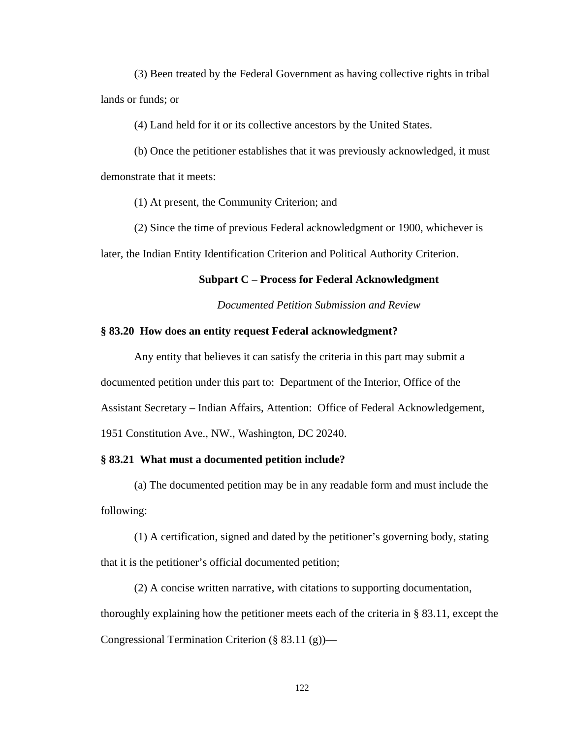(3) Been treated by the Federal Government as having collective rights in tribal lands or funds; or

(4) Land held for it or its collective ancestors by the United States.

(b) Once the petitioner establishes that it was previously acknowledged, it must demonstrate that it meets:

(1) At present, the Community Criterion; and

(2) Since the time of previous Federal acknowledgment or 1900, whichever is later, the Indian Entity Identification Criterion and Political Authority Criterion.

## **Subpart C – Process for Federal Acknowledgment**

*Documented Petition Submission and Review* 

## **§ 83.20 How does an entity request Federal acknowledgment?**

Any entity that believes it can satisfy the criteria in this part may submit a documented petition under this part to: Department of the Interior, Office of the Assistant Secretary – Indian Affairs, Attention: Office of Federal Acknowledgement, 1951 Constitution Ave., NW., Washington, DC 20240.

## **§ 83.21 What must a documented petition include?**

(a) The documented petition may be in any readable form and must include the following:

(1) A certification, signed and dated by the petitioner's governing body, stating that it is the petitioner's official documented petition;

(2) A concise written narrative, with citations to supporting documentation, thoroughly explaining how the petitioner meets each of the criteria in § 83.11, except the Congressional Termination Criterion (§ 83.11 (g))—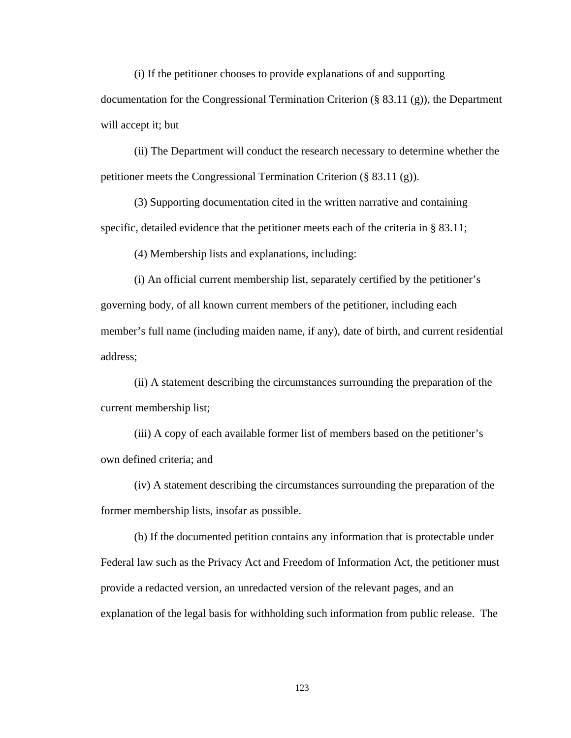(i) If the petitioner chooses to provide explanations of and supporting

documentation for the Congressional Termination Criterion (§ 83.11 (g)), the Department will accept it; but

(ii) The Department will conduct the research necessary to determine whether the petitioner meets the Congressional Termination Criterion (§ 83.11 (g)).

(3) Supporting documentation cited in the written narrative and containing specific, detailed evidence that the petitioner meets each of the criteria in § 83.11;

(4) Membership lists and explanations, including:

(i) An official current membership list, separately certified by the petitioner's governing body, of all known current members of the petitioner, including each member's full name (including maiden name, if any), date of birth, and current residential address;

(ii) A statement describing the circumstances surrounding the preparation of the current membership list;

(iii) A copy of each available former list of members based on the petitioner's own defined criteria; and

(iv) A statement describing the circumstances surrounding the preparation of the former membership lists, insofar as possible.

(b) If the documented petition contains any information that is protectable under Federal law such as the Privacy Act and Freedom of Information Act, the petitioner must provide a redacted version, an unredacted version of the relevant pages, and an explanation of the legal basis for withholding such information from public release. The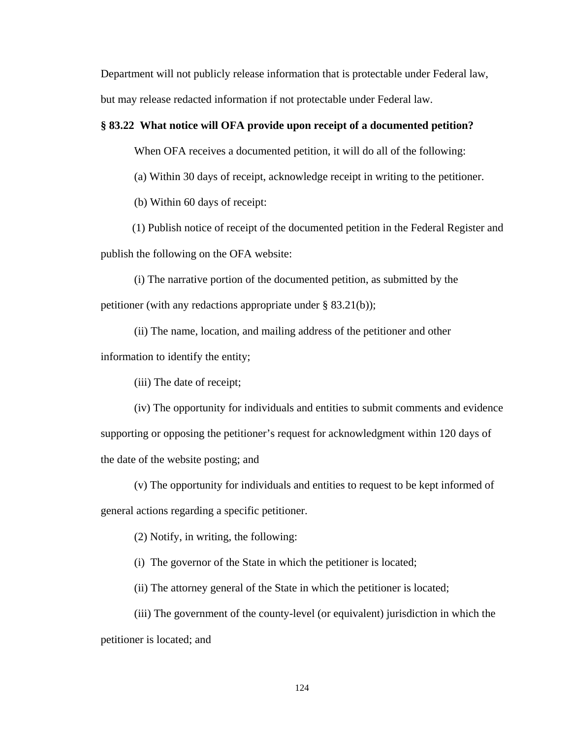Department will not publicly release information that is protectable under Federal law, but may release redacted information if not protectable under Federal law.

## **§ 83.22 What notice will OFA provide upon receipt of a documented petition?**

When OFA receives a documented petition, it will do all of the following:

(a) Within 30 days of receipt, acknowledge receipt in writing to the petitioner.

(b) Within 60 days of receipt:

 (1) Publish notice of receipt of the documented petition in the Federal Register and publish the following on the OFA website:

 (i) The narrative portion of the documented petition, as submitted by the petitioner (with any redactions appropriate under § 83.21(b));

 (ii) The name, location, and mailing address of the petitioner and other information to identify the entity;

(iii) The date of receipt;

 (iv) The opportunity for individuals and entities to submit comments and evidence supporting or opposing the petitioner's request for acknowledgment within 120 days of the date of the website posting; and

(v) The opportunity for individuals and entities to request to be kept informed of

general actions regarding a specific petitioner.

(2) Notify, in writing, the following:

(i) The governor of the State in which the petitioner is located;

(ii) The attorney general of the State in which the petitioner is located;

 (iii) The government of the county-level (or equivalent) jurisdiction in which the petitioner is located; and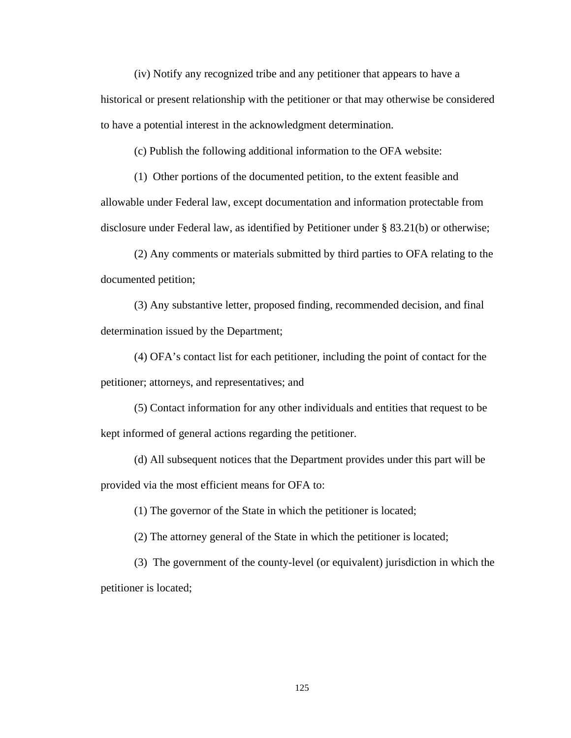(iv) Notify any recognized tribe and any petitioner that appears to have a historical or present relationship with the petitioner or that may otherwise be considered to have a potential interest in the acknowledgment determination.

(c) Publish the following additional information to the OFA website:

(1) Other portions of the documented petition, to the extent feasible and allowable under Federal law, except documentation and information protectable from disclosure under Federal law, as identified by Petitioner under § 83.21(b) or otherwise;

(2) Any comments or materials submitted by third parties to OFA relating to the documented petition;

(3) Any substantive letter, proposed finding, recommended decision, and final determination issued by the Department;

(4) OFA's contact list for each petitioner, including the point of contact for the petitioner; attorneys, and representatives; and

(5) Contact information for any other individuals and entities that request to be kept informed of general actions regarding the petitioner.

 (d) All subsequent notices that the Department provides under this part will be provided via the most efficient means for OFA to:

(1) The governor of the State in which the petitioner is located;

(2) The attorney general of the State in which the petitioner is located;

(3) The government of the county-level (or equivalent) jurisdiction in which the petitioner is located;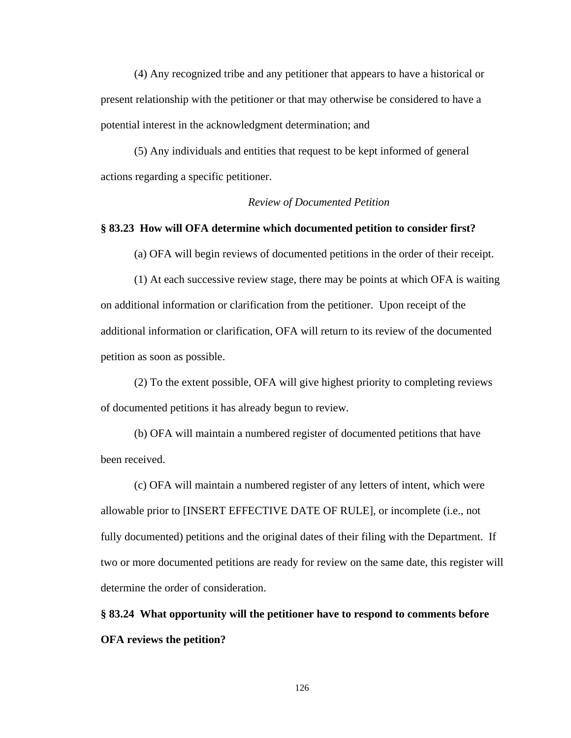(4) Any recognized tribe and any petitioner that appears to have a historical or present relationship with the petitioner or that may otherwise be considered to have a potential interest in the acknowledgment determination; and

(5) Any individuals and entities that request to be kept informed of general actions regarding a specific petitioner.

## *Review of Documented Petition*

## **§ 83.23 How will OFA determine which documented petition to consider first?**

(a) OFA will begin reviews of documented petitions in the order of their receipt.

(1) At each successive review stage, there may be points at which OFA is waiting on additional information or clarification from the petitioner. Upon receipt of the additional information or clarification, OFA will return to its review of the documented petition as soon as possible.

(2) To the extent possible, OFA will give highest priority to completing reviews of documented petitions it has already begun to review.

(b) OFA will maintain a numbered register of documented petitions that have been received.

(c) OFA will maintain a numbered register of any letters of intent, which were allowable prior to [INSERT EFFECTIVE DATE OF RULE], or incomplete (i.e., not fully documented) petitions and the original dates of their filing with the Department. If two or more documented petitions are ready for review on the same date, this register will determine the order of consideration.

**§ 83.24 What opportunity will the petitioner have to respond to comments before OFA reviews the petition?**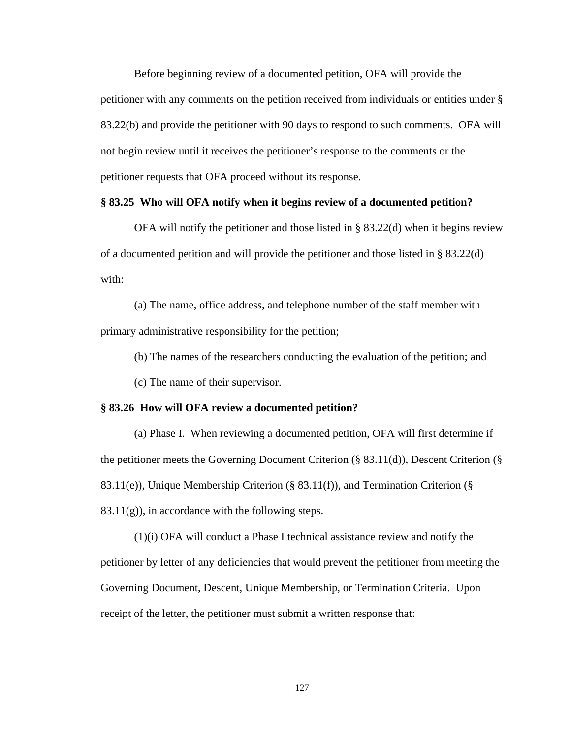Before beginning review of a documented petition, OFA will provide the petitioner with any comments on the petition received from individuals or entities under § 83.22(b) and provide the petitioner with 90 days to respond to such comments. OFA will not begin review until it receives the petitioner's response to the comments or the petitioner requests that OFA proceed without its response.

### **§ 83.25 Who will OFA notify when it begins review of a documented petition?**

OFA will notify the petitioner and those listed in § 83.22(d) when it begins review of a documented petition and will provide the petitioner and those listed in § 83.22(d) with:

(a) The name, office address, and telephone number of the staff member with primary administrative responsibility for the petition;

(b) The names of the researchers conducting the evaluation of the petition; and

(c) The name of their supervisor.

#### **§ 83.26 How will OFA review a documented petition?**

(a) Phase I. When reviewing a documented petition, OFA will first determine if the petitioner meets the Governing Document Criterion (§ 83.11(d)), Descent Criterion (§ 83.11(e)), Unique Membership Criterion (§ 83.11(f)), and Termination Criterion (§  $83.11(g)$ , in accordance with the following steps.

(1)(i) OFA will conduct a Phase I technical assistance review and notify the petitioner by letter of any deficiencies that would prevent the petitioner from meeting the Governing Document, Descent, Unique Membership, or Termination Criteria. Upon receipt of the letter, the petitioner must submit a written response that: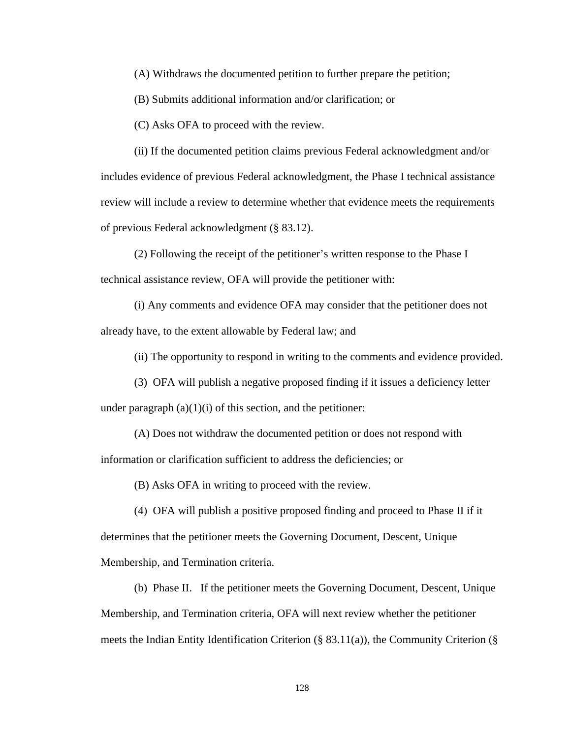(A) Withdraws the documented petition to further prepare the petition;

(B) Submits additional information and/or clarification; or

(C) Asks OFA to proceed with the review.

(ii) If the documented petition claims previous Federal acknowledgment and/or includes evidence of previous Federal acknowledgment, the Phase I technical assistance review will include a review to determine whether that evidence meets the requirements of previous Federal acknowledgment (§ 83.12).

 (2) Following the receipt of the petitioner's written response to the Phase I technical assistance review, OFA will provide the petitioner with:

(i) Any comments and evidence OFA may consider that the petitioner does not already have, to the extent allowable by Federal law; and

(ii) The opportunity to respond in writing to the comments and evidence provided.

(3) OFA will publish a negative proposed finding if it issues a deficiency letter

under paragraph  $(a)(1)(i)$  of this section, and the petitioner:

 (A) Does not withdraw the documented petition or does not respond with information or clarification sufficient to address the deficiencies; or

(B) Asks OFA in writing to proceed with the review.

 (4) OFA will publish a positive proposed finding and proceed to Phase II if it determines that the petitioner meets the Governing Document, Descent, Unique Membership, and Termination criteria.

(b) Phase II. If the petitioner meets the Governing Document, Descent, Unique Membership, and Termination criteria, OFA will next review whether the petitioner meets the Indian Entity Identification Criterion  $(\S$  83.11(a)), the Community Criterion  $(\S$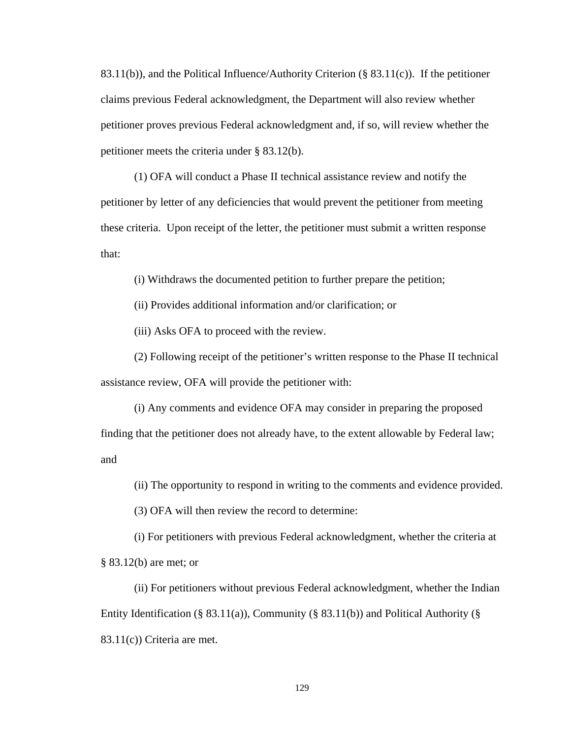83.11(b)), and the Political Influence/Authority Criterion ( $\S$  83.11(c)). If the petitioner claims previous Federal acknowledgment, the Department will also review whether petitioner proves previous Federal acknowledgment and, if so, will review whether the petitioner meets the criteria under § 83.12(b).

(1) OFA will conduct a Phase II technical assistance review and notify the petitioner by letter of any deficiencies that would prevent the petitioner from meeting these criteria. Upon receipt of the letter, the petitioner must submit a written response that:

(i) Withdraws the documented petition to further prepare the petition;

(ii) Provides additional information and/or clarification; or

(iii) Asks OFA to proceed with the review.

(2) Following receipt of the petitioner's written response to the Phase II technical assistance review, OFA will provide the petitioner with:

(i) Any comments and evidence OFA may consider in preparing the proposed finding that the petitioner does not already have, to the extent allowable by Federal law; and

(ii) The opportunity to respond in writing to the comments and evidence provided.

(3) OFA will then review the record to determine:

(i) For petitioners with previous Federal acknowledgment, whether the criteria at § 83.12(b) are met; or

(ii) For petitioners without previous Federal acknowledgment, whether the Indian Entity Identification (§ 83.11(a)), Community (§ 83.11(b)) and Political Authority (§ 83.11(c)) Criteria are met.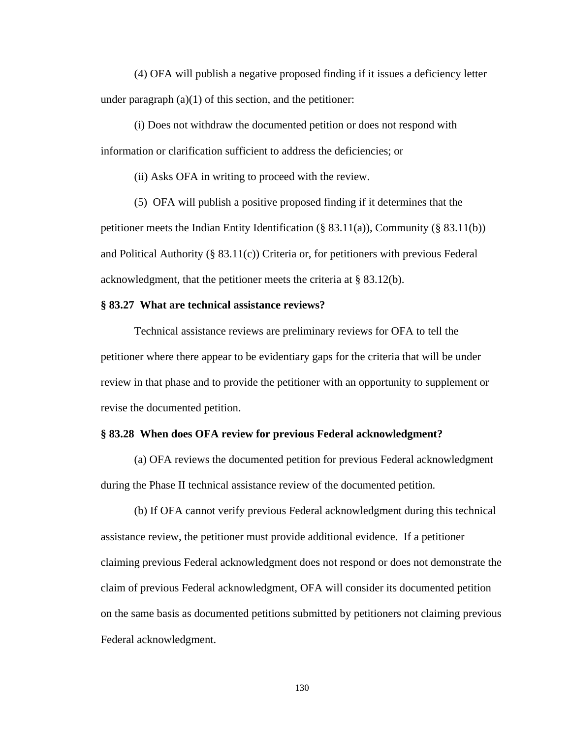(4) OFA will publish a negative proposed finding if it issues a deficiency letter under paragraph  $(a)(1)$  of this section, and the petitioner:

(i) Does not withdraw the documented petition or does not respond with information or clarification sufficient to address the deficiencies; or

(ii) Asks OFA in writing to proceed with the review.

(5) OFA will publish a positive proposed finding if it determines that the

petitioner meets the Indian Entity Identification (§ 83.11(a)), Community (§ 83.11(b)) and Political Authority (§ 83.11(c)) Criteria or, for petitioners with previous Federal acknowledgment, that the petitioner meets the criteria at § 83.12(b).

## **§ 83.27 What are technical assistance reviews?**

Technical assistance reviews are preliminary reviews for OFA to tell the petitioner where there appear to be evidentiary gaps for the criteria that will be under review in that phase and to provide the petitioner with an opportunity to supplement or revise the documented petition.

#### **§ 83.28 When does OFA review for previous Federal acknowledgment?**

(a) OFA reviews the documented petition for previous Federal acknowledgment during the Phase II technical assistance review of the documented petition.

(b) If OFA cannot verify previous Federal acknowledgment during this technical assistance review, the petitioner must provide additional evidence. If a petitioner claiming previous Federal acknowledgment does not respond or does not demonstrate the claim of previous Federal acknowledgment, OFA will consider its documented petition on the same basis as documented petitions submitted by petitioners not claiming previous Federal acknowledgment.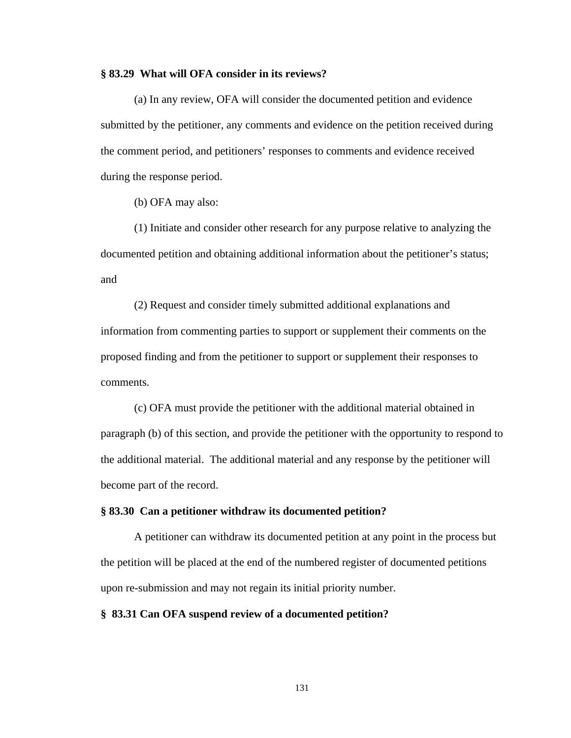### **§ 83.29 What will OFA consider in its reviews?**

(a) In any review, OFA will consider the documented petition and evidence submitted by the petitioner, any comments and evidence on the petition received during the comment period, and petitioners' responses to comments and evidence received during the response period.

(b) OFA may also:

(1) Initiate and consider other research for any purpose relative to analyzing the documented petition and obtaining additional information about the petitioner's status; and

(2) Request and consider timely submitted additional explanations and information from commenting parties to support or supplement their comments on the proposed finding and from the petitioner to support or supplement their responses to comments.

(c) OFA must provide the petitioner with the additional material obtained in paragraph (b) of this section, and provide the petitioner with the opportunity to respond to the additional material. The additional material and any response by the petitioner will become part of the record.

#### **§ 83.30 Can a petitioner withdraw its documented petition?**

 A petitioner can withdraw its documented petition at any point in the process but the petition will be placed at the end of the numbered register of documented petitions upon re-submission and may not regain its initial priority number.

## **§ 83.31 Can OFA suspend review of a documented petition?**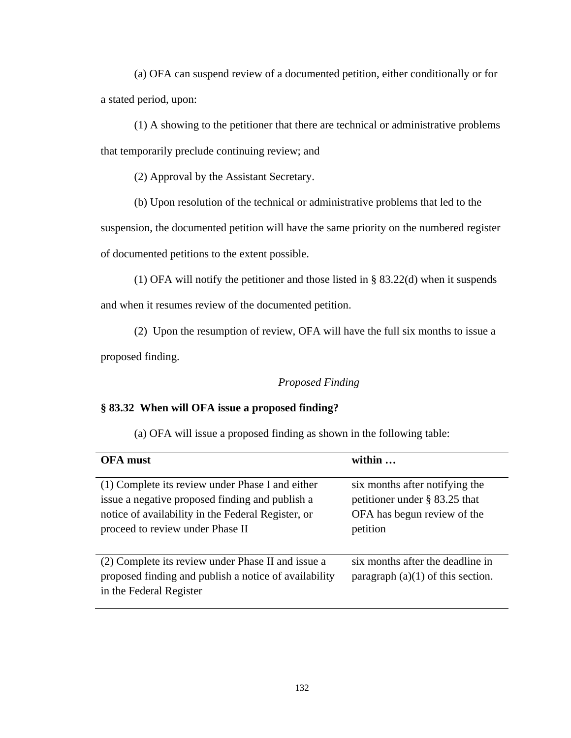(a) OFA can suspend review of a documented petition, either conditionally or for a stated period, upon:

(1) A showing to the petitioner that there are technical or administrative problems that temporarily preclude continuing review; and

(2) Approval by the Assistant Secretary.

(b) Upon resolution of the technical or administrative problems that led to the

suspension, the documented petition will have the same priority on the numbered register of documented petitions to the extent possible.

(1) OFA will notify the petitioner and those listed in § 83.22(d) when it suspends

and when it resumes review of the documented petition.

(2) Upon the resumption of review, OFA will have the full six months to issue a

proposed finding.

## *Proposed Finding*

## **§ 83.32 When will OFA issue a proposed finding?**

(a) OFA will issue a proposed finding as shown in the following table:

| <b>OFA</b> must                                                                                                                                                                               | within                                                                                                        |
|-----------------------------------------------------------------------------------------------------------------------------------------------------------------------------------------------|---------------------------------------------------------------------------------------------------------------|
| (1) Complete its review under Phase I and either<br>issue a negative proposed finding and publish a<br>notice of availability in the Federal Register, or<br>proceed to review under Phase II | six months after notifying the<br>petitioner under $\S$ 83.25 that<br>OFA has begun review of the<br>petition |
| (2) Complete its review under Phase II and issue a<br>proposed finding and publish a notice of availability<br>in the Federal Register                                                        | six months after the deadline in<br>paragraph $(a)(1)$ of this section.                                       |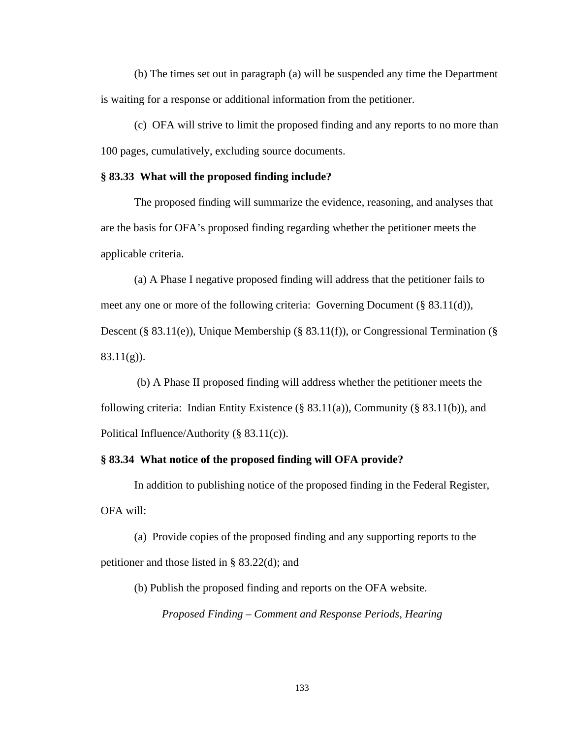(b) The times set out in paragraph (a) will be suspended any time the Department is waiting for a response or additional information from the petitioner.

(c) OFA will strive to limit the proposed finding and any reports to no more than 100 pages, cumulatively, excluding source documents.

#### **§ 83.33 What will the proposed finding include?**

The proposed finding will summarize the evidence, reasoning, and analyses that are the basis for OFA's proposed finding regarding whether the petitioner meets the applicable criteria.

(a) A Phase I negative proposed finding will address that the petitioner fails to meet any one or more of the following criteria: Governing Document (§ 83.11(d)), Descent (§ 83.11(e)), Unique Membership (§ 83.11(f)), or Congressional Termination (§ 83.11(g)).

 (b) A Phase II proposed finding will address whether the petitioner meets the following criteria: Indian Entity Existence  $(\S$  83.11(a)), Community  $(\S$  83.11(b)), and Political Influence/Authority (§ 83.11(c)).

## **§ 83.34 What notice of the proposed finding will OFA provide?**

In addition to publishing notice of the proposed finding in the Federal Register, OFA will:

(a) Provide copies of the proposed finding and any supporting reports to the petitioner and those listed in § 83.22(d); and

(b) Publish the proposed finding and reports on the OFA website.

*Proposed Finding – Comment and Response Periods, Hearing*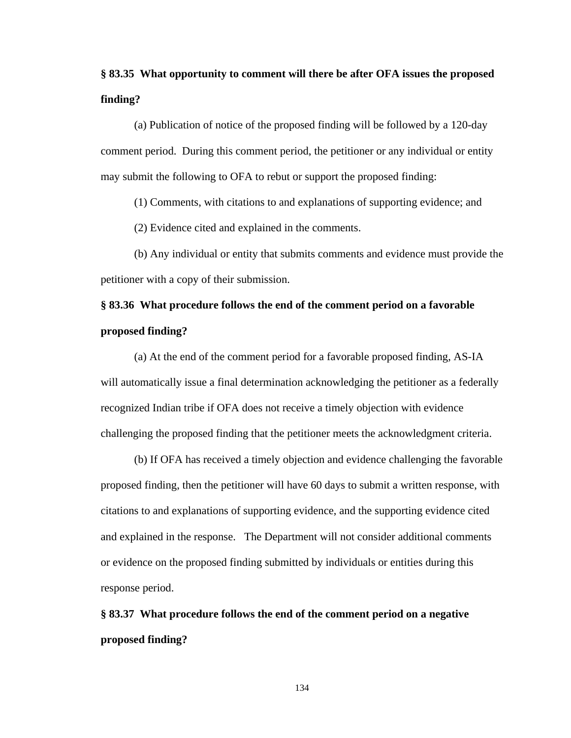## **§ 83.35 What opportunity to comment will there be after OFA issues the proposed finding?**

(a) Publication of notice of the proposed finding will be followed by a 120-day comment period. During this comment period, the petitioner or any individual or entity may submit the following to OFA to rebut or support the proposed finding:

(1) Comments, with citations to and explanations of supporting evidence; and

(2) Evidence cited and explained in the comments.

 (b) Any individual or entity that submits comments and evidence must provide the petitioner with a copy of their submission.

## **§ 83.36 What procedure follows the end of the comment period on a favorable proposed finding?**

(a) At the end of the comment period for a favorable proposed finding, AS-IA will automatically issue a final determination acknowledging the petitioner as a federally recognized Indian tribe if OFA does not receive a timely objection with evidence challenging the proposed finding that the petitioner meets the acknowledgment criteria.

 (b) If OFA has received a timely objection and evidence challenging the favorable proposed finding, then the petitioner will have 60 days to submit a written response, with citations to and explanations of supporting evidence, and the supporting evidence cited and explained in the response. The Department will not consider additional comments or evidence on the proposed finding submitted by individuals or entities during this response period.

# **§ 83.37 What procedure follows the end of the comment period on a negative proposed finding?**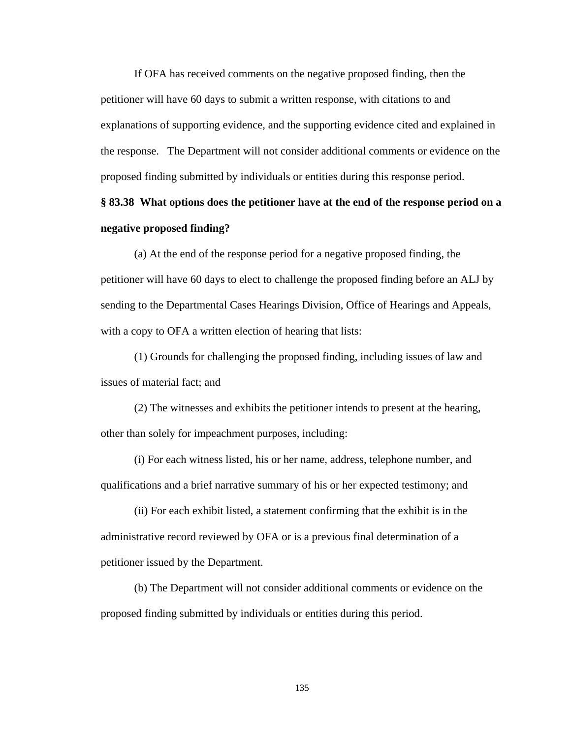If OFA has received comments on the negative proposed finding, then the petitioner will have 60 days to submit a written response, with citations to and explanations of supporting evidence, and the supporting evidence cited and explained in the response. The Department will not consider additional comments or evidence on the proposed finding submitted by individuals or entities during this response period.

## **§ 83.38 What options does the petitioner have at the end of the response period on a negative proposed finding?**

(a) At the end of the response period for a negative proposed finding, the petitioner will have 60 days to elect to challenge the proposed finding before an ALJ by sending to the Departmental Cases Hearings Division, Office of Hearings and Appeals, with a copy to OFA a written election of hearing that lists:

(1) Grounds for challenging the proposed finding, including issues of law and issues of material fact; and

(2) The witnesses and exhibits the petitioner intends to present at the hearing, other than solely for impeachment purposes, including:

(i) For each witness listed, his or her name, address, telephone number, and qualifications and a brief narrative summary of his or her expected testimony; and

(ii) For each exhibit listed, a statement confirming that the exhibit is in the administrative record reviewed by OFA or is a previous final determination of a petitioner issued by the Department.

(b) The Department will not consider additional comments or evidence on the proposed finding submitted by individuals or entities during this period.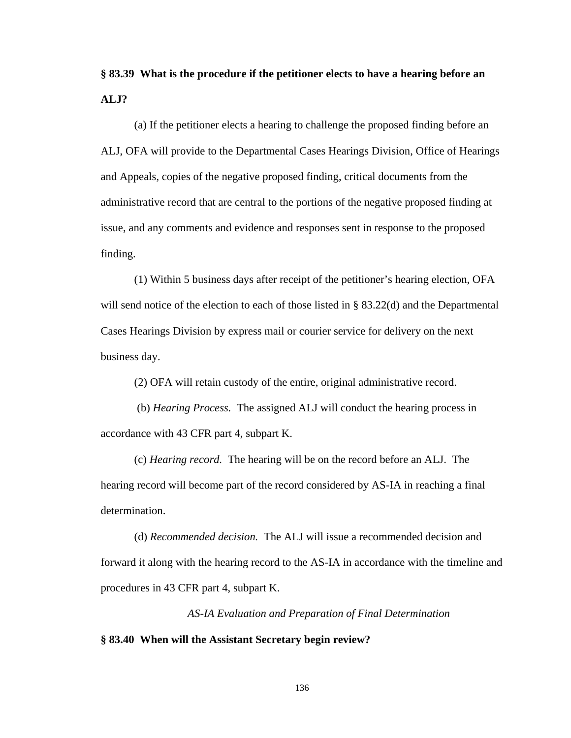# **§ 83.39 What is the procedure if the petitioner elects to have a hearing before an ALJ?**

(a) If the petitioner elects a hearing to challenge the proposed finding before an ALJ, OFA will provide to the Departmental Cases Hearings Division, Office of Hearings and Appeals, copies of the negative proposed finding, critical documents from the administrative record that are central to the portions of the negative proposed finding at issue, and any comments and evidence and responses sent in response to the proposed finding.

(1) Within 5 business days after receipt of the petitioner's hearing election, OFA will send notice of the election to each of those listed in § 83.22(d) and the Departmental Cases Hearings Division by express mail or courier service for delivery on the next business day.

(2) OFA will retain custody of the entire, original administrative record.

 (b) *Hearing Process.* The assigned ALJ will conduct the hearing process in accordance with 43 CFR part 4, subpart K.

(c) *Hearing record.* The hearing will be on the record before an ALJ. The hearing record will become part of the record considered by AS-IA in reaching a final determination.

(d) *Recommended decision.* The ALJ will issue a recommended decision and forward it along with the hearing record to the AS-IA in accordance with the timeline and procedures in 43 CFR part 4, subpart K.

*AS-IA Evaluation and Preparation of Final Determination*  **§ 83.40 When will the Assistant Secretary begin review?**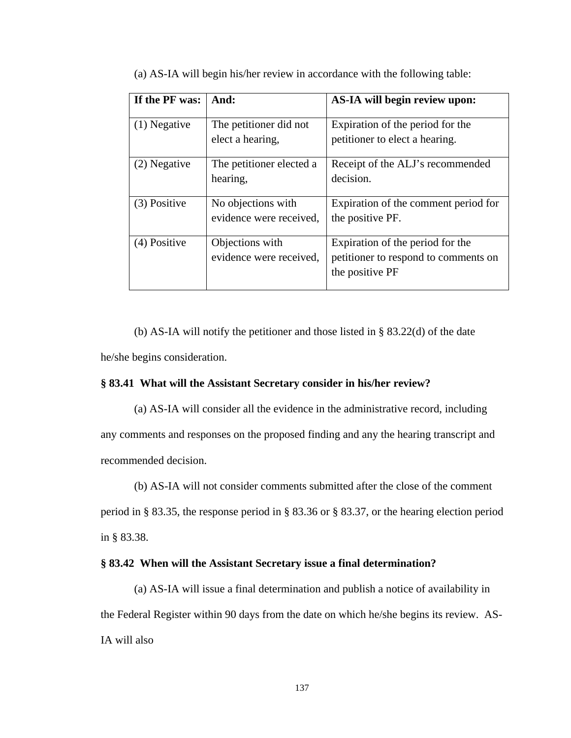| If the PF was: | And:                                          | AS-IA will begin review upon:                                                               |
|----------------|-----------------------------------------------|---------------------------------------------------------------------------------------------|
| $(1)$ Negative | The petitioner did not<br>elect a hearing,    | Expiration of the period for the<br>petitioner to elect a hearing.                          |
| (2) Negative   | The petitioner elected a<br>hearing,          | Receipt of the ALJ's recommended<br>decision.                                               |
| (3) Positive   | No objections with<br>evidence were received, | Expiration of the comment period for<br>the positive PF.                                    |
| (4) Positive   | Objections with<br>evidence were received,    | Expiration of the period for the<br>petitioner to respond to comments on<br>the positive PF |

(a) AS-IA will begin his/her review in accordance with the following table:

(b) AS-IA will notify the petitioner and those listed in § 83.22(d) of the date he/she begins consideration.

## **§ 83.41 What will the Assistant Secretary consider in his/her review?**

(a) AS-IA will consider all the evidence in the administrative record, including any comments and responses on the proposed finding and any the hearing transcript and recommended decision.

(b) AS-IA will not consider comments submitted after the close of the comment

period in § 83.35, the response period in § 83.36 or § 83.37, or the hearing election period in § 83.38.

## **§ 83.42 When will the Assistant Secretary issue a final determination?**

(a) AS-IA will issue a final determination and publish a notice of availability in the Federal Register within 90 days from the date on which he/she begins its review. AS-IA will also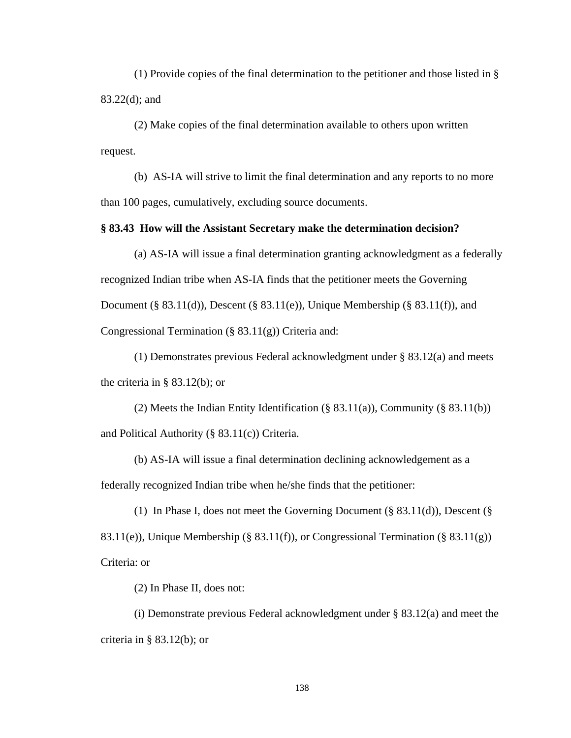(1) Provide copies of the final determination to the petitioner and those listed in § 83.22(d); and

(2) Make copies of the final determination available to others upon written request.

 (b) AS-IA will strive to limit the final determination and any reports to no more than 100 pages, cumulatively, excluding source documents.

## **§ 83.43 How will the Assistant Secretary make the determination decision?**

(a) AS-IA will issue a final determination granting acknowledgment as a federally recognized Indian tribe when AS-IA finds that the petitioner meets the Governing Document (§ 83.11(d)), Descent (§ 83.11(e)), Unique Membership (§ 83.11(f)), and Congressional Termination (§ 83.11(g)) Criteria and:

(1) Demonstrates previous Federal acknowledgment under § 83.12(a) and meets the criteria in § 83.12(b); or

(2) Meets the Indian Entity Identification (§ 83.11(a)), Community (§ 83.11(b)) and Political Authority (§ 83.11(c)) Criteria.

(b) AS-IA will issue a final determination declining acknowledgement as a federally recognized Indian tribe when he/she finds that the petitioner:

(1) In Phase I, does not meet the Governing Document (§ 83.11(d)), Descent (§ 83.11(e)), Unique Membership (§ 83.11(f)), or Congressional Termination (§ 83.11(g)) Criteria: or

(2) In Phase II, does not:

(i) Demonstrate previous Federal acknowledgment under § 83.12(a) and meet the criteria in  $\S$  83.12(b); or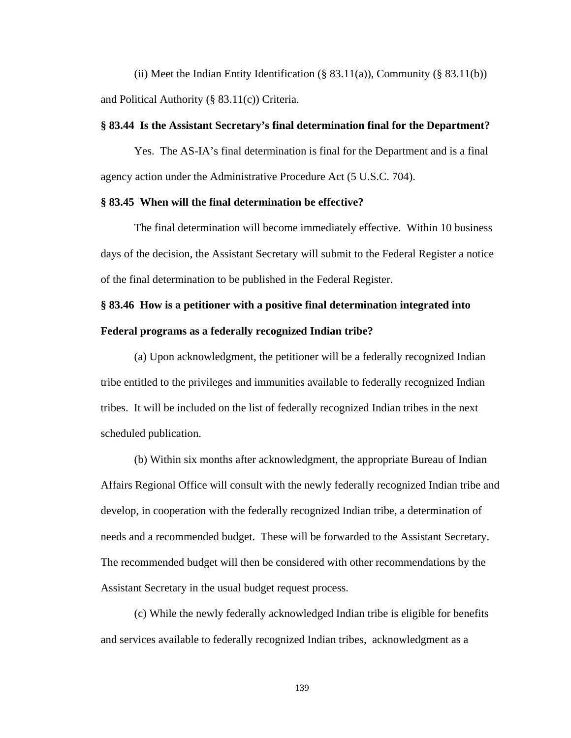(ii) Meet the Indian Entity Identification (§ 83.11(a)), Community (§ 83.11(b)) and Political Authority (§ 83.11(c)) Criteria.

## **§ 83.44 Is the Assistant Secretary's final determination final for the Department?**

Yes. The AS-IA's final determination is final for the Department and is a final agency action under the Administrative Procedure Act (5 U.S.C. 704).

## **§ 83.45 When will the final determination be effective?**

The final determination will become immediately effective. Within 10 business days of the decision, the Assistant Secretary will submit to the Federal Register a notice of the final determination to be published in the Federal Register.

# **§ 83.46 How is a petitioner with a positive final determination integrated into Federal programs as a federally recognized Indian tribe?**

(a) Upon acknowledgment, the petitioner will be a federally recognized Indian tribe entitled to the privileges and immunities available to federally recognized Indian tribes. It will be included on the list of federally recognized Indian tribes in the next scheduled publication.

(b) Within six months after acknowledgment, the appropriate Bureau of Indian Affairs Regional Office will consult with the newly federally recognized Indian tribe and develop, in cooperation with the federally recognized Indian tribe, a determination of needs and a recommended budget. These will be forwarded to the Assistant Secretary. The recommended budget will then be considered with other recommendations by the Assistant Secretary in the usual budget request process.

(c) While the newly federally acknowledged Indian tribe is eligible for benefits and services available to federally recognized Indian tribes, acknowledgment as a